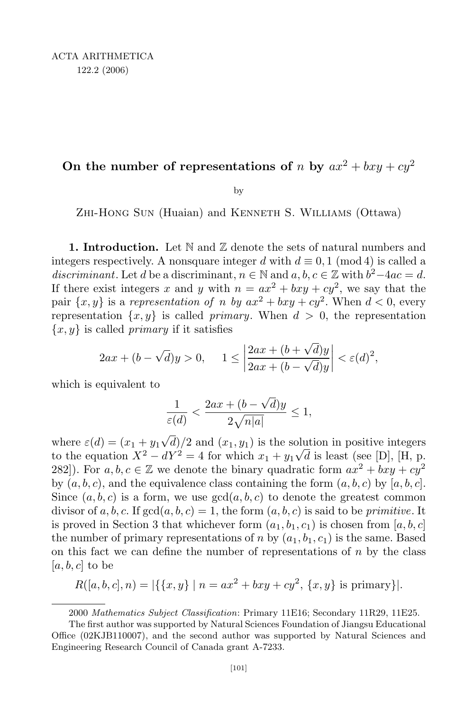ACTA ARITHMETICA 122.2 (2006)

## On the number of representations of *n* by  $ax^2 + bxy + cy^2$

by

Zhi-Hong Sun (Huaian) and Kenneth S. Williams (Ottawa)

**1. Introduction.** Let  $\mathbb N$  and  $\mathbb Z$  denote the sets of natural numbers and integers respectively. A nonsquare integer *d* with  $d \equiv 0, 1 \pmod{4}$  is called a *discriminant*. Let *d* be a discriminant,  $n \in \mathbb{N}$  and  $a, b, c \in \mathbb{Z}$  with  $b^2 - 4ac = d$ . If there exist integers x and y with  $n = ax^2 + bxy + cy^2$ , we say that the pair  $\{x, y\}$  is a *representation of n by*  $ax^2 + bxy + cy^2$ . When  $d < 0$ , every representation  $\{x, y\}$  is called *primary*. When  $d > 0$ , the representation *{x, y}* is called *primary* if it satisfies

$$
2ax + (b - \sqrt{d})y > 0, \quad 1 \le \left| \frac{2ax + (b + \sqrt{d})y}{2ax + (b - \sqrt{d})y} \right| < \varepsilon(d)^2,
$$

which is equivalent to

$$
\frac{1}{\varepsilon(d)} < \frac{2ax + (b - \sqrt{d})y}{2\sqrt{n|a|}} \le 1,
$$

where  $\varepsilon(d) = (x_1 + y_1\sqrt{d})/2$  and  $(x_1, y_1)$  is the solution in positive integers to the equation  $X^2 - dY^2 = 4$  for which  $x_1 + y_1\sqrt{d}$  is least (see [D], [H, p. 282]). For  $a, b, c \in \mathbb{Z}$  we denote the binary quadratic form  $ax^2 + bxy + cy^2$ by  $(a, b, c)$ , and the equivalence class containing the form  $(a, b, c)$  by  $[a, b, c]$ . Since  $(a, b, c)$  is a form, we use  $gcd(a, b, c)$  to denote the greatest common divisor of  $a, b, c$ . If  $gcd(a, b, c) = 1$ , the form  $(a, b, c)$  is said to be *primitive*. It is proved in Section 3 that whichever form  $(a_1, b_1, c_1)$  is chosen from  $[a, b, c]$ the number of primary representations of *n* by  $(a_1, b_1, c_1)$  is the same. Based on this fact we can define the number of representations of *n* by the class [*a, b, c*] to be

$$
R([a, b, c], n) = |\{\{x, y\} \mid n = ax^2 + bxy + cy^2, \{x, y\} \text{ is primary}\}|.
$$

2000 *Mathematics Subject Classification*: Primary 11E16; Secondary 11R29, 11E25.

The first author was supported by Natural Sciences Foundation of Jiangsu Educational Office (02KJB110007), and the second author was supported by Natural Sciences and Engineering Research Council of Canada grant A-7233.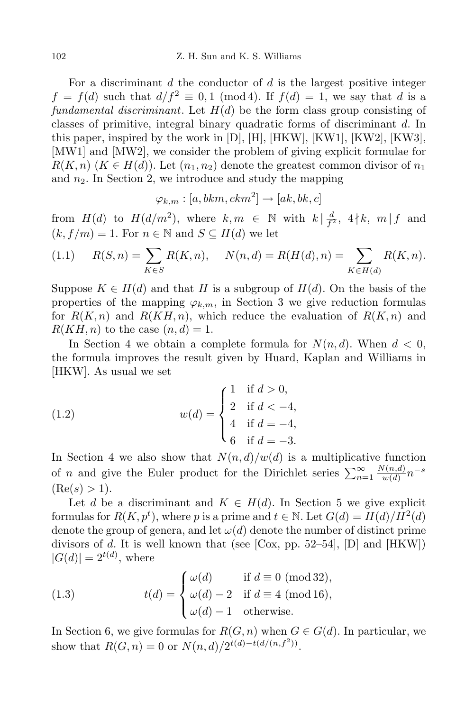For a discriminant *d* the conductor of *d* is the largest positive integer  $f = f(d)$  such that  $d/f^2 \equiv 0, 1 \pmod{4}$ . If  $f(d) = 1$ , we say that *d* is a *fundamental discriminant*. Let *H*(*d*) be the form class group consisting of classes of primitive, integral binary quadratic forms of discriminant *d*. In this paper, inspired by the work in  $[D], [H], [HKW], [KW1], [KW2], [KW3],$ [MW1] and [MW2], we consider the problem of giving explicit formulae for  $R(K, n)$  ( $K \in H(d)$ ). Let  $(n_1, n_2)$  denote the greatest common divisor of  $n_1$ and *n*2. In Section 2, we introduce and study the mapping

$$
\varphi_{k,m}:[a,bkm,ckm^2]\to [ak,bk,c]
$$

from  $H(d)$  to  $H(d/m^2)$ , where  $k, m \in \mathbb{N}$  with  $k | \frac{d}{f^2}$  $\frac{d}{f^2}$ , 4 | *k*, *m* | *f* and  $(k, f/m) = 1$ . For  $n \in \mathbb{N}$  and  $S \subseteq H(d)$  we let

(1.1) 
$$
R(S,n) = \sum_{K \in S} R(K,n), \quad N(n,d) = R(H(d),n) = \sum_{K \in H(d)} R(K,n).
$$

Suppose  $K \in H(d)$  and that *H* is a subgroup of  $H(d)$ . On the basis of the properties of the mapping  $\varphi_{k,m}$ , in Section 3 we give reduction formulas for  $R(K,n)$  and  $R(KH,n)$ , which reduce the evaluation of  $R(K,n)$  and  $R(KH, n)$  to the case  $(n, d) = 1$ .

In Section 4 we obtain a complete formula for  $N(n, d)$ . When  $d < 0$ , the formula improves the result given by Huard, Kaplan and Williams in [HKW]. As usual we set

(1.2) 
$$
w(d) = \begin{cases} 1 & \text{if } d > 0, \\ 2 & \text{if } d < -4, \\ 4 & \text{if } d = -4, \\ 6 & \text{if } d = -3. \end{cases}
$$

In Section 4 we also show that  $N(n, d)/w(d)$  is a multiplicative function of *n* and give the Euler product for the Dirichlet series  $\sum_{n=1}^{\infty}$ *N*(*n,d*)  $\frac{w(n,d)}{w(d)}n$ <sup>−</sup>*s*  $(Re(s) > 1).$ 

Let *d* be a discriminant and  $K \in H(d)$ . In Section 5 we give explicit formulas for  $R(K, p^t)$ , where *p* is a prime and  $t \in \mathbb{N}$ . Let  $G(d) = H(d)/H^2(d)$ denote the group of genera, and let  $\omega(d)$  denote the number of distinct prime divisors of *d*. It is well known that (see [Cox, pp. 52–54], [D] and  $[HKW]$ )  $|G(d)| = 2^{t(d)}$ , where

(1.3) 
$$
t(d) = \begin{cases} \omega(d) & \text{if } d \equiv 0 \pmod{32}, \\ \omega(d) - 2 & \text{if } d \equiv 4 \pmod{16}, \\ \omega(d) - 1 & \text{otherwise.} \end{cases}
$$

In Section 6, we give formulas for  $R(G, n)$  when  $G \in G(d)$ . In particular, we show that  $R(G, n) = 0$  or  $N(n, d)/2^{t(d)-t(d/(n, f^2))}$ .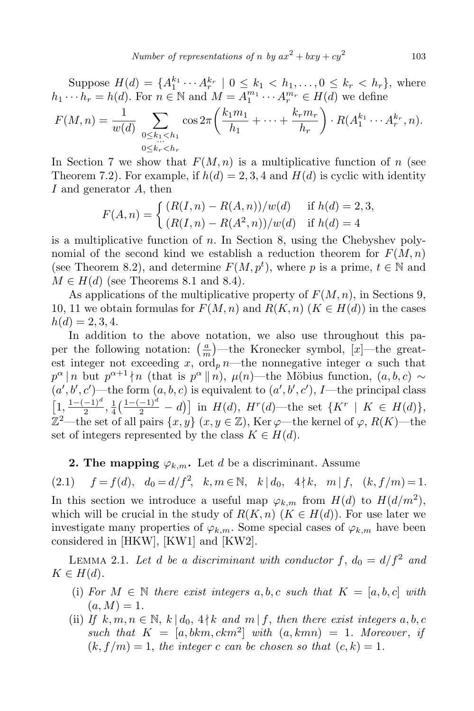Suppose  $H(d) = \{A_1^{k_1} \cdots A_r^{k_r} | 0 \leq k_1 < h_1, \ldots, 0 \leq k_r < h_r \}$ , where  $h_1 \cdots h_r = h(d)$ . For  $n \in \mathbb{N}$  and  $M = A_1^{m_1} \cdots A_r^{m_r} \in H(d)$  we define

$$
F(M, n) = \frac{1}{w(d)} \sum_{\substack{0 \le k_1 < h_1 \\ 0 \le k_r < h_r}} \cos 2\pi \left( \frac{k_1 m_1}{h_1} + \dots + \frac{k_r m_r}{h_r} \right) \cdot R(A_1^{k_1} \cdots A_r^{k_r}, n).
$$

In Section 7 we show that  $F(M, n)$  is a multiplicative function of *n* (see Theorem 7.2). For example, if  $h(d) = 2, 3, 4$  and  $H(d)$  is cyclic with identity *I* and generator *A*, then

$$
F(A, n) = \begin{cases} (R(I, n) - R(A, n))/w(d) & \text{if } h(d) = 2, 3, \\ (R(I, n) - R(A^2, n))/w(d) & \text{if } h(d) = 4 \end{cases}
$$

is a multiplicative function of *n*. In Section 8, using the Chebyshev polynomial of the second kind we establish a reduction theorem for *F*(*M, n*) (see Theorem 8.2), and determine  $F(M, p^t)$ , where *p* is a prime,  $t \in \mathbb{N}$  and  $M \in H(d)$  (see Theorems 8.1 and 8.4).

As applications of the multiplicative property of *F*(*M, n*), in Sections 9, 10, 11 we obtain formulas for  $F(M, n)$  and  $R(K, n)$  ( $K \in H(d)$ ) in the cases  $h(d) = 2, 3, 4.$ 

In addition to the above notation, we also use throughout this paper the following notation:  $\left(\frac{a}{n}\right)$  $\frac{a}{m}$ —the Kronecker symbol, [*x*]—the greatest integer not exceeding *x*, ord<sub>p</sub> *n*—the nonnegative integer  $\alpha$  such that  $p^{\alpha} \mid n$  but  $p^{\alpha+1} \nmid n$  (that is  $p^{\alpha} \mid n$ ),  $\mu(n)$ —the Möbius function,  $(a, b, c) \sim$  $(a', b', c')$ —the form  $(a, b, c)$  is equivalent to  $(a', b', c')$ , *I*—the principal class  $\left[1, \frac{1 - (-1)^d}{2}\right]$  $\frac{-1)^a}{2}, \frac{1}{4}$  $\frac{1}{4}(\frac{1-(-1)^d}{2}-d)$  in  $H(d)$ ,  $H^r(d)$ —the set  $\{K^r \mid K \in H(d)\},$ Z <sup>2</sup>—the set of all pairs *{x, y}* (*x, y <sup>∈</sup>* <sup>Z</sup>), Ker *<sup>ϕ</sup>*—the kernel of *<sup>ϕ</sup>*, *<sup>R</sup>*(*K*)—the set of integers represented by the class  $K \in H(d)$ .

**2. The mapping**  $\varphi_{k,m}$ . Let *d* be a discriminant. Assume

(2.1)  $f = f(d)$ ,  $d_0 = d/f^2$ ,  $k, m \in \mathbb{N}$ ,  $k | d_0, 4 \nmid k, m | f, (k, f/m) = 1$ .

In this section we introduce a useful map  $\varphi_{k,m}$  from  $H(d)$  to  $H(d/m^2)$ , which will be crucial in the study of  $R(K, n)$  ( $K \in H(d)$ ). For use later we investigate many properties of  $\varphi_{k,m}$ . Some special cases of  $\varphi_{k,m}$  have been considered in [HKW], [KW1] and [KW2].

LEMMA 2.1. Let *d* be a discriminant with conductor  $f$ ,  $d_0 = d/f^2$  and  $K \in H(d)$ .

- (i) For  $M \in \mathbb{N}$  there exist integers  $a, b, c$  such that  $K = [a, b, c]$  with  $(a, M) = 1.$
- (ii) *If*  $k, m, n \in \mathbb{N}, k | d_0, 4 \nmid k$  *and*  $m | f$ , *then there exist integers*  $a, b, c$ such that  $K = [a, bkm, ckm<sup>2</sup>] with  $(a, kmn) = 1$ . Moreover, if$  $(k, f/m) = 1$ , the integer *c* can be chosen so that  $(c, k) = 1$ .

103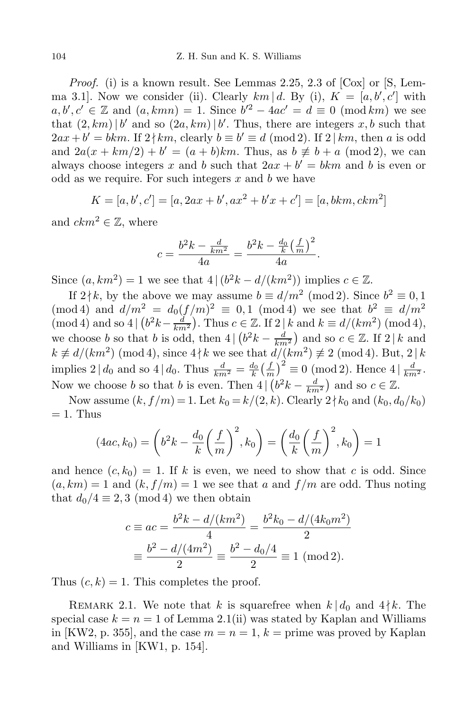*Proof.* (i) is a known result. See Lemmas 2.25, 2.3 of [Cox] or [S, Lemma 3.1]. Now we consider (ii). Clearly  $km | d$ . By (i),  $K = [a, b', c']$  with  $a, b', c' \in \mathbb{Z}$  and  $(a, kmn) = 1$ . Since  $b'^2 - 4ac' = d \equiv 0 \pmod{km}$  we see that  $(2, km) | b'$  and so  $(2a, km) | b'$ . Thus, there are integers  $x, b$  such that  $2ax + b' = bkm$ . If  $2 \nmid km$ , clearly  $b \equiv b' \equiv d \pmod{2}$ . If  $2 \mid km$ , then *a* is odd and  $2a(x + km/2) + b' = (a + b)km$ . Thus, as  $b \neq b + a \pmod{2}$ , we can always choose integers *x* and *b* such that  $2ax + b' = bkm$  and *b* is even or odd as we require. For such integers *x* and *b* we have

$$
K = [a, b', c'] = [a, 2ax + b', ax2 + b'x + c'] = [a, bkm, ckm2]
$$

and  $ckm^2 \in \mathbb{Z}$ , where

$$
c = \frac{b^2k - \frac{d}{km^2}}{4a} = \frac{b^2k - \frac{d_0}{k}(\frac{f}{m})^2}{4a}.
$$

Since  $(a, km^2) = 1$  we see that  $4 | (b^2k - d/(km^2))$  implies  $c \in \mathbb{Z}$ .

If  $2 \nmid k$ , by the above we may assume  $b \equiv d/m^2 \pmod{2}$ . Since  $b^2 \equiv 0, 1$  $(\text{mod } 4)$  and  $d/m^2 = d_0(f/m)^2 \equiv 0, 1 \pmod{4}$  we see that  $b^2 \equiv d/m^2$  $p(\text{mod } 4)$  and so  $4 \mid (b^2k - \frac{d}{km^2})$ . Thus  $c \in \mathbb{Z}$ . If  $2 \mid k$  and  $k \equiv d/(km^2) \pmod{4}$ , we choose *b* so that *b* is odd, then  $4 | (b^2k - \frac{d}{km^2})$  and so  $c \in \mathbb{Z}$ . If  $2 | k$  and  $k \not\equiv d/(km^2) \pmod{4}$ , since  $4 \nmid k$  we see that  $d/(km^2) \not\equiv 2 \pmod{4}$ . But,  $2 \mid k$ implies  $2 \mid d_0$  and so  $4 \mid d_0$ . Thus  $\frac{d}{km^2} = \frac{d_0}{k} \left( \frac{f}{m} \right)$  $(\frac{f}{m})^2 \equiv 0 \pmod{2}$ . Hence  $4 | \frac{d}{km^2}$ . Now we choose *b* so that *b* is even. Then  $4 | (b^2k - \frac{d}{km^2})$  and so  $c \in \mathbb{Z}$ .

Now assume  $(k, f/m) = 1$ . Let  $k_0 = k/(2, k)$ . Clearly  $2 \nmid k_0$  and  $(k_0, d_0/k_0)$  $= 1.$  Thus

$$
(4ac, k_0) = \left(b^2 k - \frac{d_0}{k} \left(\frac{f}{m}\right)^2, k_0\right) = \left(\frac{d_0}{k} \left(\frac{f}{m}\right)^2, k_0\right) = 1
$$

and hence  $(c, k_0) = 1$ . If k is even, we need to show that c is odd. Since  $(a, km) = 1$  and  $(k, f/m) = 1$  we see that *a* and  $f/m$  are odd. Thus noting that  $d_0/4 \equiv 2, 3 \pmod{4}$  we then obtain

$$
c \equiv ac = \frac{b^2k - d/(km^2)}{4} = \frac{b^2k_0 - d/(4k_0m^2)}{2}
$$

$$
\equiv \frac{b^2 - d/(4m^2)}{2} \equiv \frac{b^2 - d_0/4}{2} \equiv 1 \text{ (mod 2)}.
$$

Thus  $(c, k) = 1$ . This completes the proof.

REMARK 2.1. We note that *k* is squarefree when  $k | d_0$  and  $4 \nmid k$ . The special case  $k = n = 1$  of Lemma 2.1(ii) was stated by Kaplan and Williams in [KW2, p. 355], and the case  $m = n = 1$ ,  $k =$  prime was proved by Kaplan and Williams in [KW1, p. 154].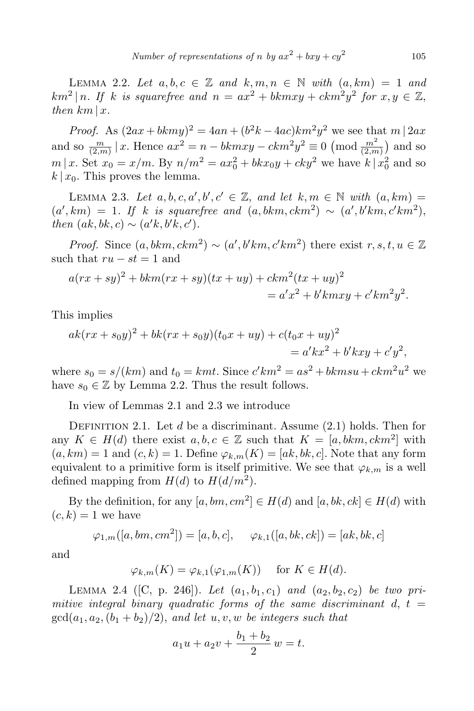LEMMA 2.2. Let  $a, b, c \in \mathbb{Z}$  and  $k, m, n \in \mathbb{N}$  with  $(a, km) = 1$  and  $km^2 | n$ . If *k* is squarefree and  $n = ax^2 + bkmxy + ckm^2y^2$  for  $x, y \in \mathbb{Z}$ , *then*  $km \mid x$ *.* 

*Proof.* As  $(2ax + bkmy)^2 = 4an + (b^2k - 4ac)km^2y^2$  we see that  $m \mid 2ax$ and so  $\frac{m}{(2,m)} | x$ . Hence  $ax^2 = n - bkmxy - ckm^2y^2 \equiv 0 \pmod{\frac{m^2}{(2,m)}}$  and so  $m | x$ . Set  $x_0 = x/m$ . By  $n/m^2 = ax_0^2 + bkx_0y + cky^2$  we have  $k | x_0^2$  and so  $k | x_0$ . This proves the lemma.

LEMMA 2.3. Let  $a, b, c, a', b', c' \in \mathbb{Z}$ , and let  $k, m \in \mathbb{N}$  with  $(a, km) =$  $(a', km) = 1$ . If *k* is squarefree and  $(a, bkm, ckm^2) \sim (a', b'km, c'km^2)$ , *then*  $(ak, bk, c) \sim (a'k, b'k, c')$ .

*Proof.* Since  $(a, bkm, ckm^2) \sim (a', b'km, c'km^2)$  there exist  $r, s, t, u \in \mathbb{Z}$ such that  $ru - st = 1$  and

$$
a(rx+sy)2 + bkm(rx+sy)(tx+uy) + ckm2(tx+uy)2
$$
  
=  $a'x2 + b'kmxy + c'km2y2$ .

This implies

$$
ak(rx + s_0y)^2 + bk(rx + s_0y)(t_0x + uy) + c(t_0x + uy)^2
$$
  
=  $a'kx^2 + b'kxy + c'y^2$ ,

where  $s_0 = s/(km)$  and  $t_0 = kmt$ . Since  $c'km^2 = as^2 + bkmsu + ckm^2u^2$  we have  $s_0 \in \mathbb{Z}$  by Lemma 2.2. Thus the result follows.

In view of Lemmas 2.1 and 2.3 we introduce

DEFINITION 2.1. Let *d* be a discriminant. Assume (2.1) holds. Then for any  $K \in H(d)$  there exist  $a, b, c \in \mathbb{Z}$  such that  $K = [a, bkm, ckm^2]$  with  $(a, km) = 1$  and  $(c, k) = 1$ . Define  $\varphi_{k,m}(K) = [ak, bk, c]$ . Note that any form equivalent to a primitive form is itself primitive. We see that  $\varphi_{k,m}$  is a well defined mapping from  $H(d)$  to  $H(d/m^2)$ .

By the definition, for any  $[a, bm, cm^2] \in H(d)$  and  $[a, bk, ck] \in H(d)$  with  $(c, k) = 1$  we have

$$
\varphi_{1,m}([a, bm, cm^2]) = [a, b, c], \varphi_{k,1}([a, bk, ck]) = [ak, bk, c]
$$

and

$$
\varphi_{k,m}(K) = \varphi_{k,1}(\varphi_{1,m}(K))
$$
 for  $K \in H(d)$ .

LEMMA 2.4 ([C, p. 246]). Let  $(a_1, b_1, c_1)$  and  $(a_2, b_2, c_2)$  be two pri*mitive integral binary quadratic forms of the same discriminant*  $d, t =$  $gcd(a_1, a_2, (b_1 + b_2)/2)$ , and let  $u, v, w$  be integers such that

$$
a_1u + a_2v + \frac{b_1 + b_2}{2}w = t.
$$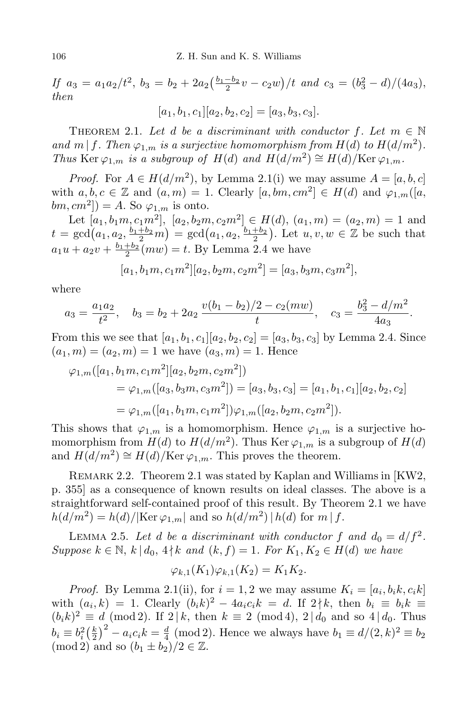If  $a_3 = a_1 a_2/t^2$ ,  $b_3 = b_2 + 2a_2(\frac{b_1-b_2}{2}v - c_2w)/t$  and  $c_3 = (b_3^2 - d)/(4a_3)$ , *then*

 $[a_1, b_1, c_1][a_2, b_2, c_2] = [a_3, b_3, c_3].$ 

THEOREM 2.1. Let *d* be a discriminant with conductor  $f$ . Let  $m \in \mathbb{N}$ *and*  $m | f$ *. Then*  $\varphi_{1,m}$  *is a surjective homomorphism from*  $H(d)$  *to*  $H(d/m^2)$ *. Thus* Ker  $\varphi_{1,m}$  *is a subgroup of H*(*d*) *and*  $H(d/m^2) \cong H(d)/\text{Ker }\varphi_{1,m}$ *.* 

*Proof.* For  $A \in H(d/m^2)$ , by Lemma 2.1(i) we may assume  $A = [a, b, c]$ with  $a, b, c \in \mathbb{Z}$  and  $(a, m) = 1$ . Clearly  $[a, bm, cm^2] \in H(d)$  and  $\varphi_{1,m}([a, \ldots, a])$ .  $(bm, cm^2]) = A$ . So  $\varphi_{1,m}$  is onto.

Let  $[a_1, b_1, c_1, m^2], [a_2, b_2, c_2, m^2] \in H(d), (a_1, m) = (a_2, m) = 1$  and  $t = \gcd(a_1, a_2, \frac{b_1 + b_2}{2}m) = \gcd(a_1, a_2, \frac{b_1 + b_2}{2})$ . Let  $u, v, w \in \mathbb{Z}$  be such that  $a_1u + a_2v + \frac{b_1+b_2}{2}(mw) = t$ . By Lemma 2.4 we have

$$
[a_1, b_1m, c_1m^2][a_2, b_2m, c_2m^2] = [a_3, b_3m, c_3m^2],
$$

where

$$
a_3 = \frac{a_1 a_2}{t^2}
$$
,  $b_3 = b_2 + 2a_2 \frac{v(b_1 - b_2)/2 - c_2(mw)}{t}$ ,  $c_3 = \frac{b_3^2 - d/m^2}{4a_3}$ .

From this we see that  $[a_1, b_1, c_1][a_2, b_2, c_2] = [a_3, b_3, c_3]$  by Lemma 2.4. Since  $(a_1, m) = (a_2, m) = 1$  we have  $(a_3, m) = 1$ . Hence

$$
\varphi_{1,m}([a_1, b_1m, c_1m^2][a_2, b_2m, c_2m^2])
$$
  
=  $\varphi_{1,m}([a_3, b_3m, c_3m^2]) = [a_3, b_3, c_3] = [a_1, b_1, c_1][a_2, b_2, c_2]$   
=  $\varphi_{1,m}([a_1, b_1m, c_1m^2])\varphi_{1,m}([a_2, b_2m, c_2m^2]).$ 

This shows that  $\varphi_{1,m}$  is a homomorphism. Hence  $\varphi_{1,m}$  is a surjective homomorphism from  $H(d)$  to  $H(d/m^2)$ . Thus Ker  $\varphi_{1,m}$  is a subgroup of  $H(d)$ and  $H(d/m^2) \cong H(d)/\text{Ker }\varphi_{1,m}$ . This proves the theorem.

REMARK 2.2. Theorem 2.1 was stated by Kaplan and Williams in [KW2, p. 355] as a consequence of known results on ideal classes. The above is a straightforward self-contained proof of this result. By Theorem 2.1 we have  $h(d/m^2) = h(d)/|\text{Ker }\varphi_{1,m}|$  and so  $h(d/m^2) | h(d)$  for  $m | f$ .

LEMMA 2.5. Let *d* be a discriminant with conductor  $f$  and  $d_0 = d/f^2$ . *Suppose*  $k \in \mathbb{N}$ ,  $k | d_0, 4 \nmid k$  *and*  $(k, f) = 1$ *. For*  $K_1, K_2 \in H(d)$  *we have* 

$$
\varphi_{k,1}(K_1)\varphi_{k,1}(K_2) = K_1K_2.
$$

*Proof.* By Lemma 2.1(ii), for  $i = 1, 2$  we may assume  $K_i = [a_i, b_i, c_i, k]$ with  $(a_i, k) = 1$ . Clearly  $(b_i k)^2 - 4a_i c_i k = d$ . If  $2 \nmid k$ , then  $b_i \equiv b_i k \equiv$  $(b_ik)^2 \equiv d \pmod{2}$ . If 2 | *k*, then  $k \equiv 2 \pmod{4}$ , 2 |  $d_0$  and so 4 |  $d_0$ . Thus  $b_i \equiv b_i^2 \left(\frac{k}{2}\right)$  $\left(\frac{k}{2}\right)^2 - a_i c_i k = \frac{d}{4}$  $\frac{d}{4}$  (mod 2). Hence we always have  $b_1 \equiv d/(2, k)^2 \equiv b_2$  $(\text{mod } 2)$  and so  $(b_1 \pm b_2)/2 \in \mathbb{Z}$ .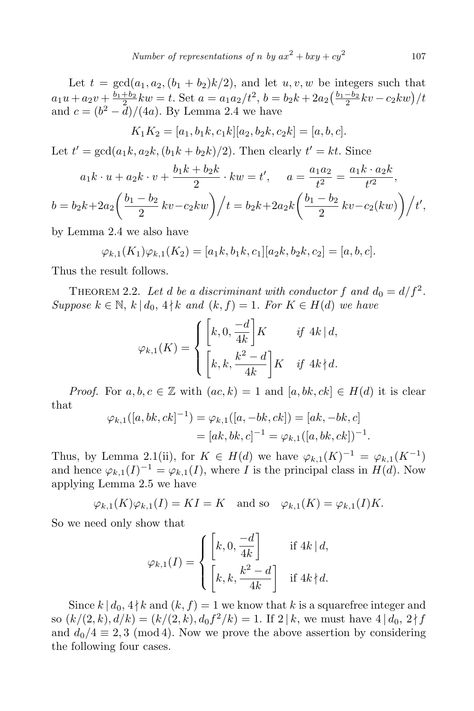Let  $t = \gcd(a_1, a_2, (b_1 + b_2)k/2)$ , and let  $u, v, w$  be integers such that  $a_1u + a_2v + \frac{b_1+b_2}{2}kw = t$ . Set  $a = a_1a_2/t^2$ ,  $b = b_2k + 2a_2(\frac{b_1-b_2}{2}kv - c_2kw)/t$ and  $c = (b^2 - d)/(4a)$ . By Lemma 2.4 we have

$$
K_1K_2 = [a_1, b_1k, c_1k][a_2, b_2k, c_2k] = [a, b, c].
$$

Let  $t' = \gcd(a_1 k, a_2 k, (b_1 k + b_2 k)/2)$ . Then clearly  $t' = k t$ . Since

$$
a_1k \cdot u + a_2k \cdot v + \frac{b_1k + b_2k}{2} \cdot kw = t', \quad a = \frac{a_1a_2}{t^2} = \frac{a_1k \cdot a_2k}{t'^2},
$$
  

$$
b = b_2k + 2a_2\left(\frac{b_1 - b_2}{2}kv - c_2kw\right) / t = b_2k + 2a_2k\left(\frac{b_1 - b_2}{2}kv - c_2(kw)\right) / t',
$$

by Lemma 2.4 we also have

$$
\varphi_{k,1}(K_1)\varphi_{k,1}(K_2) = [a_1k, b_1k, c_1][a_2k, b_2k, c_2] = [a, b, c].
$$

Thus the result follows.

THEOREM 2.2. Let *d* be a discriminant with conductor  $f$  and  $d_0 = d/f^2$ . *Suppose*  $k \in \mathbb{N}$ ,  $k | d_0$ ,  $4 \nmid k$  *and*  $(k, f) = 1$ *. For*  $K \in H(d)$  *we have* 

$$
\varphi_{k,1}(K) = \begin{cases} \left[k, 0, \frac{-d}{4k}\right] K & \text{if } 4k \mid d, \\ \left[k, k, \frac{k^2 - d}{4k}\right] K & \text{if } 4k \nmid d. \end{cases}
$$

*Proof.* For  $a, b, c \in \mathbb{Z}$  with  $(ac, k) = 1$  and  $[a, bk, ck] \in H(d)$  it is clear that

$$
\varphi_{k,1}([a, bk, ck]^{-1}) = \varphi_{k,1}([a, -bk, ck]) = [ak, -bk, c] = [ak, bk, c]^{-1} = \varphi_{k,1}([a, bk, ck])^{-1}.
$$

Thus, by Lemma 2.1(ii), for  $K \in H(d)$  we have  $\varphi_{k,1}(K)^{-1} = \varphi_{k,1}(K^{-1})$ and hence  $\varphi_{k,1}(I)^{-1} = \varphi_{k,1}(I)$ , where *I* is the principal class in  $H(d)$ . Now applying Lemma 2.5 we have

 $\varphi_{k,1}(K)\varphi_{k,1}(I) = KI = K$  and so  $\varphi_{k,1}(K) = \varphi_{k,1}(I)K$ .

So we need only show that

$$
\varphi_{k,1}(I) = \begin{cases} \left[k, 0, \frac{-d}{4k}\right] & \text{if } 4k \mid d, \\ \left[k, k, \frac{k^2 - d}{4k}\right] & \text{if } 4k \nmid d. \end{cases}
$$

Since  $k \mid d_0, 4 \nmid k$  and  $(k, f) = 1$  we know that  $k$  is a squarefree integer and so  $(k/(2, k), d/k) = (k/(2, k), d_0 f^2 / k) = 1$ . If  $2 | k$ , we must have  $4 | d_0, 2 \nmid f$ and  $d_0/4 \equiv 2,3 \pmod{4}$ . Now we prove the above assertion by considering the following four cases.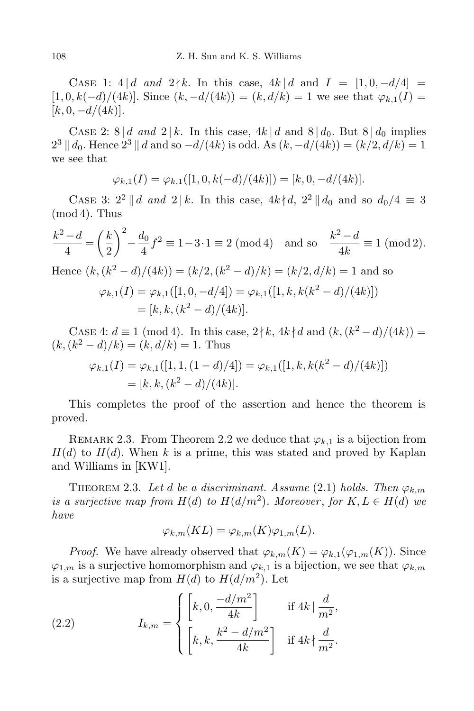CASE 1: 4 *| d* and  $2 \nmid k$ . In this case, 4 $k$  | *d* and  $I = [1, 0, -d/4]$  $[1, 0, k(-d)/(4k)]$ . Since  $(k, -d/(4k)) = (k, d/k) = 1$  we see that  $\varphi_{k,1}(I) =$  $[k, 0, -d/(4k)].$ 

CASE 2: 8 *d and* 2 | *k*. In this case,  $4k/d$  and  $8/d_0$ . But  $8/d_0$  implies  $2^3$  || *d*<sub>0</sub>. Hence  $2^3$  || *d* and so *−d*/(4*k*) is odd. As  $(k, -d/(4k)) = (k/2, d/k) = 1$ we see that

$$
\varphi_{k,1}(I) = \varphi_{k,1}([1,0,k(-d)/(4k)]) = [k,0,-d/(4k)].
$$

CASE 3:  $2^2 || d$  *and*  $2 | k$ . In this case,  $4k \nmid d$ ,  $2^2 || d_0$  and so  $d_0/4 \equiv 3$  $(mod 4)$ . Thus

$$
\frac{k^2 - d}{4} = \left(\frac{k}{2}\right)^2 - \frac{d_0}{4}f^2 \equiv 1 - 3 \cdot 1 \equiv 2 \pmod{4} \text{ and so } \frac{k^2 - d}{4k} \equiv 1 \pmod{2}.
$$
  
Hence  $(k, (k^2 - d)/(4k)) = (k/2, (k^2 - d)/k) = (k/2, d/k) = 1$  and so  

$$
\varphi_{k,1}(I) = \varphi_{k,1}([1, 0, -d/4]) = \varphi_{k,1}([1, k, k(k^2 - d)/(4k)])
$$

$$
= [k, k, (k^2 - d)/(4k)].
$$

CASE 4:  $d \equiv 1 \pmod{4}$ . In this case,  $2 \nmid k$ ,  $4k \nmid d$  and  $(k, (k^2 - d)/(4k)) =$  $(k, (k^2 - d)/k) = (k, d/k) = 1$ . Thus

$$
\varphi_{k,1}(I) = \varphi_{k,1}([1, 1, (1 - d)/4]) = \varphi_{k,1}([1, k, k(k^2 - d)/(4k)])
$$
  
=  $[k, k, (k^2 - d)/(4k)].$ 

This completes the proof of the assertion and hence the theorem is proved.

REMARK 2.3. From Theorem 2.2 we deduce that  $\varphi_{k,1}$  is a bijection from  $H(d)$  to  $H(d)$ . When k is a prime, this was stated and proved by Kaplan and Williams in [KW1].

THEOREM 2.3. Let *d* be a discriminant. Assume (2.1) holds. Then  $\varphi_{k,m}$ *is a surjective map from*  $H(d)$  *to*  $H(d/m^2)$ *. Moreover, for*  $K, L \in H(d)$  *we have*

$$
\varphi_{k,m}(KL) = \varphi_{k,m}(K)\varphi_{1,m}(L).
$$

*Proof.* We have already observed that  $\varphi_{k,m}(K) = \varphi_{k,1}(\varphi_{1,m}(K))$ . Since  $\varphi_{1,m}$  is a surjective homomorphism and  $\varphi_{k,1}$  is a bijection, we see that  $\varphi_{k,m}$ is a surjective map from  $H(d)$  to  $H(d/m^2)$ . Let

(2.2) 
$$
I_{k,m} = \begin{cases} \left[ k, 0, \frac{-d/m^2}{4k} \right] & \text{if } 4k \mid \frac{d}{m^2}, \\ \left[ k, k, \frac{k^2 - d/m^2}{4k} \right] & \text{if } 4k \nmid \frac{d}{m^2}. \end{cases}
$$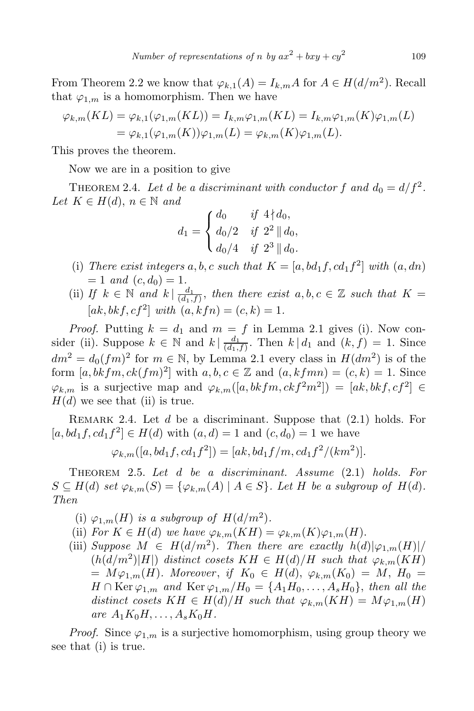From Theorem 2.2 we know that  $\varphi_{k,1}(A) = I_{k,m}A$  for  $A \in H(d/m^2)$ . Recall that  $\varphi_{1,m}$  is a homomorphism. Then we have

$$
\varphi_{k,m}(KL) = \varphi_{k,1}(\varphi_{1,m}(KL)) = I_{k,m}\varphi_{1,m}(KL) = I_{k,m}\varphi_{1,m}(K)\varphi_{1,m}(L) = \varphi_{k,1}(\varphi_{1,m}(K))\varphi_{1,m}(L) = \varphi_{k,m}(K)\varphi_{1,m}(L).
$$

This proves the theorem.

Now we are in a position to give

THEOREM 2.4. Let *d* be a discriminant with conductor  $f$  and  $d_0 = d/f^2$ .  $Let K \in H(d), n \in \mathbb{N}$  and

$$
d_1 = \begin{cases} d_0 & \text{if } 4 \nmid d_0, \\ d_0/2 & \text{if } 2^2 \parallel d_0, \\ d_0/4 & \text{if } 2^3 \parallel d_0. \end{cases}
$$

- (i) *There exist integers*  $a, b, c$  *such that*  $K = [a, bd_1f, cd_1f^2]$  *with*  $(a, dn)$  $= 1$  *and*  $(c, d_0) = 1$ .
- (ii) *If*  $k \in \mathbb{N}$  and  $k \mid \frac{d_1}{(d_1)}$  $\frac{d_1}{(d_1,f)}$ , then there exist  $a, b, c \in \mathbb{Z}$  such that  $K =$  $[ak, bkf, cf^2] with (a, kfn) = (c, k) = 1.$

*Proof.* Putting  $k = d_1$  and  $m = f$  in Lemma 2.1 gives (i). Now consider (ii). Suppose  $k \in \mathbb{N}$  and  $k | \frac{d_1}{(d_1)}$  $\frac{a_1}{(d_1,f)}$ . Then  $k | d_1$  and  $(k, f) = 1$ . Since  $dm^2 = d_0(fm)^2$  for  $m \in \mathbb{N}$ , by Lemma 2.1 every class in  $H(dm^2)$  is of the form  $[a, bkfm, ck(fm)^2]$  with  $a, b, c \in \mathbb{Z}$  and  $(a, kfmn) = (c, k) = 1$ . Since  $\varphi_{k,m}$  is a surjective map and  $\varphi_{k,m}([a,bkfm,ckf^2m^2]) = [ak,bkf,cf^2] \in$  $H(d)$  we see that (ii) is true.

Remark 2.4. Let *d* be a discriminant. Suppose that (2*.*1) holds. For  $[a, bd_1 f, cd_1 f^2] \in H(d)$  with  $(a, d) = 1$  and  $(c, d_0) = 1$  we have

$$
\varphi_{k,m}([a,bd_1f,cd_1f^2]) = [ak,bd_1f/m,cd_1f^2/(km^2)].
$$

Theorem 2.5. *Let d be a discriminant. Assume* (2*.*1) *holds. For*  $S \subseteq H(d)$  set  $\varphi_{k,m}(S) = {\varphi_{k,m}(A) | A \in S}.$  Let H be a subgroup of  $H(d)$ . *Then*

- (i)  $\varphi_{1,m}(H)$  *is a subgroup of*  $H(d/m^2)$ *.*
- (ii) *For*  $K \in H(d)$  *we have*  $\varphi_{k,m}(KH) = \varphi_{k,m}(K)\varphi_{1,m}(H)$ *.*
- (iii) *Suppose*  $M \in H(d/m^2)$ *. Then there are exactly*  $h(d)|\varphi_{1,m}(H)|/$  $(h(d/m^2)|H|)$  *distinct cosets*  $KH \in H(d)/H$  *such that*  $\varphi_{k,m}(KH)$  $M\varphi_{1,m}(H)$ *. Moreover*, *if*  $K_0 \in H(d)$ ,  $\varphi_{k,m}(K_0) = M$ ,  $H_0 =$  $H \cap \text{Ker }\varphi_{1,m}$  *and*  $\text{Ker }\varphi_{1,m}/H_0 = \{A_1H_0, \ldots, A_sH_0\}$ , *then all the distinct cosets*  $KH \in H(d)/H$  *such that*  $\varphi_{k,m}(KH) = M\varphi_{1,m}(H)$  $are A_1K_0H, \ldots, A_sK_0H$ .

*Proof.* Since  $\varphi_{1,m}$  is a surjective homomorphism, using group theory we see that (i) is true.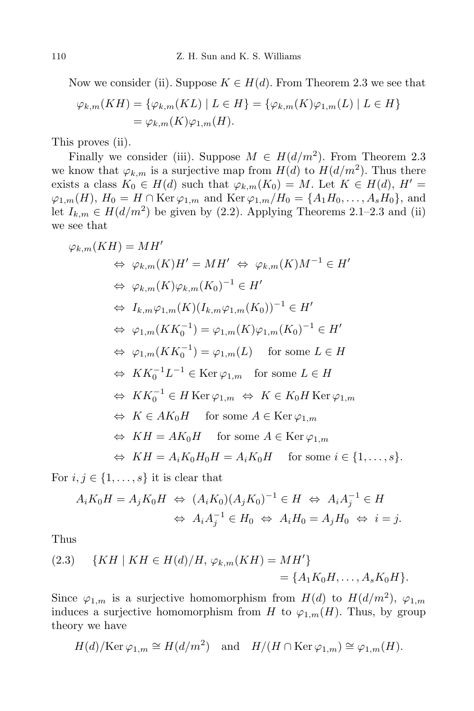Now we consider (ii). Suppose  $K \in H(d)$ . From Theorem 2.3 we see that

$$
\varphi_{k,m}(KH) = \{ \varphi_{k,m}(KL) \mid L \in H \} = \{ \varphi_{k,m}(K)\varphi_{1,m}(L) \mid L \in H \}
$$
  
=  $\varphi_{k,m}(K)\varphi_{1,m}(H).$ 

This proves (ii).

Finally we consider (iii). Suppose  $M \in H(d/m^2)$ . From Theorem 2.3 we know that  $\varphi_{k,m}$  is a surjective map from  $H(d)$  to  $H(d/m^2)$ . Thus there exists a class  $K_0 \in H(d)$  such that  $\varphi_{k,m}(K_0) = M$ . Let  $K \in H(d)$ ,  $H' =$  $\varphi_{1,m}(H)$ ,  $H_0 = H ∩$  Ker  $\varphi_{1,m}$  and Ker  $\varphi_{1,m}/H_0 = \{A_1H_0, \ldots, A_sH_0\}$ , and let  $I_{k,m} \in H(d/m^2)$  be given by (2.2). Applying Theorems 2.1–2.3 and (ii) we see that

$$
\varphi_{k,m}(KH) = MH'
$$
  
\n
$$
\Leftrightarrow \varphi_{k,m}(K)H' = MH' \Leftrightarrow \varphi_{k,m}(K)M^{-1} \in H'
$$
  
\n
$$
\Leftrightarrow \varphi_{k,m}(K)\varphi_{k,m}(K_0)^{-1} \in H'
$$
  
\n
$$
\Leftrightarrow I_{k,m}\varphi_{1,m}(K)(I_{k,m}\varphi_{1,m}(K_0))^{-1} \in H'
$$
  
\n
$$
\Leftrightarrow \varphi_{1,m}(KK_0^{-1}) = \varphi_{1,m}(K)\varphi_{1,m}(K_0)^{-1} \in H'
$$
  
\n
$$
\Leftrightarrow \varphi_{1,m}(KK_0^{-1}) = \varphi_{1,m}(L) \quad \text{for some } L \in H
$$
  
\n
$$
\Leftrightarrow KK_0^{-1}L^{-1} \in \text{Ker } \varphi_{1,m} \quad \text{for some } L \in H
$$
  
\n
$$
\Leftrightarrow KK_0^{-1} \in H \text{Ker } \varphi_{1,m} \Leftrightarrow K \in K_0H \text{Ker } \varphi_{1,m}
$$
  
\n
$$
\Leftrightarrow K = AK_0H \quad \text{for some } A \in \text{Ker } \varphi_{1,m}
$$
  
\n
$$
\Leftrightarrow KH = AK_0H \quad \text{for some } A \in \text{Ker } \varphi_{1,m}
$$
  
\n
$$
\Leftrightarrow KH = A_iK_0H_0H = A_iK_0H \quad \text{for some } i \in \{1, ..., s\}.
$$

For  $i, j \in \{1, \ldots, s\}$  it is clear that

$$
A_i K_0 H = A_j K_0 H \Leftrightarrow (A_i K_0)(A_j K_0)^{-1} \in H \Leftrightarrow A_i A_j^{-1} \in H
$$
  

$$
\Leftrightarrow A_i A_j^{-1} \in H_0 \Leftrightarrow A_i H_0 = A_j H_0 \Leftrightarrow i = j.
$$

Thus

(2.3) 
$$
\{KH \mid KH \in H(d)/H, \varphi_{k,m}(KH) = MH'\} = \{A_1K_0H, \dots, A_sK_0H\}.
$$

Since  $\varphi_{1,m}$  is a surjective homomorphism from  $H(d)$  to  $H(d/m^2)$ ,  $\varphi_{1,m}$ induces a surjective homomorphism from *H* to  $\varphi_{1,m}(H)$ . Thus, by group theory we have

$$
H(d)/\text{Ker }\varphi_{1,m} \cong H(d/m^2)
$$
 and  $H/(H \cap \text{Ker }\varphi_{1,m}) \cong \varphi_{1,m}(H)$ .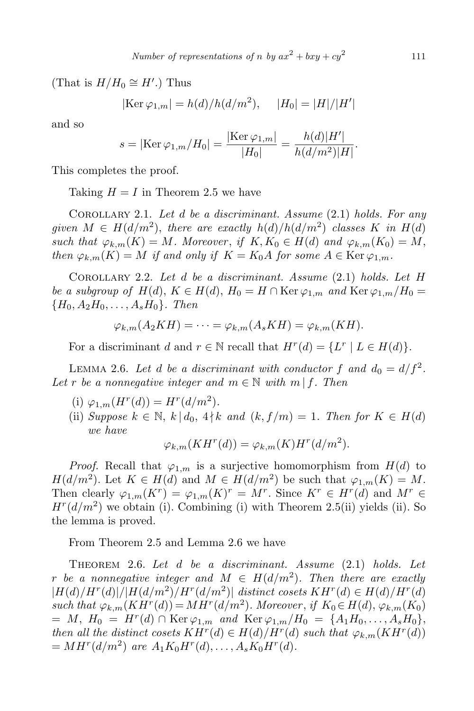(That is  $H/H_0 \cong H'$ .) Thus

$$
|\text{Ker }\varphi_{1,m}| = h(d)/h(d/m^2), \quad |H_0| = |H|/|H'|
$$

and so

$$
s = |\text{Ker }\varphi_{1,m}/H_0| = \frac{|\text{Ker }\varphi_{1,m}|}{|H_0|} = \frac{h(d)|H'|}{h(d/m^2)|H|}.
$$

This completes the proof.

Taking  $H = I$  in Theorem 2.5 we have

Corollary 2.1. *Let d be a discriminant. Assume* (2*.*1) *holds. For any given*  $M \in H(d/m^2)$ , *there are exactly*  $h(d)/h(d/m^2)$  *classes*  $K$  *in*  $H(d)$ *such that*  $\varphi_{k,m}(K) = M$ *. Moreover, if*  $K, K_0 \in H(d)$  *and*  $\varphi_{k,m}(K_0) = M$ , *then*  $\varphi_{k,m}(K) = M$  *if and only if*  $K = K_0A$  *for some*  $A \in \text{Ker } \varphi_{1,m}$ *.* 

Corollary 2.2. *Let d be a discriminant. Assume* (2*.*1) *holds. Let H be a subgroup of*  $H(d)$ ,  $K \in H(d)$ ,  $H_0 = H \cap \text{Ker }\varphi_{1,m}$  *and*  $\text{Ker }\varphi_{1,m}/H_0 =$ *{H*0*, A*2*H*0*, . . . , AsH*0*}. Then*

$$
\varphi_{k,m}(A_2KH)=\cdots=\varphi_{k,m}(A_sKH)=\varphi_{k,m}(KH).
$$

For a discriminant *d* and  $r \in \mathbb{N}$  recall that  $H^r(d) = \{L^r | L \in H(d)\}.$ 

LEMMA 2.6. Let *d* be a discriminant with conductor  $f$  and  $d_0 = d/f^2$ . *Let r be a nonnegative integer and*  $m \in \mathbb{N}$  *with*  $m | f$ *. Then* 

- (i)  $\varphi_{1,m}(H^r(d)) = H^r(d/m^2)$ .
- (ii) *Suppose*  $k \in \mathbb{N}$ ,  $k | d_0$ ,  $4 \nmid k$  *and*  $(k, f/m) = 1$ *. Then for*  $K \in H(d)$ *we have*

$$
\varphi_{k,m}(K H^r(d)) = \varphi_{k,m}(K) H^r(d/m^2).
$$

*Proof.* Recall that  $\varphi_{1,m}$  is a surjective homomorphism from  $H(d)$  to *H*(*d/m*<sup>2</sup>). Let  $K \in H(d)$  and  $M \in H(d/m^2)$  be such that  $\varphi_{1,m}(K) = M$ . Then clearly  $\varphi_{1,m}(K^r) = \varphi_{1,m}(K)^r = M^r$ . Since  $K^r \in H^r(d)$  and  $M^r \in H^r(d)$  $H^r(d/m^2)$  we obtain (i). Combining (i) with Theorem 2.5(ii) yields (ii). So the lemma is proved.

From Theorem 2.5 and Lemma 2.6 we have

Theorem 2.6. *Let d be a discriminant. Assume* (2*.*1) *holds. Let r be a nonnegative integer and*  $M \in H(d/m^2)$ *. Then there are exactly*  $|H(d)/H^r(d)|/|H(d/m^2)/H^r(d/m^2)|$  distinct cosets  $KH^r(d) \in H(d)/H^r(d)$  $such that \varphi_{k,m}(K H^r(d)) = M H^r(d/m^2)$ . Moreover, if  $K_0 \in H(d), \varphi_{k,m}(K_0)$  $M, H_0 = H^r(d) \cap \text{Ker }\varphi_{1,m} \text{ and } \text{Ker }\varphi_{1,m}/H_0 = \{A_1H_0, \ldots, A_sH_0\},$ *then all the distinct cosets*  $KH^r(d) \in H(d)/H^r(d)$  *such that*  $\varphi_{k,m}(KH^r(d))$  $= MH^{r}(d/m^{2})$  *are*  $A_1K_0H^{r}(d), \ldots, A_sK_0H^{r}(d)$ .

111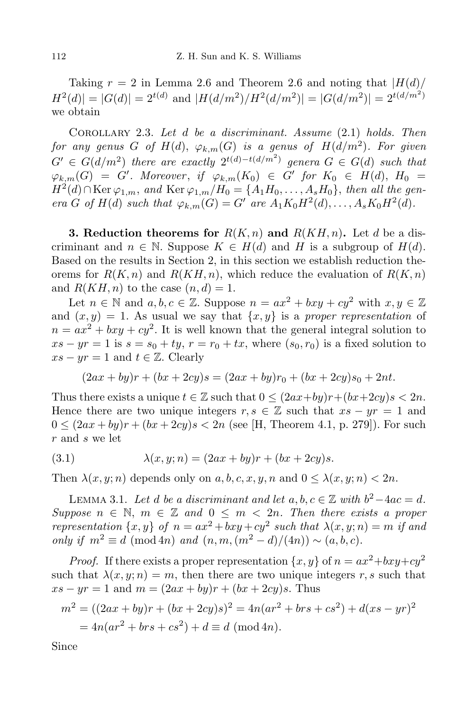Taking  $r = 2$  in Lemma 2.6 and Theorem 2.6 and noting that  $|H(d)|$  $H^2(d)| = |G(d)| = 2^{t(d)}$  and  $|H(d/m^2)/H^2(d/m^2)| = |G(d/m^2)| = 2^{t(d/m^2)}$ we obtain

Corollary 2.3. *Let d be a discriminant. Assume* (2*.*1) *holds. Then*  $for\ any\ genus\ G\ of\ H(d),\ \varphi_{k,m}(G)\ is\ a\ genus\ of\ H(d/m^2). \ For\ given$  $G' \in G(d/m^2)$  *there are exactly*  $2^{t(d)-t(d/m^2)}$  *genera*  $G \in G(d)$  *such that*  $\varphi_{k,m}(G) = G'$ . Moreover, if  $\varphi_{k,m}(K_0) \in G'$  for  $K_0 \in H(d)$ ,  $H_0 =$ *H*<sup>2</sup>(*d*)∩Ker  $\varphi_{1,m}$ , *and* Ker  $\varphi_{1,m}/H_0 = \{A_1H_0, \ldots, A_sH_0\}$ , *then all the gen*era G of  $H(d)$  such that  $\varphi_{k,m}(G) = G'$  are  $A_1K_0H^2(d), \ldots, A_sK_0H^2(d)$ .

**3. Reduction theorems for**  $R(K,n)$  and  $R(KH,n)$ . Let *d* be a discriminant and  $n \in \mathbb{N}$ . Suppose  $K \in H(d)$  and H is a subgroup of  $H(d)$ . Based on the results in Section 2, in this section we establish reduction theorems for  $R(K, n)$  and  $R(KH, n)$ , which reduce the evaluation of  $R(K, n)$ and  $R(KH, n)$  to the case  $(n, d) = 1$ .

Let  $n \in \mathbb{N}$  and  $a, b, c \in \mathbb{Z}$ . Suppose  $n = ax^2 + bxy + cy^2$  with  $x, y \in \mathbb{Z}$ and  $(x, y) = 1$ . As usual we say that  $\{x, y\}$  is a *proper representation* of  $n = ax^2 + bxy + cy^2$ . It is well known that the general integral solution to  $xs - yr = 1$  is  $s = s_0 + ty$ ,  $r = r_0 + tx$ , where  $(s_0, r_0)$  is a fixed solution to  $xs - yr = 1$  and  $t \in \mathbb{Z}$ . Clearly

$$
(2ax + by)r + (bx + 2cy)s = (2ax + by)r_0 + (bx + 2cy)s_0 + 2nt.
$$

Thus there exists a unique  $t \in \mathbb{Z}$  such that  $0 \leq (2ax+by)r+(bx+2cy)s < 2n$ . Hence there are two unique integers  $r, s \in \mathbb{Z}$  such that  $xs - yr = 1$  and  $0 \leq (2ax + by)r + (bx + 2cy)s < 2n$  (see [H, Theorem 4.1, p. 279]). For such *r* and *s* we let

(3.1) 
$$
\lambda(x, y; n) = (2ax + by)r + (bx + 2cy)s.
$$

Then  $\lambda(x, y; n)$  depends only on  $a, b, c, x, y, n$  and  $0 \leq \lambda(x, y; n) < 2n$ .

LEMMA 3.1. *Let d be a discriminant and let a, b, c* ∈  $\mathbb{Z}$  *with*  $b^2-4ac = d$ *. Suppose*  $n \in \mathbb{N}$ ,  $m \in \mathbb{Z}$  and  $0 \leq m < 2n$ . Then there exists a proper *representation*  $\{x, y\}$  *of*  $n = ax^2 + bxy + cy^2$  *such that*  $\lambda(x, y; n) = m$  *if and*  $\text{only if } m^2 \equiv d \pmod{4n} \text{ and } (n, m, (m^2 - d)/(4n)) \sim (a, b, c).$ 

*Proof.* If there exists a proper representation  $\{x, y\}$  of  $n = ax^2 + bxy + cy^2$ such that  $\lambda(x, y; n) = m$ , then there are two unique integers *r*, *s* such that  $xs - yr = 1$  and  $m = (2ax + by)r + (bx + 2cy)s$ . Thus

$$
m2 = ((2ax + by)r + (bx + 2cy)s)2 = 4n(ar2 + brs + cs2) + d(xs - yr)2
$$
  
= 4n(ar<sup>2</sup> + brs + cs<sup>2</sup>) + d \equiv d (mod 4n).

Since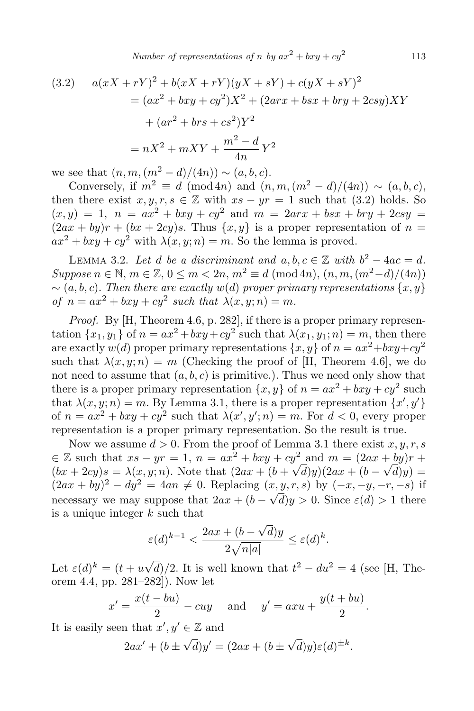*Number of representations of <i>n by*  $ax^2 + bxy + cy^2$ 

(3.2) 
$$
a(xX + rY)^{2} + b(xX + rY)(yX + sY) + c(yX + sY)^{2}
$$

$$
= (ax^{2} + bxy + cy^{2})X^{2} + (2arx + bsx + bry + 2csy)XY
$$

$$
+ (ar^{2} + brs + cs^{2})Y^{2}
$$

$$
= nX^{2} + mXY + \frac{m^{2} - d}{4n}Y^{2}
$$

we see that  $(n, m, (m^2 - d)/(4n)) \sim (a, b, c)$ .

Conversely, if  $m^2 \equiv d \pmod{4n}$  and  $(n, m, (m^2 - d)/(4n)) \sim (a, b, c)$ , then there exist  $x, y, r, s \in \mathbb{Z}$  with  $xs - yr = 1$  such that  $(3.2)$  holds. So  $(x, y) = 1$ ,  $n = ax^2 + bxy + cy^2$  and  $m = 2arx + bsx + bry + 2csy =$  $(2ax + by)r + (bx + 2cy)s$ . Thus  $\{x, y\}$  is a proper representation of  $n =$  $ax^2 + bxy + cy^2$  with  $\lambda(x, y; n) = m$ . So the lemma is proved.

LEMMA 3.2. Let *d be a discriminant and*  $a, b, c \in \mathbb{Z}$  with  $b^2 - 4ac = d$ . *Suppose*  $n \in \mathbb{N}$ ,  $m \in \mathbb{Z}$ ,  $0 \le m \le 2n$ ,  $m^2 \equiv d \pmod{4n}$ ,  $(n, m, (m^2 - d)/(4n))$ *∼* (*a, b, c*)*. Then there are exactly w*(*d*) *proper primary representations {x, y} of*  $n = ax^2 + bxy + cy^2$  such that  $\lambda(x, y; n) = m$ .

*Proof.* By [H, Theorem 4.6, p. 282], if there is a proper primary representation  $\{x_1, y_1\}$  of  $n = ax^2 + bxy + cy^2$  such that  $\lambda(x_1, y_1; n) = m$ , then there are exactly  $w(d)$  proper primary representations  $\{x, y\}$  of  $n = ax^2 + bxy + cy^2$ such that  $\lambda(x, y; n) = m$  (Checking the proof of [H, Theorem 4.6], we do not need to assume that  $(a, b, c)$  is primitive.). Thus we need only show that there is a proper primary representation  $\{x, y\}$  of  $n = ax^2 + bxy + cy^2$  such that  $\lambda(x, y; n) = m$ . By Lemma 3.1, there is a proper representation  $\{x', y'\}$ of  $n = ax^2 + bxy + cy^2$  such that  $\lambda(x', y'; n) = m$ . For  $d < 0$ , every proper representation is a proper primary representation. So the result is true.

Now we assume  $d > 0$ . From the proof of Lemma 3.1 there exist  $x, y, r, s$  $∈$  Z such that  $xs - yr = 1$ ,  $n = ax^2 + bxy + cy^2$  and  $m = (2ax + by)r +$  $(bx + 2cy)s = \lambda(x, y; n)$ . Note that  $(2ax + (b + \sqrt{d})y)(2ax + (b - \sqrt{d})y) =$  $(2ax + by)^2 - dy^2 = 4an \neq 0$ . Replacing  $(x, y, r, s)$  by  $(-x, -y, -r, -s)$  if necessary we may suppose that  $2ax + (b - \sqrt{d})y > 0$ . Since  $\varepsilon(d) > 1$  there is a unique integer *k* such that

$$
\varepsilon(d)^{k-1} < \frac{2ax + (b - \sqrt{d})y}{2\sqrt{n|a|}} \le \varepsilon(d)^k.
$$

Let  $\varepsilon(d)^k = (t + u\sqrt{d})/2$ . It is well known that  $t^2 - du^2 = 4$  (see [H, Theorem 4.4, pp. 281–282]). Now let

$$
x' = \frac{x(t - bu)}{2} - cuy \quad \text{and} \quad y' = axu + \frac{y(t + bu)}{2}.
$$

It is easily seen that  $x', y' \in \mathbb{Z}$  and

$$
2ax' + (b \pm \sqrt{d})y' = (2ax + (b \pm \sqrt{d})y)\varepsilon(d)^{\pm k}.
$$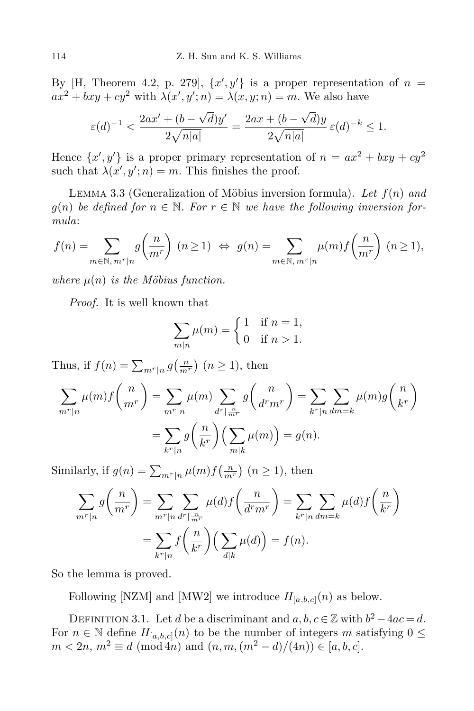By  $[H, Theorem 4.2, p. 279], \{x', y'\}$  is a proper representation of  $n =$  $ax^2 + bxy + cy^2$  with  $\lambda(x', y'; n) = \lambda(x, y; n) = m$ . We also have

$$
\varepsilon(d)^{-1} < \frac{2ax' + (b - \sqrt{d})y'}{2\sqrt{n|a|}} = \frac{2ax + (b - \sqrt{d})y}{2\sqrt{n|a|}} \varepsilon(d)^{-k} \le 1.
$$

Hence  $\{x', y'\}$  is a proper primary representation of  $n = ax^2 + bxy + cy^2$ such that  $\lambda(x', y'; n) = m$ . This finishes the proof.

LEMMA 3.3 (Generalization of Möbius inversion formula). Let  $f(n)$  and  $g(n)$  *be defined for*  $n \in \mathbb{N}$ . For  $r \in \mathbb{N}$  *we have the following inversion formula*:

$$
f(n) = \sum_{m \in \mathbb{N}, m^r \mid n} g\left(\frac{n}{m^r}\right) (n \ge 1) \Leftrightarrow g(n) = \sum_{m \in \mathbb{N}, m^r \mid n} \mu(m) f\left(\frac{n}{m^r}\right) (n \ge 1),
$$

*where*  $\mu(n)$  *is the Möbius function.* 

*Proof.* It is well known that

$$
\sum_{m|n} \mu(m) = \begin{cases} 1 & \text{if } n = 1, \\ 0 & \text{if } n > 1. \end{cases}
$$

Thus, if  $f(n) = \sum_{m^r|n} g(\frac{n}{m^r})$   $(n \ge 1)$ , then

$$
\sum_{m^r|n} \mu(m)f\left(\frac{n}{m^r}\right) = \sum_{m^r|n} \mu(m) \sum_{d^r|\frac{n}{m^r}} g\left(\frac{n}{d^r m^r}\right) = \sum_{k^r|n} \sum_{dm=k} \mu(m)g\left(\frac{n}{k^r}\right)
$$

$$
= \sum_{k^r|n} g\left(\frac{n}{k^r}\right) \left(\sum_{m|k} \mu(m)\right) = g(n).
$$

Similarly, if  $g(n) = \sum_{m^r|n} \mu(m) f\left(\frac{n}{m^r}\right)$   $(n \ge 1)$ , then

$$
\sum_{m^r|n} g\left(\frac{n}{m^r}\right) = \sum_{m^r|n} \sum_{d^r|\frac{n}{m^r}} \mu(d) f\left(\frac{n}{d^r m^r}\right) = \sum_{k^r|n} \sum_{dm=k} \mu(d) f\left(\frac{n}{k^r}\right)
$$

$$
= \sum_{k^r|n} f\left(\frac{n}{k^r}\right) \left(\sum_{d|k} \mu(d)\right) = f(n).
$$

So the lemma is proved.

Following [NZM] and [MW2] we introduce  $H_{[a,b,c]}(n)$  as below.

DEFINITION 3.1. Let *d* be a discriminant and  $a, b, c \in \mathbb{Z}$  with  $b^2 - 4ac = d$ . For  $n \in \mathbb{N}$  define  $H_{[a,b,c]}(n)$  to be the number of integers *m* satisfying  $0 \leq$  $m < 2n$ ,  $m^2 \equiv d \pmod{4n}$  and  $(n, m, (m^2 - d)/(4n)) \in [a, b, c]$ .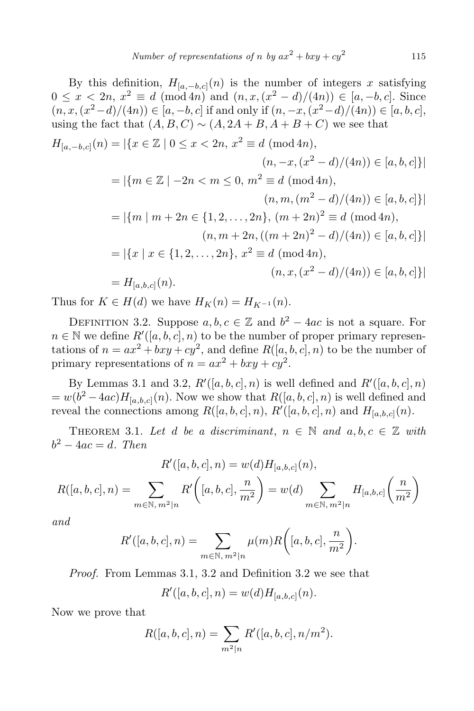By this definition,  $H_{[a,-b,c]}(n)$  is the number of integers *x* satisfying  $0 \leq x < 2n, x^2 \equiv d \pmod{4n}$  and  $(n, x, (x^2 - d)/(4n)) \in [a, -b, c]$ . Since  $(n, x, (x^2 - d)/(4n)) \in [a, -b, c]$  if and only if  $(n, -x, (x^2 - d)/(4n)) \in [a, b, c]$ , using the fact that  $(A, B, C) \sim (A, 2A + B, A + B + C)$  we see that

$$
H_{[a,-b,c]}(n) = |\{x \in \mathbb{Z} \mid 0 \le x < 2n, x^2 \equiv d \pmod{4n},
$$
  
\n
$$
(n, -x, (x^2 - d)/(4n)) \in [a, b, c] \}|
$$
  
\n
$$
= |\{m \in \mathbb{Z} \mid -2n < m \le 0, m^2 \equiv d \pmod{4n},
$$
  
\n
$$
(n, m, (m^2 - d)/(4n)) \in [a, b, c] \}|
$$
  
\n
$$
= |\{m \mid m + 2n \in \{1, 2, ..., 2n\}, (m + 2n)^2 \equiv d \pmod{4n},
$$
  
\n
$$
(n, m + 2n, ((m + 2n)^2 - d)/(4n)) \in [a, b, c] \}|
$$
  
\n
$$
= |\{x \mid x \in \{1, 2, ..., 2n\}, x^2 \equiv d \pmod{4n},
$$
  
\n
$$
(n, x, (x^2 - d)/(4n)) \in [a, b, c] \}|
$$
  
\n
$$
= H_{[a, b, c]}(n).
$$

Thus for  $K \in H(d)$  we have  $H_K(n) = H_{K-1}(n)$ .

DEFINITION 3.2. Suppose  $a, b, c \in \mathbb{Z}$  and  $b^2 - 4ac$  is not a square. For  $n \in \mathbb{N}$  we define  $R'([a, b, c], n)$  to be the number of proper primary representations of  $n = ax^2 + bxy + cy^2$ , and define  $R([a, b, c], n)$  to be the number of primary representations of  $n = ax^2 + bxy + cy^2$ .

By Lemmas 3.1 and 3.2,  $R'([a, b, c], n)$  is well defined and  $R'([a, b, c], n)$  $= w(b^2 - 4ac)H_{[a,b,c]}(n)$ . Now we show that  $R([a, b, c], n)$  is well defined and reveal the connections among  $R([a, b, c], n)$ ,  $R'([a, b, c], n)$  and  $H_{[a, b, c]}(n)$ .

THEOREM 3.1. Let *d* be a discriminant,  $n \in \mathbb{N}$  and  $a, b, c \in \mathbb{Z}$  with *b* <sup>2</sup> *<sup>−</sup>* <sup>4</sup>*ac* <sup>=</sup> *<sup>d</sup>. Then*

$$
R'([a, b, c], n) = w(d)H_{[a, b, c]}(n),
$$
  

$$
R([a, b, c], n) = \sum_{m \in \mathbb{N}, m^2 \mid n} R'([a, b, c], \frac{n}{m^2}) = w(d) \sum_{m \in \mathbb{N}, m^2 \mid n} H_{[a, b, c]}(\frac{n}{m^2})
$$

*and*

$$
R'([a, b, c], n) = \sum_{m \in \mathbb{N}, m^2 | n} \mu(m) R([a, b, c], \frac{n}{m^2}).
$$

*Proof.* From Lemmas 3.1, 3.2 and Definition 3.2 we see that

$$
R'([a, b, c], n) = w(d)H_{[a, b, c]}(n).
$$

Now we prove that

$$
R([a, b, c], n) = \sum_{m^2|n} R'([a, b, c], n/m^2).
$$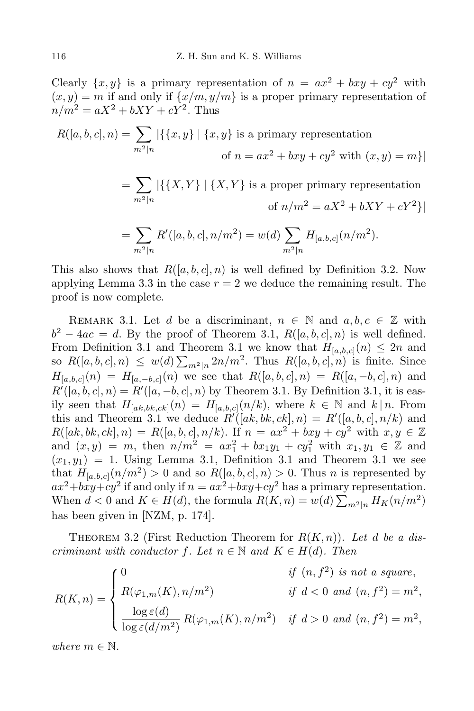Clearly  $\{x, y\}$  is a primary representation of  $n = ax^2 + bxy + cy^2$  with  $(x, y) = m$  if and only if  $\{x/m, y/m\}$  is a proper primary representation of  $n/m^2 = aX^2 + bXY + cY^2$ . Thus

$$
R([a, b, c], n) = \sum_{m^2|n} |\{\{x, y\} | \{x, y\} \text{ is a primary representation}
$$
  
of  $n = ax^2 + bxy + cy^2$  with  $(x, y) = m\}|$   

$$
= \sum_{m^2|n} |\{\{X, Y\} | \{X, Y\} \text{ is a proper primary representation}
$$
  
of  $n/m^2 = aX^2 + bXY + cY^2\}|$   

$$
= \sum_{m^2|n} R'([a, b, c], n/m^2) = w(d) \sum_{m^2|n} H_{[a, b, c]}(n/m^2).
$$

This also shows that  $R([a, b, c], n)$  is well defined by Definition 3.2. Now applying Lemma 3.3 in the case  $r = 2$  we deduce the remaining result. The proof is now complete.

REMARK 3.1. Let *d* be a discriminant,  $n \in \mathbb{N}$  and  $a, b, c \in \mathbb{Z}$  with  $b^2 - 4ac = d$ . By the proof of Theorem 3.1,  $R([a, b, c], n)$  is well defined. From Definition 3.1 and Theorem 3.1 we know that  $H_{[a,b,c]}(n) \leq 2n$  and so  $R([a, b, c], n) \leq w(d) \sum_{m^2|n} 2n/m^2$ . Thus  $R([a, b, c], n)$  is finite. Since *H*<sub>[*a,b,c*](*n*) = *H*<sub>[*a,-b,c*](*n*) we see that  $R([a, b, c], n) = R([a, -b, c], n)$  and</sub></sub>  $R'([a, b, c], n) = R'([a, -b, c], n)$  by Theorem 3.1. By Definition 3.1, it is easily seen that  $H_{[ak,bk,ck]}(n) = H_{[a,b,c]}(n/k)$ , where  $k \in \mathbb{N}$  and  $k | n$ . From this and Theorem 3.1 we deduce  $R'([ak, bk, ck], n) = R'([a, b, c], n/k)$  and  $R([ak, bk, ck], n) = R([a, b, c], n/k)$ . If  $n = ax^2 + bxy + cy^2$  with  $x, y \in \mathbb{Z}$ and  $(x, y) = m$ , then  $n/m^2 = ax_1^2 + bx_1y_1 + cy_1^2$  with  $x_1, y_1 \in \mathbb{Z}$  and  $(x_1, y_1) = 1$ . Using Lemma 3.1, Definition 3.1 and Theorem 3.1 we see that  $H_{[a,b,c]}(n/m^2) > 0$  and so  $R([a,b,c],n) > 0$ . Thus *n* is represented by  $ax^2+ bxy+cy^2$  if and only if  $n=ax^2+ bxy+cy^2$  has a primary representation. When  $d < 0$  and  $K \in H(d)$ , the formula  $R(K, n) = w(d) \sum_{m^2|n} H_K(n/m^2)$ has been given in [NZM, p. 174].

THEOREM 3.2 (First Reduction Theorem for  $R(K,n)$ ). Let *d* be a dis*criminant with conductor*  $f$ *. Let*  $n \in \mathbb{N}$  *and*  $K \in H(d)$ *. Then* 

$$
R(K,n) = \begin{cases} 0 & \text{if } (n, f^2) \text{ is not a square,} \\ R(\varphi_{1,m}(K), n/m^2) & \text{if } d < 0 \text{ and } (n, f^2) = m^2, \\ \frac{\log \varepsilon(d)}{\log \varepsilon(d/m^2)} R(\varphi_{1,m}(K), n/m^2) & \text{if } d > 0 \text{ and } (n, f^2) = m^2, \end{cases}
$$

*where*  $m \in \mathbb{N}$ .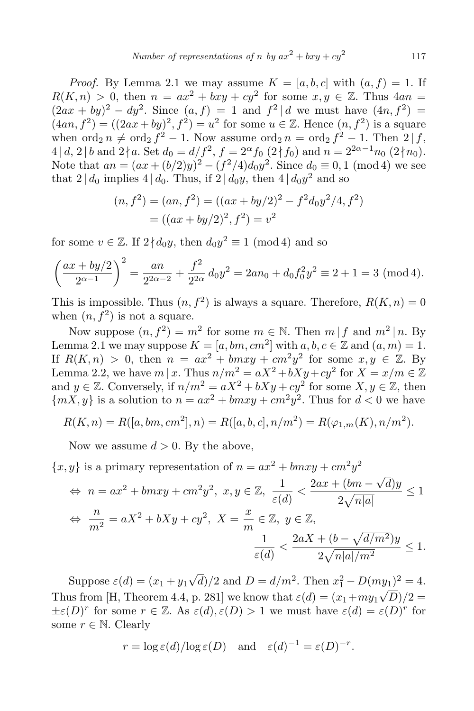*Proof.* By Lemma 2.1 we may assume  $K = [a, b, c]$  with  $(a, f) = 1$ . If  $R(K,n) > 0$ , then  $n = ax^2 + bxy + cy^2$  for some  $x, y \in \mathbb{Z}$ . Thus  $4an =$  $(2ax + by)^2 - dy^2$ . Since  $(a, f) = 1$  and  $f^2 | d$  we must have  $(4n, f^2) =$  $(4an, f^2) = ((2ax + by)^2, f^2) = u^2$  for some  $u \in \mathbb{Z}$ . Hence  $(n, f^2)$  is a square when  $\operatorname{ord}_2 n \neq \operatorname{ord}_2 f^2 - 1$ . Now assume  $\operatorname{ord}_2 n = \operatorname{ord}_2 f^2 - 1$ . Then  $2 | f,$  $4 | d, 2 | b$  and  $2 \nmid a$ . Set  $d_0 = d/f^2$ ,  $f = 2^{\alpha} f_0 (2 \nmid f_0)$  and  $n = 2^{2\alpha - 1} n_0 (2 \nmid n_0)$ . Note that  $an = (ax + (b/2)y)^2 - (f^2/4)d_0y^2$ . Since  $d_0 \equiv 0, 1 \pmod{4}$  we see that  $2 | d_0$  implies  $4 | d_0$ . Thus, if  $2 | d_0 y$ , then  $4 | d_0 y^2$  and so

$$
(n, f2) = (an, f2) = ((ax + by/2)2 – f2dy2/4, f2)
$$
  
= ((ax + by/2)<sup>2</sup>, f<sup>2</sup>) = v<sup>2</sup>

for some  $v \in \mathbb{Z}$ . If  $2 \nmid d_0 y$ , then  $d_0 y^2 \equiv 1 \pmod{4}$  and so

$$
\left(\frac{ax + by/2}{2^{\alpha - 1}}\right)^2 = \frac{an}{2^{2\alpha - 2}} + \frac{f^2}{2^{2\alpha}}d_0y^2 = 2an_0 + d_0f_0^2y^2 \equiv 2 + 1 = 3 \pmod{4}.
$$

This is impossible. Thus  $(n, f^2)$  is always a square. Therefore,  $R(K, n) = 0$ when  $(n, f^2)$  is not a square.

Now suppose  $(n, f^2) = m^2$  for some  $m \in \mathbb{N}$ . Then  $m | f$  and  $m^2 | n$ . By Lemma 2.1 we may suppose  $K = [a, bm, cm^2]$  with  $a, b, c \in \mathbb{Z}$  and  $(a, m) = 1$ . If  $R(K,n) > 0$ , then  $n = ax^2 + bmxy + cm^2y^2$  for some  $x, y \in \mathbb{Z}$ . By Lemma 2.2, we have  $m | x$ . Thus  $n/m^2 = aX^2 + bXy + cy^2$  for  $X = x/m \in \mathbb{Z}$ and  $y \in \mathbb{Z}$ . Conversely, if  $n/m^2 = aX^2 + bXy + cy^2$  for some  $X, y \in \mathbb{Z}$ , then  ${mX, y}$  is a solution to  $n = ax^2 + bmxy + cm^2y^2$ . Thus for  $d < 0$  we have

$$
R(K, n) = R([a, bm, cm2], n) = R([a, b, c], n/m2) = R(\varphi_{1,m}(K), n/m2).
$$

Now we assume  $d > 0$ . By the above,

 ${x, y}$  is a primary representation of  $n = ax^2 + bmxy + cm^2y^2$  $\Leftrightarrow$   $n = ax^2 + bmxy + cm^2y^2, x, y \in \mathbb{Z}, \frac{1}{\varepsilon(a)}$  $\frac{1}{\varepsilon(d)} < \frac{2ax + (bm - \sqrt{d})y}{2\sqrt{n|a|}}$  $2\sqrt{n|a|}$ *≤* 1 *⇔ n*  $\frac{n}{m^2} = aX^2 + bXy + cy^2, X = \frac{x}{m}$  $\frac{x}{m} \in \mathbb{Z}, y \in \mathbb{Z},$ 1  $\frac{1}{\varepsilon(d)} < \frac{2aX + (b - \sqrt{d/m^2})y}{2\sqrt{n|a|/m^2}}$  $2\sqrt{n|a|/m^2}$ *≤* 1*.*

Suppose  $\varepsilon(d) = (x_1 + y_1\sqrt{d})/2$  and  $D = d/m^2$ . Then  $x_1^2 - D(my_1)^2 = 4$ . Thus from [H, Theorem 4.4, p. 281] we know that  $\varepsilon(d) = (x_1 + my_1\sqrt{D})/2 =$  $\pm \varepsilon(D)^r$  for some  $r \in \mathbb{Z}$ . As  $\varepsilon(d), \varepsilon(D) > 1$  we must have  $\varepsilon(d) = \varepsilon(D)^r$  for some  $r \in \mathbb{N}$ . Clearly

$$
r = \log \varepsilon(d) / \log \varepsilon(D)
$$
 and  $\varepsilon(d)^{-1} = \varepsilon(D)^{-r}$ .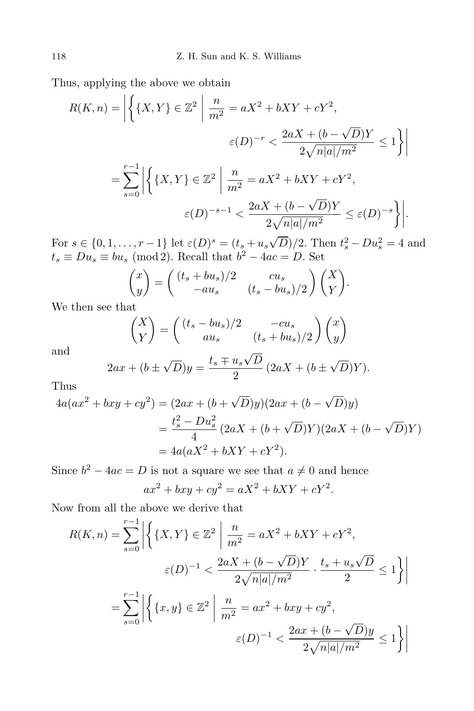Thus, applying the above we obtain

$$
R(K,n) = \left| \left\{ \{X,Y\} \in \mathbb{Z}^2 \; \middle| \; \frac{n}{m^2} = aX^2 + bXY + cY^2, \right.\right.
$$

$$
\varepsilon(D)^{-r} < \frac{2aX + (b - \sqrt{D})Y}{2\sqrt{n|a|/m^2}} \le 1 \right\} \right|
$$

$$
= \sum_{s=0}^{r-1} \left| \left\{ \{X,Y\} \in \mathbb{Z}^2 \; \middle| \; \frac{n}{m^2} = aX^2 + bXY + cY^2, \right.\right.
$$

$$
\varepsilon(D)^{-s-1} < \frac{2aX + (b - \sqrt{D})Y}{2\sqrt{n|a|/m^2}} \le \varepsilon(D)^{-s} \right\} \right|.
$$

For  $s \in \{0, 1, ..., r-1\}$  let  $\varepsilon(D)^s = (t_s + u_s \sqrt{D})/2$ . Then  $t_s^2 - Du_s^2 = 4$  and  $t_s \equiv Du_s \equiv bu_s \pmod{2}$ . Recall that  $b^2 - 4ac = D$ . Set

$$
\begin{pmatrix} x \ y \end{pmatrix} = \begin{pmatrix} (t_s + bu_s)/2 & cu_s \\ -au_s & (t_s - bu_s)/2 \end{pmatrix} \begin{pmatrix} X \\ Y \end{pmatrix}.
$$

We then see that

$$
\begin{pmatrix} X \\ Y \end{pmatrix} = \begin{pmatrix} (t_s - bu_s)/2 & -cu_s \\ au_s & (t_s + bu_s)/2 \end{pmatrix} \begin{pmatrix} x \\ y \end{pmatrix}
$$

and

$$
2ax + (b \pm \sqrt{D})y = \frac{t_s \mp u_s \sqrt{D}}{2} (2aX + (b \pm \sqrt{D})Y).
$$

Thus

$$
4a(ax^{2} + bxy + cy^{2}) = (2ax + (b + \sqrt{D})y)(2ax + (b - \sqrt{D})y)
$$
  
=  $\frac{t_{s}^{2} - Du_{s}^{2}}{4} (2aX + (b + \sqrt{D})Y)(2aX + (b - \sqrt{D})Y)$   
=  $4a(aX^{2} + bXY + cY^{2}).$ 

Since  $b^2 - 4ac = D$  is not a square we see that  $a \neq 0$  and hence

$$
ax^2 + bxy + cy^2 = aX^2 + bXY + cY^2.
$$

Now from all the above we derive that

$$
R(K, n) = \sum_{s=0}^{r-1} \left| \left\{ \{X, Y\} \in \mathbb{Z}^2 \; \middle| \; \frac{n}{m^2} = aX^2 + bXY + cY^2, \\ \varepsilon(D)^{-1} < \frac{2aX + (b - \sqrt{D})Y}{2\sqrt{n|a|/m^2}} \cdot \frac{t_s + u_s\sqrt{D}}{2} \le 1 \right\} \right|
$$
\n
$$
= \sum_{s=0}^{r-1} \left| \left\{ \{x, y\} \in \mathbb{Z}^2 \; \middle| \; \frac{n}{m^2} = ax^2 + bxy + cy^2, \\ \varepsilon(D)^{-1} < \frac{2ax + (b - \sqrt{D})y}{2\sqrt{n|a|/m^2}} \le 1 \right\} \right|
$$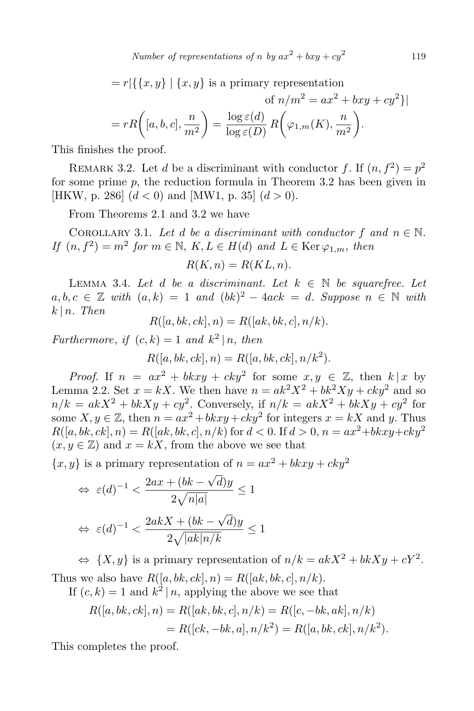*Number of representations of <i>n by*  $ax^2 + bxy + cy^2$ 119

 $= r | \{ \{x, y\} | \{x, y\} \}$  is a primary representation

of 
$$
n/m^2 = ax^2 + bxy + cy^2
$$
}  
=  $rR\left([a, b, c], \frac{n}{m^2}\right) = \frac{\log \varepsilon(d)}{\log \varepsilon(D)} R\left(\varphi_{1,m}(K), \frac{n}{m^2}\right).$ 

This finishes the proof.

REMARK 3.2. Let *d* be a discriminant with conductor *f*. If  $(n, f^2) = p^2$ for some prime *p*, the reduction formula in Theorem 3.2 has been given in [HKW, p. 286]  $(d < 0)$  and [MW1, p. 35]  $(d > 0)$ .

From Theorems 2.1 and 3.2 we have

COROLLARY 3.1. Let *d* be a discriminant with conductor  $f$  and  $n \in \mathbb{N}$ .  $If (n, f^2) = m^2$  *for*  $m \in \mathbb{N}$ ,  $K, L \in H(d)$  *and*  $L \in \text{Ker } \varphi_{1,m}$ , *then* 

$$
R(K, n) = R(KL, n).
$$

LEMMA 3.4. Let *d be a discriminant.* Let  $k \in \mathbb{N}$  *be squarefree. Let*  $a, b, c \in \mathbb{Z}$  *with*  $(a, k) = 1$  *and*  $(bk)^2 - 4ack = d$ *. Suppose*  $n \in \mathbb{N}$  *with*  $k \mid n$ *. Then* 

$$
R([a, bk, ck], n) = R([ak, bk, c], n/k).
$$

*Furthermore, if*  $(c, k) = 1$  *and*  $k^2 | n$ *, then* 

$$
R([a, bk, ck], n) = R([a, bk, ck], n/k2).
$$

*Proof.* If  $n = ax^2 + b kxy + cky^2$  for some  $x, y \in \mathbb{Z}$ , then  $k | x$  by Lemma 2.2. Set  $x = kX$ . We then have  $n = ak^2X^2 + bk^2Xy + cky^2$  and so  $n/k = akX^2 + bkXy + cy^2$ . Conversely, if  $n/k = akX^2 + bkXy + cy^2$  for some  $X, y \in \mathbb{Z}$ , then  $n = ax^2 + b kxy + cky^2$  for integers  $x = kX$  and *y*. Thus  $R([a, bk, ck], n) = R([ak, bk, c], n/k)$  for  $d < 0$ . If  $d > 0$ ,  $n = ax^2 + b kxy + cky^2$  $(x, y \in \mathbb{Z})$  and  $x = kX$ , from the above we see that

 ${x, y}$  is a primary representation of  $n = ax^2 + b kxy + cky^2$ 

$$
\Leftrightarrow \ \varepsilon(d)^{-1} < \frac{2ax + (bk - \sqrt{d})y}{2\sqrt{n|a|}} \le 1
$$
\n
$$
\Leftrightarrow \ \varepsilon(d)^{-1} < \frac{2akX + (bk - \sqrt{d})y}{2\sqrt{|ak|n/k}} \le 1
$$

 $\Leftrightarrow$   $\{X, y\}$  is a primary representation of  $n/k = akX^2 + bkXy + cY^2$ . Thus we also have  $R([a, bk, ck], n) = R([ak, bk, c], n/k)$ .

If  $(c, k) = 1$  and  $k^2 | n$ , applying the above we see that

$$
R([a, bk, ck], n) = R([ak, bk, c], n/k) = R([c, -bk, ak], n/k)
$$
  
= R([ck, -bk, a], n/k<sup>2</sup>) = R([a, bk, ck], n/k<sup>2</sup>).

This completes the proof.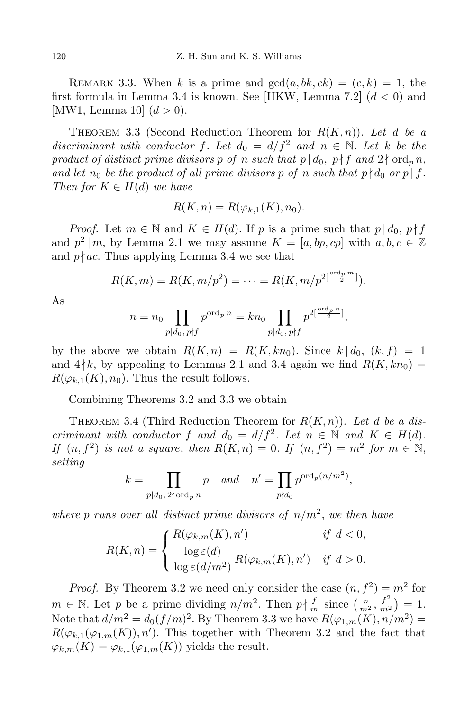REMARK 3.3. When *k* is a prime and  $gcd(a, bk, ck) = (c, k) = 1$ , the first formula in Lemma 3.4 is known. See [HKW, Lemma 7.2] (*d <* 0) and [MW1, Lemma 10]  $(d > 0)$ .

THEOREM 3.3 (Second Reduction Theorem for  $R(K,n)$ ). Let *d* be a *discriminant with conductor f. Let*  $d_0 = d/f^2$  *and*  $n \in \mathbb{N}$ *. Let k be the product of distinct prime divisors p of n such that*  $p \mid d_0, p \nmid f$  *and*  $2 \nmid \text{ord}_p n$ , *and let*  $n_0$  *be the product of all prime divisors p of n such that*  $p \nmid d_0$  *or*  $p \mid f$ *. Then for*  $K \in H(d)$  *we have* 

$$
R(K, n) = R(\varphi_{k,1}(K), n_0).
$$

*Proof.* Let  $m \in \mathbb{N}$  and  $K \in H(d)$ . If *p* is a prime such that  $p \mid d_0, p \nmid f$ and  $p^2 | m$ , by Lemma 2.1 we may assume  $K = [a, bp, cp]$  with  $a, b, c \in \mathbb{Z}$ and  $p \nmid ac$ . Thus applying Lemma 3.4 we see that

$$
R(K,m) = R(K,m/p^2) = \cdots = R(K,m/p^{2\lfloor \frac{\text{ord}_p m}{2} \rfloor}).
$$

As

$$
n = n_0 \prod_{p|d_0, p \nmid f} p^{\text{ord}_p \, n} = kn_0 \prod_{p|d_0, p \nmid f} p^{2\left[\frac{\text{ord}_p \, n}{2}\right]},
$$

by the above we obtain  $R(K, n) = R(K, kn_0)$ . Since  $k | d_0, (k, f) = 1$ and  $4 \nmid k$ , by appealing to Lemmas 2.1 and 3.4 again we find  $R(K, kn_0)$  =  $R(\varphi_{k,1}(K), n_0)$ . Thus the result follows.

Combining Theorems 3.2 and 3.3 we obtain

THEOREM 3.4 (Third Reduction Theorem for  $R(K, n)$ ). Let *d* be a dis*criminant with conductor*  $f$  *and*  $d_0 = d/f^2$ . Let  $n \in \mathbb{N}$  and  $K \in H(d)$ . *If*  $(n, f^2)$  *is not a square, then*  $R(K, n) = 0$ *. If*  $(n, f^2) = m^2$  *for*  $m \in \mathbb{N}$ , *setting*

$$
k = \prod_{p|d_0, 2 \nmid \text{ord}_p n} p \quad \text{and} \quad n' = \prod_{p \nmid d_0} p^{\text{ord}_p(n/m^2)},
$$

*where*  $p$  *runs over all distinct prime divisors of*  $n/m^2$ , *we then have* 

$$
R(K,n) = \begin{cases} R(\varphi_{k,m}(K), n') & \text{if } d < 0, \\ \frac{\log \varepsilon(d)}{\log \varepsilon(d/m^2)} R(\varphi_{k,m}(K), n') & \text{if } d > 0. \end{cases}
$$

*Proof.* By Theorem 3.2 we need only consider the case  $(n, f^2) = m^2$  for  $m \in \mathbb{N}$ . Let *p* be a prime dividing  $n/m^2$ . Then  $p \nmid \frac{f}{m}$  since  $\left(\frac{n}{m^2}, \frac{f^2}{m^2}\right)$  $\frac{f^2}{m^2}$  = 1. Note that  $d/m^2 = d_0(f/m)^2$ . By Theorem 3.3 we have  $R(\varphi_{1,m}(K), n/m^2) =$  $R(\varphi_{k,1}(\varphi_{1,m}(K)), n')$ . This together with Theorem 3.2 and the fact that  $\varphi_{k,m}(K) = \varphi_{k,1}(\varphi_{1,m}(K))$  yields the result.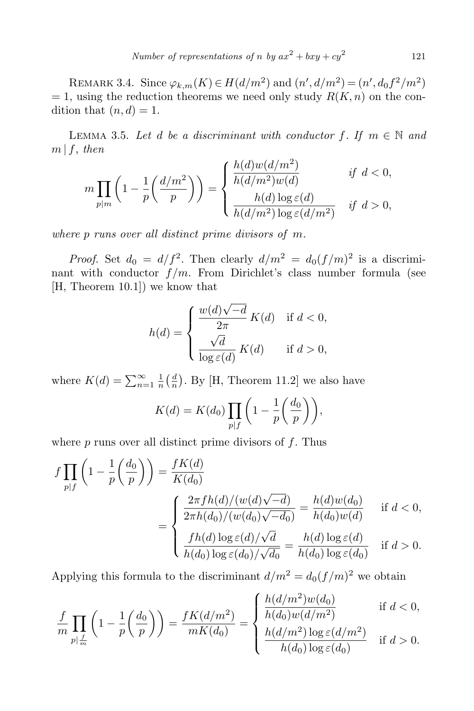REMARK 3.4. Since  $\varphi_{k,m}(K) \in H(d/m^2)$  and  $(n', d/m^2) = (n', d_0 f^2/m^2)$  $= 1$ , using the reduction theorems we need only study  $R(K, n)$  on the condition that  $(n, d) = 1$ .

LEMMA 3.5. Let *d* be a discriminant with conductor  $f$ . If  $m \in \mathbb{N}$  and  $m \mid f$ , *then h*(*d*)*w*(*d/m*<sup>2</sup>

$$
m\prod_{p|m}\left(1-\frac{1}{p}\left(\frac{d/m^2}{p}\right)\right)=\begin{cases} \frac{h(d)w(d/m^2)}{h(d/m^2)w(d)} & \text{if } d<0, \\ \frac{h(d)\log \varepsilon(d)}{h(d/m^2)\log \varepsilon(d/m^2)} & \text{if } d>0, \end{cases}
$$

*where p runs over all distinct prime divisors of m.*

*Proof.* Set  $d_0 = d/f^2$ . Then clearly  $d/m^2 = d_0(f/m)^2$  is a discriminant with conductor  $f/m$ . From Dirichlet's class number formula (see [H, Theorem 10.1]) we know that

$$
h(d) = \begin{cases} \frac{w(d)\sqrt{-d}}{2\pi} K(d) & \text{if } d < 0, \\ \frac{\sqrt{d}}{\log \varepsilon(d)} K(d) & \text{if } d > 0, \end{cases}
$$

where  $K(d) = \sum_{n=1}^{\infty} \frac{1}{n}$  $\frac{1}{n}$  $\left(\frac{d}{n}\right)$  $\frac{d}{n}$ ). By [H, Theorem 11.2] we also have

$$
K(d) = K(d_0) \prod_{p \mid f} \left( 1 - \frac{1}{p} \left( \frac{d_0}{p} \right) \right),
$$

where *p* runs over all distinct prime divisors of *f*. Thus

$$
f \prod_{p|f} \left( 1 - \frac{1}{p} \left( \frac{d_0}{p} \right) \right) = \frac{fK(d)}{K(d_0)}
$$
  
= 
$$
\begin{cases} \frac{2\pi fh(d)/(w(d)\sqrt{-d})}{2\pi h(d_0)/(w(d_0)\sqrt{-d_0})} = \frac{h(d)w(d_0)}{h(d_0)w(d)} & \text{if } d < 0, \\ \frac{fh(d)\log \varepsilon(d)/\sqrt{d}}{h(d_0)\log \varepsilon(d_0)/\sqrt{d_0}} = \frac{h(d)\log \varepsilon(d)}{h(d_0)\log \varepsilon(d_0)} & \text{if } d > 0. \end{cases}
$$

Applying this formula to the discriminant  $d/m^2 = d_0(f/m)^2$  we obtain

$$
\frac{f}{m} \prod_{p \mid \frac{L}{m}} \left( 1 - \frac{1}{p} \left( \frac{d_0}{p} \right) \right) = \frac{fK(d/m^2)}{mK(d_0)} = \begin{cases} \frac{h(d/m^2)w(d_0)}{h(d_0)w(d/m^2)} & \text{if } d < 0, \\ \frac{h(d/m^2) \log \varepsilon(d/m^2)}{h(d_0) \log \varepsilon(d_0)} & \text{if } d > 0. \end{cases}
$$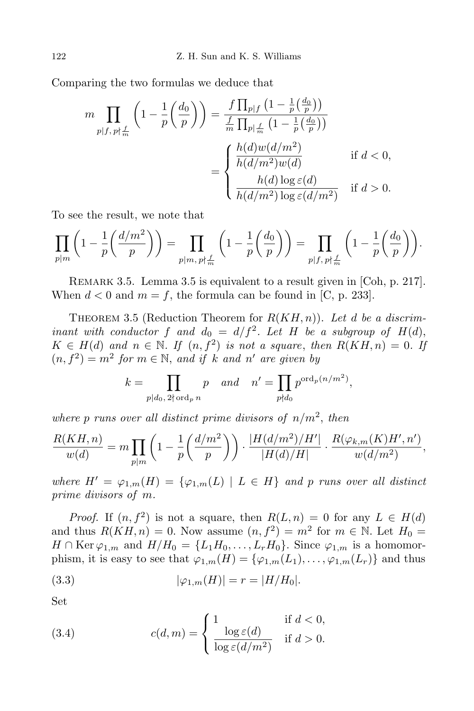Comparing the two formulas we deduce that

$$
m \prod_{p \mid f, p \nmid \frac{f}{m}} \left( 1 - \frac{1}{p} \left( \frac{d_0}{p} \right) \right) = \frac{f \prod_{p \mid f} \left( 1 - \frac{1}{p} \left( \frac{d_0}{p} \right) \right)}{\frac{f}{m} \prod_{p \mid \frac{f}{m}} \left( 1 - \frac{1}{p} \left( \frac{d_0}{p} \right) \right)}
$$

$$
= \begin{cases} \frac{h(d) w(d/m^2)}{h(d/m^2) w(d)} & \text{if } d < 0, \\ \frac{h(d) \log \varepsilon(d)}{h(d/m^2) \log \varepsilon(d/m^2)} & \text{if } d > 0. \end{cases}
$$

To see the result, we note that

$$
\prod_{p|m} \left(1 - \frac{1}{p} \left(\frac{d/m^2}{p}\right)\right) = \prod_{p|m, p \nmid \frac{f}{m}} \left(1 - \frac{1}{p} \left(\frac{d_0}{p}\right)\right) = \prod_{p|f, p \nmid \frac{f}{m}} \left(1 - \frac{1}{p} \left(\frac{d_0}{p}\right)\right).
$$

REMARK 3.5. Lemma 3.5 is equivalent to a result given in [Coh, p. 217]. When  $d < 0$  and  $m = f$ , the formula can be found in [C, p. 233].

THEOREM 3.5 (Reduction Theorem for  $R(KH, n)$ ). Let *d* be a discrim*inant with conductor*  $f$  *and*  $d_0 = d/f^2$ . Let  $H$  *be a subgroup of*  $H(d)$ ,  $K \in H(d)$  *and*  $n \in \mathbb{N}$ . If  $(n, f^2)$  *is not a square, then*  $R(KH, n) = 0$ . If  $(n, f^2) = m^2$  *for*  $m \in \mathbb{N}$ , and *if k* and *n'* are given by

$$
k = \prod_{p|d_0, 2 \nmid \text{ord}_p n} p \quad and \quad n' = \prod_{p\nmid d_0} p^{\text{ord}_p(n/m^2)},
$$

where  $p$  *runs over all distinct prime divisors of*  $n/m^2$ , *then* 

$$
\frac{R(KH,n)}{w(d)} = m \prod_{p|m} \left( 1 - \frac{1}{p} \left( \frac{d/m^2}{p} \right) \right) \cdot \frac{|H(d/m^2)/H'|}{|H(d)/H|} \cdot \frac{R(\varphi_{k,m}(K)H',n')}{w(d/m^2)},
$$

*where*  $H' = \varphi_{1,m}(H) = {\varphi_{1,m}(L) | L \in H}$  *and p runs over all distinct prime divisors of m.*

*Proof.* If  $(n, f^2)$  is not a square, then  $R(L, n) = 0$  for any  $L \in H(d)$ and thus  $R(KH, n) = 0$ . Now assume  $(n, f^2) = m^2$  for  $m \in \mathbb{N}$ . Let  $H_0 =$  $H \cap \text{Ker }\varphi_{1,m}$  and  $H/H_0 = \{L_1H_0, \ldots, L_rH_0\}$ . Since  $\varphi_{1,m}$  is a homomorphism, it is easy to see that  $\varphi_{1,m}(H) = {\varphi_{1,m}(L_1), \ldots, \varphi_{1,m}(L_r)}$  and thus

(3.3) 
$$
|\varphi_{1,m}(H)| = r = |H/H_0|.
$$

Set

(3.4) 
$$
c(d,m) = \begin{cases} 1 & \text{if } d < 0, \\ \frac{\log \varepsilon(d)}{\log \varepsilon(d/m^2)} & \text{if } d > 0. \end{cases}
$$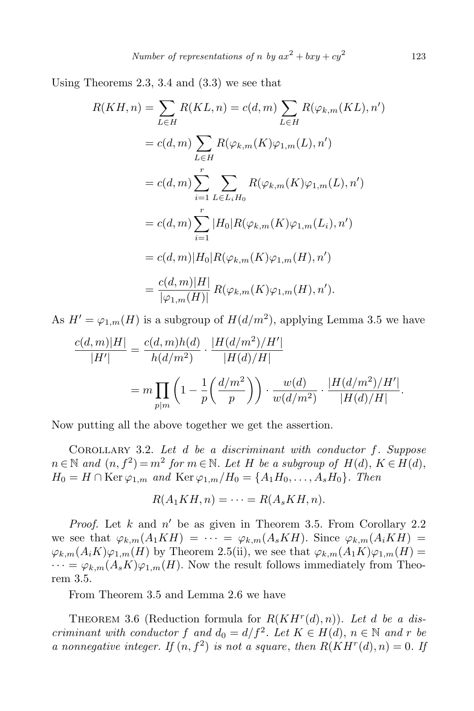Using Theorems 2.3, 3.4 and (3.3) we see that

$$
R(KH, n) = \sum_{L \in H} R(KL, n) = c(d, m) \sum_{L \in H} R(\varphi_{k,m}(KL), n')
$$
  
=  $c(d, m) \sum_{L \in H} R(\varphi_{k,m}(K)\varphi_{1,m}(L), n')$   
=  $c(d, m) \sum_{i=1}^{r} \sum_{L \in L_i H_0} R(\varphi_{k,m}(K)\varphi_{1,m}(L), n')$   
=  $c(d, m) \sum_{i=1}^{r} |H_0| R(\varphi_{k,m}(K)\varphi_{1,m}(L_i), n')$   
=  $c(d, m) |H_0| R(\varphi_{k,m}(K)\varphi_{1,m}(H), n')$   
=  $\frac{c(d, m) |H|}{|\varphi_{1,m}(H)|} R(\varphi_{k,m}(K)\varphi_{1,m}(H), n').$ 

As  $H' = \varphi_{1,m}(H)$  is a subgroup of  $H(d/m^2)$ , applying Lemma 3.5 we have

$$
\frac{c(d,m)|H|}{|H'|} = \frac{c(d,m)h(d)}{h(d/m^2)} \cdot \frac{|H(d/m^2)/H'|}{|H(d)/H|}
$$
  
=  $m \prod_{p|m} \left(1 - \frac{1}{p} \left(\frac{d/m^2}{p}\right)\right) \cdot \frac{w(d)}{w(d/m^2)} \cdot \frac{|H(d/m^2)/H'|}{|H(d)/H|}.$ 

Now putting all the above together we get the assertion.

Corollary 3.2. *Let d be a discriminant with conductor f. Suppose*  $n \in \mathbb{N}$  and  $(n, f^2) = m^2$  for  $m \in \mathbb{N}$ . Let  $H$  be a subgroup of  $H(d)$ ,  $K \in H(d)$ ,  $H_0 = H \cap \text{Ker }\varphi_{1,m}$  *and*  $\text{Ker }\varphi_{1,m}/H_0 = \{A_1H_0, \ldots, A_sH_0\}$ *. Then* 

$$
R(A_1KH, n) = \cdots = R(A_sKH, n).
$$

*Proof.* Let *k* and *n ′* be as given in Theorem 3.5. From Corollary 2.2 we see that  $\varphi_{k,m}(A_1KH) = \cdots = \varphi_{k,m}(A_sKH)$ . Since  $\varphi_{k,m}(A_iKH) =$  $\varphi_{k,m}(A_iK)\varphi_{1,m}(H)$  by Theorem 2.5(ii), we see that  $\varphi_{k,m}(A_iK)\varphi_{1,m}(H)$  $\cdots = \varphi_{k,m}(A_s K) \varphi_{1,m}(H)$ . Now the result follows immediately from Theorem 3.5.

From Theorem 3.5 and Lemma 2.6 we have

THEOREM 3.6 (Reduction formula for  $R(KH<sup>r</sup>(d), n)$ ). Let *d* be a dis*criminant with conductor*  $f$  *and*  $d_0 = d/f^2$ . Let  $K \in H(d)$ ,  $n \in \mathbb{N}$  and  $r$  be *a* nonnegative integer. If  $(n, f^2)$  is not a square, then  $R(KH^r(d), n) = 0$ . If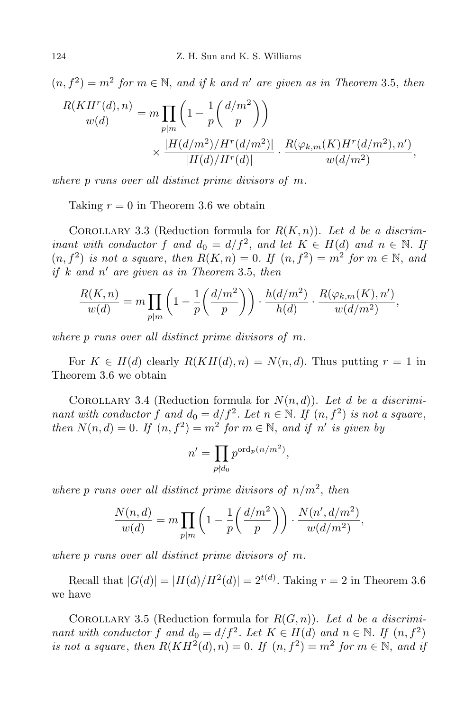$$
(n, f2) = m2 for m \in \mathbb{N}, and if k and n' are given as in Theorem 3.5, then
$$
  

$$
\frac{R(KHr(d), n)}{w(d)} = m \prod_{p|m} \left( 1 - \frac{1}{p} \left( \frac{d/m2}{p} \right) \right)
$$
  

$$
\times \frac{|H(d/m2)/Hr(d/m2)|}{|H(d)/Hr(d)|} \cdot \frac{R(\varphi_{k,m}(K)Hr(d/m2), n')}{w(d/m2)},
$$

*where p runs over all distinct prime divisors of m.*

Taking  $r = 0$  in Theorem 3.6 we obtain

COROLLARY 3.3 (Reduction formula for  $R(K,n)$ ). Let *d* be a discrim*inant with conductor*  $f$  *and*  $d_0 = d/f^2$ , *and*  $let$   $K \in H(d)$  *and*  $n \in \mathbb{N}$ . If  $(n, f^2)$  *is not a square, then*  $R(K, n) = 0$ *. If*  $(n, f^2) = m^2$  *for*  $m \in \mathbb{N}$ *, and if k and n ′ are given as in Theorem* 3*.*5, *then*

$$
\frac{R(K,n)}{w(d)} = m \prod_{p|m} \left(1 - \frac{1}{p} \left(\frac{d/m^2}{p}\right)\right) \cdot \frac{h(d/m^2)}{h(d)} \cdot \frac{R(\varphi_{k,m}(K),n')}{w(d/m^2)},
$$

*where p runs over all distinct prime divisors of m.*

For  $K \in H(d)$  clearly  $R(KH(d), n) = N(n, d)$ . Thus putting  $r = 1$  in Theorem 3.6 we obtain

COROLLARY 3.4 (Reduction formula for  $N(n,d)$ ). Let *d* be a discrimi*nant with conductor*  $f$  *and*  $d_0 = d/f^2$ . Let  $n \in \mathbb{N}$ . If  $(n, f^2)$  *is not a square*, *then*  $N(n, d) = 0$ . If  $(n, f^2) = m^2$  for  $m \in \mathbb{N}$ , and if  $n'$  is given by

$$
n' = \prod_{p \nmid d_0} p^{\operatorname{ord}_p(n/m^2)},
$$

where  $p$  *runs over all distinct prime divisors of*  $n/m^2$ , *then* 

$$
\frac{N(n,d)}{w(d)} = m \prod_{p|m} \left( 1 - \frac{1}{p} \left( \frac{d/m^2}{p} \right) \right) \cdot \frac{N(n',d/m^2)}{w(d/m^2)},
$$

*where p runs over all distinct prime divisors of m.*

Recall that  $|G(d)| = |H(d)/H^2(d)| = 2^{t(d)}$ . Taking  $r = 2$  in Theorem 3.6 we have

COROLLARY 3.5 (Reduction formula for  $R(G, n)$ ). Let *d* be a discrimi*nant with conductor*  $f$  *and*  $d_0 = d/f^2$ . Let  $K \in H(d)$  *and*  $n \in \mathbb{N}$ . If  $(n, f^2)$ *is not a square, then*  $R(KH^2(d), n) = 0$ *. If*  $(n, f^2) = m^2$  *for*  $m \in \mathbb{N}$ *, and if*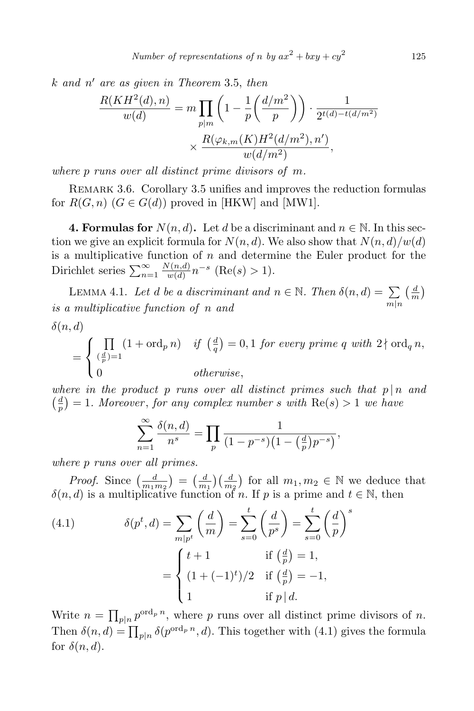*k and n ′ are as given in Theorem* 3*.*5, *then*

$$
\frac{R(KH^2(d), n)}{w(d)} = m \prod_{p|m} \left( 1 - \frac{1}{p} \left( \frac{d/m^2}{p} \right) \right) \cdot \frac{1}{2^{t(d) - t(d/m^2)}}
$$

$$
\times \frac{R(\varphi_{k,m}(K)H^2(d/m^2), n')}{w(d/m^2)},
$$

*where p runs over all distinct prime divisors of m.*

REMARK 3.6. Corollary 3.5 unifies and improves the reduction formulas for  $R(G, n)$   $(G \in G(d))$  proved in [HKW] and [MW1].

**4. Formulas for**  $N(n, d)$ . Let *d* be a discriminant and  $n \in \mathbb{N}$ . In this section we give an explicit formula for  $N(n, d)$ . We also show that  $N(n, d)/w(d)$ is a multiplicative function of *n* and determine the Euler product for the Dirichlet series  $\sum_{n=1}^{\infty}$ *N*(*n,d*)  $\frac{\sqrt{n(a)}(n,a)}{w(d)} n^{-s}$  (Re(*s*) > 1).

LEMMA 4.1. Let *d be a discriminant and*  $n \in \mathbb{N}$ . Then  $\delta(n, d) = \sum_{m|n}$  $\frac{d}{dx}$  $\frac{d}{m}$ *is a multiplicative function of n and δ*(*n, d*)

$$
= \begin{cases} \prod_{(\frac{d}{p})=1} (1+\operatorname{ord}_p n) & \text{if } (\frac{d}{q})=0,1 \text{ for every prime } q \text{ with } 2 \nmid \operatorname{ord}_q n, \\ 0 & \text{otherwise,} \end{cases}
$$

*where in the product p runs over all distinct primes such that p | n and*  $\left(\frac{d}{n}\right)$  $\frac{d}{p}$  = 1*. Moreover*, *for any complex number s with* Re(*s*) > 1 *we have* 

$$
\sum_{n=1}^{\infty} \frac{\delta(n, d)}{n^s} = \prod_p \frac{1}{(1 - p^{-s})(1 - \left(\frac{d}{p}\right)p^{-s})},
$$

*where p runs over all primes.*

*Proof.* Since  $\left(\frac{d}{m_1}\right)$  $\left(\frac{d}{m_1m_2}\right) = \left(\frac{d}{m}\right)$  $\frac{d}{m_1}$  $\left(\frac{d}{m_2}\right)$  for all  $m_1, m_2 \in \mathbb{N}$  we deduce that  $\delta(n, d)$  is a multiplicative function of *n*. If *p* is a prime and  $t \in \mathbb{N}$ , then

(4.1) 
$$
\delta(p^t, d) = \sum_{m|p^t} \left(\frac{d}{m}\right) = \sum_{s=0}^t \left(\frac{d}{p^s}\right) = \sum_{s=0}^t \left(\frac{d}{p}\right)^s
$$

$$
= \begin{cases} t+1 & \text{if } \left(\frac{d}{p}\right) = 1, \\ (1+(-1)^t)/2 & \text{if } \left(\frac{d}{p}\right) = -1, \\ 1 & \text{if } p \mid d. \end{cases}
$$

Write  $n = \prod_{p|n} p^{\text{ord}_p n}$ , where p runs over all distinct prime divisors of n. Then  $\delta(n, d) = \prod_{p|n} \delta(p^{\text{ord}_p n}, d)$ . This together with (4.1) gives the formula for  $\delta(n, d)$ .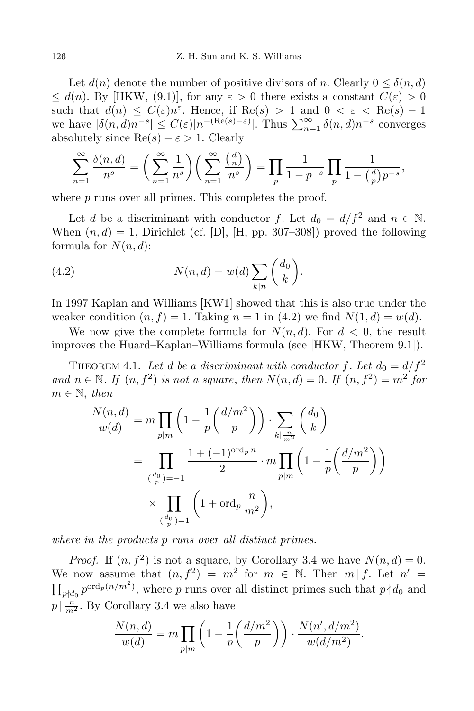Let  $d(n)$  denote the number of positive divisors of *n*. Clearly  $0 \leq \delta(n, d)$  $\leq d(n)$ . By [HKW, (9.1)], for any  $\varepsilon > 0$  there exists a constant  $C(\varepsilon) > 0$ such that  $d(n) \leq C(\varepsilon)n^{\varepsilon}$ . Hence, if  $\text{Re}(s) > 1$  and  $0 < \varepsilon < \text{Re}(s) - 1$ we have  $|\delta(n, d)n^{-s}| \leq C(\varepsilon)|n^{-(\text{Re}(s)-\varepsilon)}|$ . Thus  $\sum_{n=1}^{\infty} \delta(n, d)n^{-s}$  converges absolutely since  $\text{Re}(s) - \varepsilon > 1$ . Clearly

$$
\sum_{n=1}^{\infty} \frac{\delta(n, d)}{n^s} = \left(\sum_{n=1}^{\infty} \frac{1}{n^s}\right) \left(\sum_{n=1}^{\infty} \frac{\left(\frac{d}{n}\right)}{n^s}\right) = \prod_p \frac{1}{1 - p^{-s}} \prod_p \frac{1}{1 - \left(\frac{d}{p}\right)p^{-s}},
$$

where *p* runs over all primes. This completes the proof.

Let *d* be a discriminant with conductor *f*. Let  $d_0 = d/f^2$  and  $n \in \mathbb{N}$ . When  $(n, d) = 1$ , Dirichlet (cf. [D], [H, pp. 307–308]) proved the following formula for  $N(n, d)$ :

(4.2) 
$$
N(n,d) = w(d) \sum_{k|n} \left(\frac{d_0}{k}\right).
$$

In 1997 Kaplan and Williams [KW1] showed that this is also true under the weaker condition  $(n, f) = 1$ . Taking  $n = 1$  in (4.2) we find  $N(1, d) = w(d)$ .

We now give the complete formula for  $N(n, d)$ . For  $d < 0$ , the result improves the Huard–Kaplan–Williams formula (see [HKW, Theorem 9.1]).

THEOREM 4.1. Let *d* be a discriminant with conductor f. Let  $d_0 = d/f^2$ *and*  $n \in \mathbb{N}$ *. If*  $(n, f^2)$  *is not a square, then*  $N(n,d) = 0$ *. If*  $(n, f^2) = m^2$  *for*  $m \in \mathbb{N}$ , *then* 

$$
\frac{N(n,d)}{w(d)} = m \prod_{p|m} \left( 1 - \frac{1}{p} \left( \frac{d/m^2}{p} \right) \right) \cdot \sum_{k \mid \frac{n}{m^2}} \left( \frac{d_0}{k} \right)
$$
  
= 
$$
\prod_{\left( \frac{d_0}{p} \right) = -1} \frac{1 + (-1)^{\text{ord}_p n}}{2} \cdot m \prod_{p|m} \left( 1 - \frac{1}{p} \left( \frac{d/m^2}{p} \right) \right)
$$
  

$$
\times \prod_{\left( \frac{d_0}{p} \right) = 1} \left( 1 + \text{ord}_p \frac{n}{m^2} \right),
$$

*where in the products p runs over all distinct primes.*

*Proof.* If  $(n, f^2)$  is not a square, by Corollary 3.4 we have  $N(n,d) = 0$ . We now assume that  $(n, f^2) = m^2$  for  $m \in \mathbb{N}$ . Then  $m | f$ . Let  $n' =$  $\prod_{p \nmid d_0} p^{\text{ord}_p(n/m^2)}$ , where *p* runs over all distinct primes such that  $p \nmid d_0$  and  $p \mid \frac{n}{m^2}$ . By Corollary 3.4 we also have

$$
\frac{N(n,d)}{w(d)} = m \prod_{p|m} \left(1 - \frac{1}{p} \left(\frac{d/m^2}{p}\right)\right) \cdot \frac{N(n',d/m^2)}{w(d/m^2)}.
$$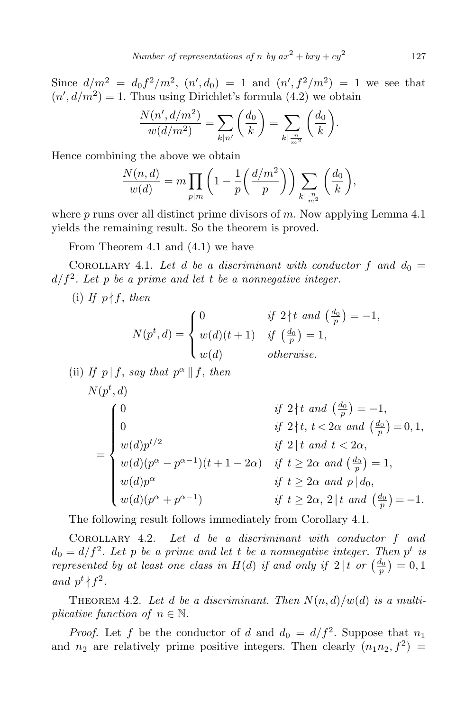Since  $d/m^2 = d_0 f^2/m^2$ ,  $(n', d_0) = 1$  and  $(n', f^2/m^2) = 1$  we see that  $(n', d/m^2) = 1$ . Thus using Dirichlet's formula (4.2) we obtain

$$
\frac{N(n', d/m^2)}{w(d/m^2)} = \sum_{k|n'} \left(\frac{d_0}{k}\right) = \sum_{k|\frac{n}{m^2}} \left(\frac{d_0}{k}\right).
$$

Hence combining the above we obtain

$$
\frac{N(n,d)}{w(d)} = m \prod_{p|m} \left( 1 - \frac{1}{p} \left( \frac{d/m^2}{p} \right) \right) \sum_{k \mid \frac{n}{m^2}} \left( \frac{d_0}{k} \right),
$$

where *p* runs over all distinct prime divisors of *m*. Now applying Lemma 4.1 yields the remaining result. So the theorem is proved.

From Theorem 4.1 and (4.1) we have

COROLLARY 4.1. Let *d* be a discriminant with conductor f and  $d_0 =$  $d/f^2$ . Let  $p$  be a prime and let  $t$  be a nonnegative integer.

(i) If  $p \nmid f$ , *then* 

$$
N(p^t, d) = \begin{cases} 0 & \text{if } 2 \nmid t \text{ and } \left(\frac{d_0}{p}\right) = -1, \\ w(d)(t+1) & \text{if } \left(\frac{d_0}{p}\right) = 1, \\ w(d) & \text{otherwise.} \end{cases}
$$

(ii) If 
$$
p | f
$$
, say that  $p^{\alpha} || f$ , then  
\n
$$
N(p^t, d)
$$
\nif  $2 \nmid t$  and  $(\frac{d_0}{p}) = -1$ ,  
\n
$$
\begin{cases}\n0 & \text{if } 2 \nmid t \text{ and } (\frac{d_0}{p}) = -1, \\
w(d)p^{t/2} & \text{if } 2 \mid t \text{ and } t < 2\alpha, \\
w(d)(p^{\alpha} - p^{\alpha - 1})(t + 1 - 2\alpha) & \text{if } t \ge 2\alpha \text{ and } (\frac{d_0}{p}) = 1, \\
w(d)p^{\alpha} & \text{if } t \ge 2\alpha \text{ and } p | d_0, \\
w(d)(p^{\alpha} + p^{\alpha - 1}) & \text{if } t \ge 2\alpha, 2 \mid t \text{ and } (\frac{d_0}{p}) = -1.\n\end{cases}
$$

The following result follows immediately from Corollary 4.1.

Corollary 4.2. *Let d be a discriminant with conductor f and*  $d_0 = d/f^2$ . Let *p* be a prime and let *t* be a nonnegative integer. Then  $p^t$  is *represented by at least one class in*  $H(d)$  *<i>if and only if*  $2|t$  *or*  $\left(\frac{d_0}{p}\right) = 0, 1$ *and*  $p^t \nmid f^2$ .

THEOREM 4.2. Let *d* be a discriminant. Then  $N(n,d)/w(d)$  is a multi*plicative function of*  $n \in \mathbb{N}$ *.* 

*Proof.* Let f be the conductor of *d* and  $d_0 = d/f^2$ . Suppose that  $n_1$ and  $n_2$  are relatively prime positive integers. Then clearly  $(n_1n_2, f^2)$  =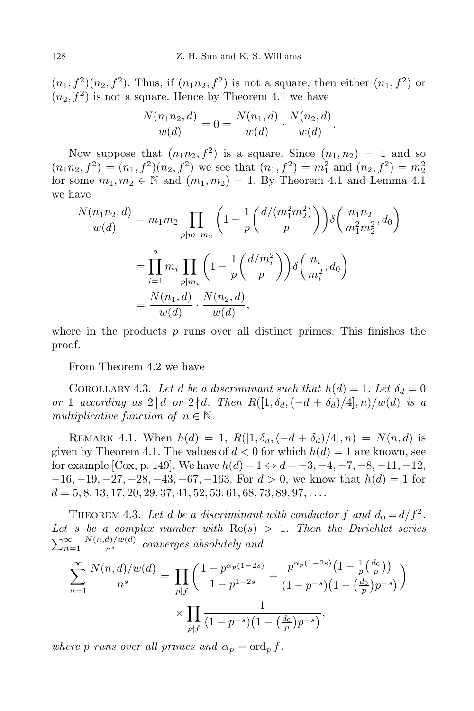$(n_1, f^2)(n_2, f^2)$ . Thus, if  $(n_1n_2, f^2)$  is not a square, then either  $(n_1, f^2)$  or  $(n_2, f^2)$  is not a square. Hence by Theorem 4.1 we have

$$
\frac{N(n_1n_2, d)}{w(d)} = 0 = \frac{N(n_1, d)}{w(d)} \cdot \frac{N(n_2, d)}{w(d)}.
$$

Now suppose that  $(n_1n_2, f^2)$  is a square. Since  $(n_1, n_2) = 1$  and so  $(n_1 n_2, f^2) = (n_1, f^2)(n_2, f^2)$  we see that  $(n_1, f^2) = m_1^2$  and  $(n_2, f^2) = m_2^2$ for some  $m_1, m_2 \in \mathbb{N}$  and  $(m_1, m_2) = 1$ . By Theorem 4.1 and Lemma 4.1 we have

$$
\frac{N(n_1n_2, d)}{w(d)} = m_1m_2 \prod_{p|m_1m_2} \left(1 - \frac{1}{p} \left(\frac{d/(m_1^2m_2^2)}{p}\right)\right) \delta\left(\frac{n_1n_2}{m_1^2m_2^2}, d_0\right)
$$

$$
= \prod_{i=1}^2 m_i \prod_{p|m_i} \left(1 - \frac{1}{p} \left(\frac{d/m_i^2}{p}\right)\right) \delta\left(\frac{n_i}{m_i^2}, d_0\right)
$$

$$
= \frac{N(n_1, d)}{w(d)} \cdot \frac{N(n_2, d)}{w(d)},
$$

where in the products  $p$  runs over all distinct primes. This finishes the proof.

From Theorem 4.2 we have

COROLLARY 4.3. Let *d* be a discriminant such that  $h(d) = 1$ . Let  $\delta_d = 0$ *or* 1 *according as*  $2 | d$  *or*  $2 \nmid d$ *. Then*  $R([1, \delta_d, (-d + \delta_d)/4], n)/w(d)$  *is a multiplicative function of*  $n \in \mathbb{N}$ .

REMARK 4.1. When  $h(d) = 1$ ,  $R([1, \delta_d, (-d + \delta_d)/4], n) = N(n, d)$  is given by Theorem 4.1. The values of  $d < 0$  for which  $h(d) = 1$  are known, see for example [Cox, p. 149]. We have  $h(d) = 1 \Leftrightarrow d = -3, -4, -7, -8, -11, -12,$ *−*16*, −*19*, −*27*, −*28*, −*43*, −*67*, −*163*.* For *d >* 0, we know that *h*(*d*) = 1 for *d* = 5*,* 8*,* 13*,* 17*,* 20*,* 29*,* 37*,* 41*,* 52*,* 53*,* 61*,* 68*,* 73*,* 89*,* 97*, . . ..*

THEOREM 4.3. Let *d* be a discriminant with conductor  $f$  and  $d_0 = d/f^2$ . Let *s* be a complex number with  $\text{Re}(s) > 1$ . Then the Dirichlet series  $\sum_{n=1}^{\infty}$  $\frac{N(n,d)/w(d)}{n^s}$  *converges absolutely and* 

$$
\sum_{n=1}^{\infty} \frac{N(n,d)/w(d)}{n^s} = \prod_{p|f} \left( \frac{1 - p^{\alpha_p(1-2s)}}{1 - p^{1-2s}} + \frac{p^{\alpha_p(1-2s)} \left(1 - \frac{1}{p} \left(\frac{d_0}{p}\right)\right)}{(1 - p^{-s}) \left(1 - \left(\frac{d_0}{p}\right)p^{-s}\right)} \right) \times \prod_{p \nmid f} \frac{1}{(1 - p^{-s}) \left(1 - \left(\frac{d_0}{p}\right)p^{-s}\right)},
$$

*where p runs over all primes and*  $\alpha_p = \text{ord}_p f$ .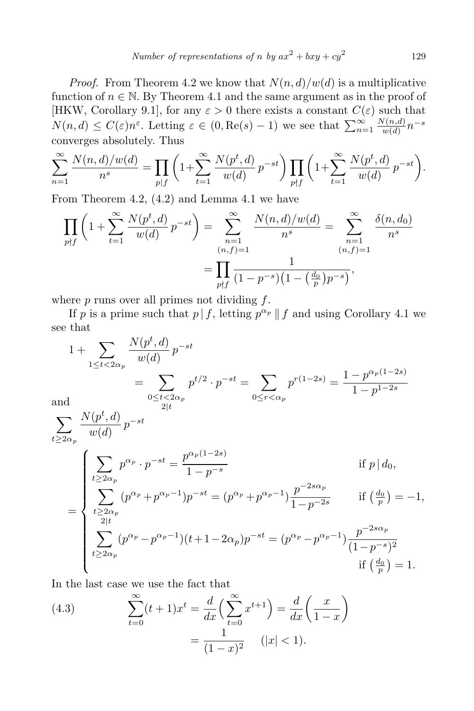*Proof.* From Theorem 4.2 we know that  $N(n,d)/w(d)$  is a multiplicative function of  $n \in \mathbb{N}$ . By Theorem 4.1 and the same argument as in the proof of [HKW, Corollary 9.1], for any  $\varepsilon > 0$  there exists a constant  $C(\varepsilon)$  such that  $N(n, d) \leq C(\varepsilon)n^{\varepsilon}$ . Letting  $\varepsilon \in (0, \text{Re}(s) - 1)$  we see that  $\sum_{n=1}^{\infty}$ *N*(*n,d*)  $\frac{w(n,d)}{w(d)}n^{-s}$ converges absolutely. Thus

$$
\sum_{n=1}^{\infty} \frac{N(n,d)/w(d)}{n^s} = \prod_{p|f} \left(1 + \sum_{t=1}^{\infty} \frac{N(p^t,d)}{w(d)} p^{-st}\right) \prod_{p \nmid f} \left(1 + \sum_{t=1}^{\infty} \frac{N(p^t,d)}{w(d)} p^{-st}\right).
$$

From Theorem 4.2, (4.2) and Lemma 4.1 we have

$$
\prod_{p \nmid f} \left( 1 + \sum_{t=1}^{\infty} \frac{N(p^t, d)}{w(d)} p^{-st} \right) = \sum_{\substack{n=1 \ n \neq j}}^{\infty} \frac{N(n, d)/w(d)}{n^s} = \sum_{\substack{n=1 \ n \neq j}}^{\infty} \frac{\delta(n, d_0)}{n^s}
$$
\n
$$
= \prod_{p \nmid f} \frac{1}{(1 - p^{-s})(1 - \left(\frac{d_0}{p}\right)p^{-s})},
$$

where *p* runs over all primes not dividing *f*.

If *p* is a prime such that  $p \mid f$ , letting  $p^{\alpha_p} \mid f$  and using Corollary 4.1 we see that

$$
1 + \sum_{1 \leq t < 2\alpha_p} \frac{N(p^t, d)}{w(d)} p^{-st}
$$
\n
$$
= \sum_{0 \leq t < 2\alpha_p} p^{t/2} \cdot p^{-st} = \sum_{0 \leq r < \alpha_p} p^{r(1-2s)} = \frac{1 - p^{\alpha_p(1-2s)}}{1 - p^{1-2s}}
$$
\nand\n
$$
\sum_{t \geq 2\alpha_p} \frac{N(p^t, d)}{w(d)} p^{-st}
$$
\n
$$
= \begin{cases}\n\sum_{t \geq 2\alpha_p} p^{\alpha_p} \cdot p^{-st} = \frac{p^{\alpha_p(1-2s)}}{1 - p^{-s}} & \text{if } p | d_0, \\
\sum_{t \geq 2\alpha_p} (p^{\alpha_p} + p^{\alpha_p - 1}) p^{-st} = (p^{\alpha_p} + p^{\alpha_p - 1}) \frac{p^{-2s\alpha_p}}{1 - p^{-2s}} & \text{if } \left(\frac{d_0}{p}\right) = -1, \\
\sum_{t \geq 2\alpha_p} (p^{\alpha_p} - p^{\alpha_p - 1})(t + 1 - 2\alpha_p) p^{-st} = (p^{\alpha_p} - p^{\alpha_p - 1}) \frac{p^{-2s\alpha_p}}{(1 - p^{-s})^2} \\
\text{if } \left(\frac{d_0}{p}\right) = 1.\n\end{cases}
$$

In the last case we use the fact that

(4.3) 
$$
\sum_{t=0}^{\infty} (t+1)x^{t} = \frac{d}{dx} \left( \sum_{t=0}^{\infty} x^{t+1} \right) = \frac{d}{dx} \left( \frac{x}{1-x} \right)
$$

$$
= \frac{1}{(1-x)^{2}} \quad (|x| < 1).
$$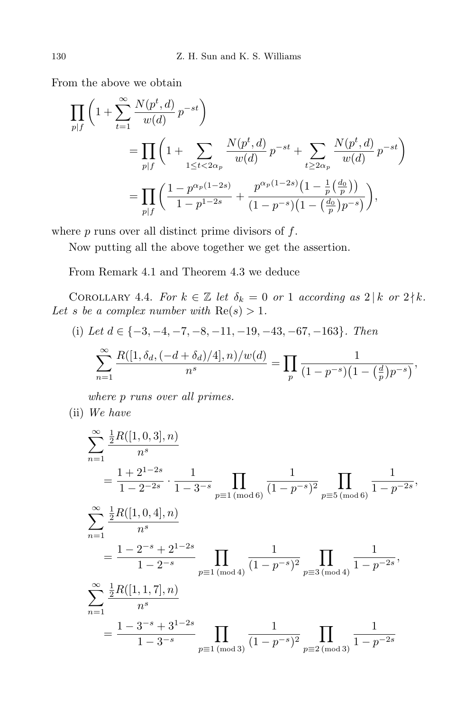From the above we obtain

$$
\prod_{p|f} \left( 1 + \sum_{t=1}^{\infty} \frac{N(p^t, d)}{w(d)} p^{-st} \right)
$$
\n
$$
= \prod_{p|f} \left( 1 + \sum_{1 \le t < 2\alpha_p} \frac{N(p^t, d)}{w(d)} p^{-st} + \sum_{t \ge 2\alpha_p} \frac{N(p^t, d)}{w(d)} p^{-st} \right)
$$
\n
$$
= \prod_{p|f} \left( \frac{1 - p^{\alpha_p(1-2s)}}{1 - p^{1-2s}} + \frac{p^{\alpha_p(1-2s)} \left( 1 - \frac{1}{p} \left( \frac{d_0}{p} \right) \right)}{(1 - p^{-s}) \left( 1 - \left( \frac{d_0}{p} \right) p^{-s} \right)} \right),
$$

where *p* runs over all distinct prime divisors of *f*.

Now putting all the above together we get the assertion.

From Remark 4.1 and Theorem 4.3 we deduce

COROLLARY 4.4. *For*  $k \in \mathbb{Z}$  *let*  $\delta_k = 0$  *or* 1 *according as*  $2 | k$  *or*  $2 | k$ *.* Let *s* be a complex number with  $\text{Re}(s) > 1$ .

(i) Let 
$$
d \in \{-3, -4, -7, -8, -11, -19, -43, -67, -163\}
$$
. Then  
\n
$$
\sum_{n=1}^{\infty} \frac{R([1, \delta_d, (-d + \delta_d)/4], n)/w(d)}{n^s} = \prod_{p} \frac{1}{(1 - p^{-s})(1 - (\frac{d}{p})p^{-s})},
$$

*where p runs over all primes.*

(ii) *We have*

$$
\sum_{n=1}^{\infty} \frac{\frac{1}{2}R([1,0,3],n)}{n^s}
$$
\n
$$
= \frac{1+2^{1-2s}}{1-2^{-2s}} \cdot \frac{1}{1-3^{-s}} \prod_{p \equiv 1 \pmod{6}} \frac{1}{(1-p^{-s})^2} \prod_{p \equiv 5 \pmod{6}} \frac{1}{1-p^{-2s}},
$$
\n
$$
\sum_{n=1}^{\infty} \frac{\frac{1}{2}R([1,0,4],n)}{n^s}
$$
\n
$$
= \frac{1-2^{-s}+2^{1-2s}}{1-2^{-s}} \prod_{p \equiv 1 \pmod{4}} \frac{1}{(1-p^{-s})^2} \prod_{p \equiv 3 \pmod{4}} \frac{1}{1-p^{-2s}},
$$
\n
$$
\sum_{n=1}^{\infty} \frac{\frac{1}{2}R([1,1,7],n)}{n^s}
$$
\n
$$
= \frac{1-3^{-s}+3^{1-2s}}{1-3^{-s}} \prod_{p \equiv 1 \pmod{3}} \frac{1}{(1-p^{-s})^2} \prod_{p \equiv 2 \pmod{3}} \frac{1}{1-p^{-2s}}
$$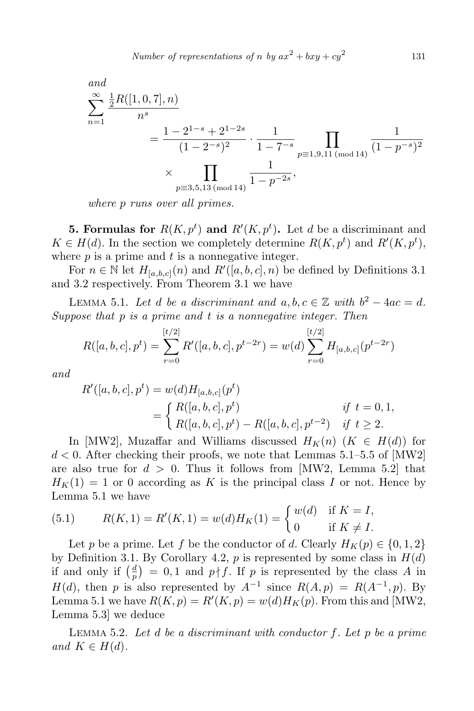and  
\n
$$
\sum_{n=1}^{\infty} \frac{\frac{1}{2}R([1,0,7],n)}{n^s}
$$
\n
$$
= \frac{1 - 2^{1-s} + 2^{1-2s}}{(1 - 2^{-s})^2} \cdot \frac{1}{1 - 7^{-s}} \prod_{p \equiv 1,9,11 \text{ (mod 14)}} \frac{1}{(1 - p^{-s})^2}
$$
\n
$$
\times \prod_{p \equiv 3,5,13 \text{ (mod 14)}} \frac{1}{1 - p^{-2s}},
$$

*where p runs over all primes.*

**5. Formulas for**  $R(K, p^t)$  and  $R'(K, p^t)$ . Let *d* be a discriminant and  $K \in H(d)$ . In the section we completely determine  $R(K, p^t)$  and  $R'(K, p^t)$ , where *p* is a prime and *t* is a nonnegative integer.

For  $n \in \mathbb{N}$  let  $H_{[a,b,c]}(n)$  and  $R'([a, b, c], n)$  be defined by Definitions 3.1 and 3.2 respectively. From Theorem 3.1 we have

LEMMA 5.1. Let *d be a discriminant and*  $a, b, c \in \mathbb{Z}$  with  $b^2 - 4ac = d$ . *Suppose that p is a prime and t is a nonnegative integer. Then*

$$
R([a, b, c], p^t) = \sum_{r=0}^{[t/2]} R'([a, b, c], p^{t-2r}) = w(d) \sum_{r=0}^{[t/2]} H_{[a, b, c]}(p^{t-2r})
$$

*and*

$$
R'([a, b, c], p^t) = w(d)H_{[a, b, c]}(p^t)
$$
  
= 
$$
\begin{cases} R([a, b, c], p^t) & \text{if } t = 0, 1, \\ R([a, b, c], p^t) - R([a, b, c], p^{t-2}) & \text{if } t \ge 2. \end{cases}
$$

In [MW2], Muzaffar and Williams discussed  $H_K(n)$  ( $K \in H(d)$ ) for *d <* 0. After checking their proofs, we note that Lemmas 5.1–5.5 of [MW2] are also true for  $d > 0$ . Thus it follows from [MW2, Lemma 5.2] that  $H_K(1) = 1$  or 0 according as K is the principal class *I* or not. Hence by Lemma 5.1 we have

(5.1) 
$$
R(K,1) = R'(K,1) = w(d)H_K(1) = \begin{cases} w(d) & \text{if } K = I, \\ 0 & \text{if } K \neq I. \end{cases}
$$

Let *p* be a prime. Let *f* be the conductor of *d*. Clearly  $H_K(p) \in \{0, 1, 2\}$ by Definition 3.1. By Corollary 4.2,  $p$  is represented by some class in  $H(d)$ if and only if  $\left(\frac{d}{n}\right)$  $\frac{d}{p}$  = 0,1 and *p* | *f*. If *p* is represented by the class *A* in *H*(*d*), then *p* is also represented by  $A^{-1}$  since  $R(A, p) = R(A^{-1}, p)$ . By Lemma 5.1 we have  $R(K, p) = R'(K, p) = w(d)H_K(p)$ . From this and [MW2, Lemma 5.3] we deduce

Lemma 5.2. *Let d be a discriminant with conductor f. Let p be a prime*  $and K \in H(d)$ .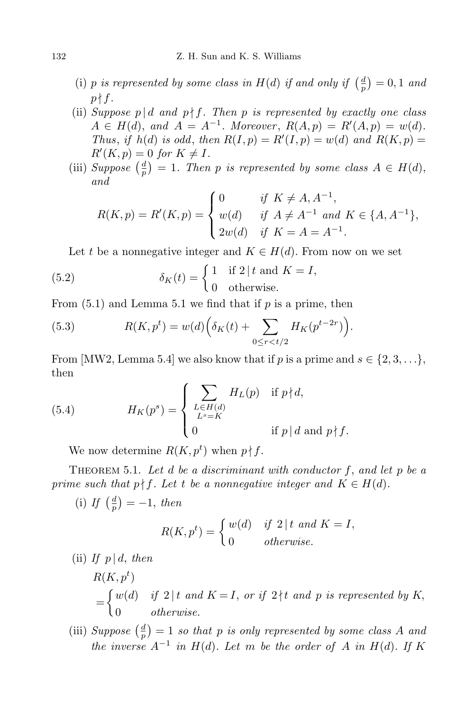- (i) *p* is represented by some class in  $H(d)$  if and only if  $\left(\frac{d}{d}\right)$  $\left(\frac{d}{p}\right) = 0, 1$  *and*  $p \nmid f$ .
- (ii) *Suppose*  $p \mid d$  *and*  $p \nmid f$ . Then  $p$  *is represented by exactly one class*  $A \in H(d)$ , and  $A = A^{-1}$ . Moreover,  $R(A, p) = R'(A, p) = w(d)$ . *Thus, if*  $h(d)$  *is odd, then*  $R(I, p) = R'(I, p) = w(d)$  *and*  $R(K, p) =$  $R'(K, p) = 0$  *for*  $K \neq I$ *.*
- (iii) *Suppose*  $\left(\frac{d}{n}\right)$  $\frac{d}{p}$ ) = 1*.* Then *p is represented by some class*  $A \in H(d)$ , *and*

$$
R(K, p) = R'(K, p) = \begin{cases} 0 & \text{if } K \neq A, A^{-1}, \\ w(d) & \text{if } A \neq A^{-1} \text{ and } K \in \{A, A^{-1}\}, \\ 2w(d) & \text{if } K = A = A^{-1}. \end{cases}
$$

Let *t* be a nonnegative integer and  $K \in H(d)$ . From now on we set

(5.2) 
$$
\delta_K(t) = \begin{cases} 1 & \text{if } 2 \mid t \text{ and } K = I, \\ 0 & \text{otherwise.} \end{cases}
$$

From (5.1) and Lemma 5.1 we find that if *p* is a prime, then

(5.3) 
$$
R(K, p^t) = w(d) \Big( \delta_K(t) + \sum_{0 \le r < t/2} H_K(p^{t-2r}) \Big).
$$

From [MW2, Lemma 5.4] we also know that if *p* is a prime and  $s \in \{2, 3, \ldots\}$ , then

(5.4) 
$$
H_K(p^s) = \begin{cases} \sum_{\substack{L \in H(d) \\ L^s = K}} H_L(p) & \text{if } p \nmid d, \\ 0 & \text{if } p \mid d \text{ and } p \nmid f. \end{cases}
$$

We now determine  $R(K, p^t)$  when  $p \nmid f$ .

Theorem 5.1. *Let d be a discriminant with conductor f*, *and let p be a prime such that*  $p \nmid f$ *. Let t be a nonnegative integer and*  $K \in H(d)$ *.* 

 $(i)$  *If*  $\left(\frac{d}{n}\right)$  $\frac{d}{p}$ ) = -1, *then* 

$$
R(K, pt) = \begin{cases} w(d) & \text{if } 2 \mid t \text{ and } K = I, \\ 0 & \text{otherwise.} \end{cases}
$$

(ii) If  $p \, | \, d$ , then

$$
R(K, pt)
$$
  
= 
$$
\begin{cases} w(d) & \text{if } 2 \mid t \text{ and } K = I, \text{ or if } 2 \nmid t \text{ and } p \text{ is represented by } K, \\ 0 & \text{otherwise.} \end{cases}
$$

 $(iii) \; Suppose \; \left(\frac{d}{n}\right)$  $\left(\frac{d}{p}\right) = 1$  *so that p is only represented by some class A and the inverse*  $A^{-1}$  *in*  $H(d)$ *. Let m be the order of*  $A$  *in*  $H(d)$ *. If*  $K$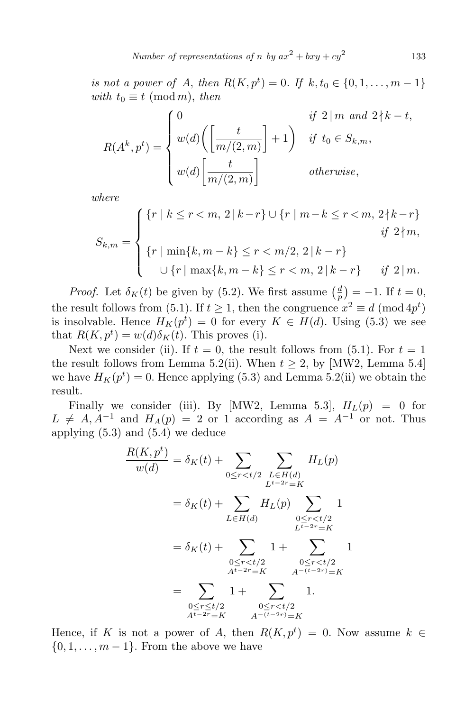*Number of representations of <i>n by*  $ax^2 + bxy + cy^2$ 

133

*is not a power of A*, *then*  $R(K, p^t) = 0$ *. If*  $k, t_0 \in \{0, 1, ..., m - 1\}$ *with*  $t_0 \equiv t \pmod{m}$ , *then* 

$$
R(A^k, p^t) = \begin{cases} 0 & \text{if } 2 \mid m \text{ and } 2 \nmid k - t, \\ w(d) \left( \left[ \frac{t}{m/(2, m)} \right] + 1 \right) & \text{if } t_0 \in S_{k,m}, \\ w(d) \left[ \frac{t}{m/(2, m)} \right] & \text{otherwise,} \end{cases}
$$

*where*

$$
S_{k,m} = \begin{cases} \{r \mid k \le r < m, 2 \mid k-r\} \cup \{r \mid m-k \le r < m, 2 \nmid k-r\} \\ \{r \mid \min\{k, m-k\} \le r < m/2, 2 \mid k-r\} \\ \cup \{r \mid \max\{k, m-k\} \le r < m, 2 \mid k-r\} \qquad \text{if } 2 \mid m. \end{cases}
$$

*Proof.* Let  $\delta_K(t)$  be given by (5.2). We first assume  $\left(\frac{d}{dt}\right)^2$  $\left(\frac{d}{p}\right) = -1.$  If  $t = 0$ , the result follows from (5.1). If  $t \ge 1$ , then the congruence  $x^2 \equiv d \pmod{4p^t}$ is insolvable. Hence  $H_K(p^t) = 0$  for every  $K \in H(d)$ . Using (5.3) we see that  $R(K, p^t) = w(d)\delta_K(t)$ . This proves (i).

Next we consider (ii). If  $t = 0$ , the result follows from (5.1). For  $t = 1$ the result follows from Lemma 5.2(ii). When  $t \geq 2$ , by [MW2, Lemma 5.4] we have  $H_K(p^t) = 0$ . Hence applying (5.3) and Lemma 5.2(ii) we obtain the result.

Finally we consider (iii). By [MW2, Lemma 5.3],  $H_L(p) = 0$  for  $L \neq A, A^{-1}$  and  $H_A(p) = 2$  or 1 according as  $A = A^{-1}$  or not. Thus applying (5.3) and (5.4) we deduce

$$
\frac{R(K, p^t)}{w(d)} = \delta_K(t) + \sum_{0 \le r < t/2} \sum_{\substack{L \in H(d) \\ L^{t-2r} = K}} H_L(p)
$$
\n
$$
= \delta_K(t) + \sum_{\substack{L \in H(d) \\ L^{t-2r} = K}} H_L(p) \sum_{\substack{0 \le r < t/2 \\ L^{t-2r} = K}} 1
$$
\n
$$
= \delta_K(t) + \sum_{\substack{0 \le r < t/2 \\ A^{t-2r} = K}} 1 + \sum_{\substack{0 \le r < t/2 \\ A^{-(t-2r)} = K}} 1
$$
\n
$$
= \sum_{\substack{0 \le r < t/2 \\ A^{t-2r} = K}} 1 + \sum_{\substack{0 \le r < t/2 \\ A^{-(t-2r)} = K}} 1.
$$

Hence, if *K* is not a power of *A*, then  $R(K, p^t) = 0$ . Now assume  $k \in$ *{*0*,* 1*, . . . , m −* 1*}*. From the above we have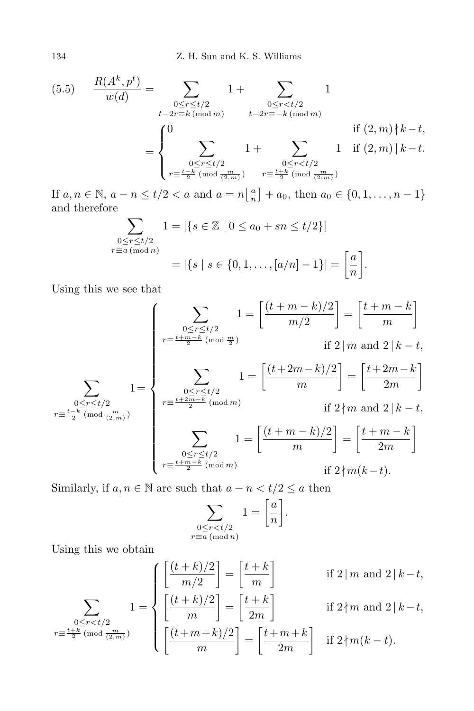$$
(5.5) \quad \frac{R(A^k, p^t)}{w(d)} = \sum_{\substack{0 \le r \le t/2 \\ t-2r \equiv k \pmod{m}}} 1 + \sum_{\substack{0 \le r < t/2 \\ t-2r \equiv -k \pmod{m}}} 1
$$
\n
$$
= \begin{cases} 0 & \text{if } (2, m) \nmid k - t, \\ \sum_{\substack{0 \le r \le t/2 \\ r \equiv \frac{t-k}{2} \pmod{\frac{m}{2m}}} 1 + \sum_{\substack{0 \le r < t/2 \\ r \equiv \frac{t+k}{2} \pmod{\frac{m}{2m}}} 1 \quad \text{if } (2, m) \mid k - t. \end{cases}
$$

If  $a, n \in \mathbb{N}, a - n \le t/2 < a$  and  $a = n\left[\frac{a}{n}\right]$  $\left\{\frac{a}{n}\right\}$  + *a*<sub>0</sub>, then *a*<sub>0</sub>  $\in \{0, 1, \ldots, n-1\}$ and therefore

$$
\sum_{\substack{0 \le r \le t/2 \\ r \equiv a \pmod{n}}} 1 = |\{s \in \mathbb{Z} \mid 0 \le a_0 + sn \le t/2\}|
$$

$$
= |\{s \mid s \in \{0, 1, \dots, [a/n] - 1\}| = \left[\frac{a}{n}\right].
$$

Using this we see that

$$
\left\{\sum_{\substack{0 \le r \le t/2 \\ r \equiv \frac{t+m-k}{2} \pmod{\frac{m}{2}}}} 1 = \left[\frac{(t+m-k)/2}{m/2}\right] = \left[\frac{t+m-k}{m}\right] \right\}
$$
if  $2 \mid m$  and  $2 \mid k-t$ ,

$$
\sum_{\substack{0 \le r \le t/2 \\ \sum_{\substack{0 \le r \le t/2 \\ \sum_{\substack{0 \le r \le t/2 \\ \sum_{\substack{0 \le r \le t/2 \\ \sum_{\substack{m = t + 2m - k \pmod{m} \\ \sum_{\substack{0 \le r \le t/2 \\ \sum_{\substack{m = t + 2m - k \pmod{m} \\ \sum_{\substack{0 \le r \le t/2 \\ \sum_{\substack{m = t + 2m - k \pmod{m} \\ \sum_{\substack{0 \le r \le t/2 \\ \sum_{\substack{m = t + m - k \pmod{m} \\ \sum_{\substack{0 \le r \le t/2 \\ \sum_{\substack{m = t + m - k \pmod{m} \\ \sum_{\substack{0 \le r \le t/2 \\ \sum_{\substack{m = t + m - k \pmod{m} \\ \sum_{\substack{0 \le r \le t/2 \\ \sum_{\substack{m = t + m - k \pmod{m} \\ \sum_{\substack{0 \le r \le t/2 \\ \sum_{\substack{m = t + m - k \pmod{m} \\ \sum_{\substack{0 \le r \le t/2 \\ \sum_{\substack{m = t + m - k \pmod{m} \\ \sum_{\substack{0 \le r \le t/2 \\ \sum_{\substack{m = t + m - k \pmod{m} \\ \sum_{\substack{0 \le r \le t/2 \\ \sum_{\substack{m = t + m - k \pmod{m} \\ \sum_{\substack{0 \le r \le t/2 \\ \sum_{\substack{m = t + m - k \pmod{m} \\ \sum_{\substack{m = t + m - k \pmod{m} \\ \sum_{\substack{m = t + m - k \pmod{m} \\ \sum_{\substack{m = t + m - k \pmod{m} \\ \sum_{\substack{m = t + m - k \pmod{m} \\ \sum_{\substack{m = t + m - k \pmod{m} \\ \sum_{\substack{m = t + m - k \pmod{m} \\ \sum_{\substack{m = t + m - k \pmod{m} \\ \sum_{\substack{m = t + m - k \pmod{m} \\ \sum_{\substack{m = t + m - k \pmod{m} \\ \sum_{\substack{m = t + m - k \pmod{m} \\ \sum_{\substack{m = t + m - k \pmod{m} \\ \sum_{\substack{m = t + m - k \p
$$

$$
r \equiv \frac{t + \overline{m} - \overline{k}}{2} \pmod{m}
$$
 if  $2 \nmid m(k - t)$ .

Similarly, if  $a, n \in \mathbb{N}$  are such that  $a - n < t/2 \le a$  then

$$
\sum_{\substack{0 \le r < t/2 \\ r \equiv a \pmod{n}}} 1 = \left[\frac{a}{n}\right].
$$

Using this we obtain

$$
\sum_{\substack{0 \le r < t/2 \\ r \equiv \frac{t+k}{2} \pmod{\frac{m}{2}}} 1 = \begin{cases} \left[ \frac{(t+k)/2}{m/2} \right] = \left[ \frac{t+k}{m} \right] & \text{if } 2 \mid m \text{ and } 2 \mid k-t, \\ \left[ \frac{(t+k)/2}{m} \right] = \left[ \frac{t+k}{2m} \right] & \text{if } 2 \nmid m \text{ and } 2 \mid k-t, \\ \left[ \frac{(t+m+k)/2}{m} \right] = \left[ \frac{t+m+k}{2m} \right] & \text{if } 2 \nmid m(k-t). \end{cases}
$$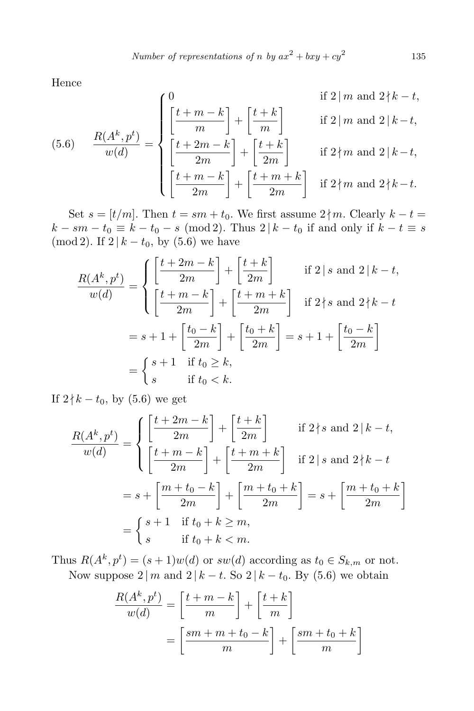*Number of representations of n by*  $ax^2 + bxy + cy^2$ 

Hence

(5.6) 
$$
\frac{R(A^k, p^t)}{w(d)} = \begin{cases} 0 & \text{if } 2 \mid m \text{ and } 2 \nmid k - t, \\ \left[\frac{t + m - k}{m}\right] + \left[\frac{t + k}{m}\right] & \text{if } 2 \mid m \text{ and } 2 \mid k - t, \\ \left[\frac{t + 2m - k}{2m}\right] + \left[\frac{t + k}{2m}\right] & \text{if } 2 \nmid m \text{ and } 2 \mid k - t, \\ \left[\frac{t + m - k}{2m}\right] + \left[\frac{t + m + k}{2m}\right] & \text{if } 2 \nmid m \text{ and } 2 \nmid k - t. \end{cases}
$$

Set  $s = [t/m]$ . Then  $t = sm + t_0$ . We first assume  $2 \nmid m$ . Clearly  $k - t =$ *k* − *sm* − *t*<sub>0</sub>  $\equiv$  *k* − *t*<sub>0</sub> − *s* (mod 2). Thus 2 | *k* − *t*<sub>0</sub> if and only if  $k - t \equiv s$ (mod 2). If  $2 | k - t_0$ , by (5.6) we have

$$
\frac{R(A^k, p^t)}{w(d)} = \begin{cases} \left[\frac{t+2m-k}{2m}\right] + \left[\frac{t+k}{2m}\right] & \text{if } 2 \mid s \text{ and } 2 \mid k-t, \\ \left[\frac{t+m-k}{2m}\right] + \left[\frac{t+m+k}{2m}\right] & \text{if } 2 \nmid s \text{ and } 2 \nmid k-t \end{cases}
$$
\n
$$
= s + 1 + \left[\frac{t_0 - k}{2m}\right] + \left[\frac{t_0 + k}{2m}\right] = s + 1 + \left[\frac{t_0 - k}{2m}\right]
$$
\n
$$
= \begin{cases} s+1 & \text{if } t_0 \ge k, \\ s & \text{if } t_0 < k. \end{cases}
$$

If  $2\nmid k − t_0$ , by (5.6) we get

$$
\frac{R(A^k, p^t)}{w(d)} = \begin{cases} \left[\frac{t+2m-k}{2m}\right] + \left[\frac{t+k}{2m}\right] & \text{if } 2 \nmid s \text{ and } 2 \mid k-t, \\ \left[\frac{t+m-k}{2m}\right] + \left[\frac{t+m+k}{2m}\right] & \text{if } 2 \mid s \text{ and } 2 \nmid k-t \end{cases}
$$
\n
$$
= s + \left[\frac{m+t_0-k}{2m}\right] + \left[\frac{m+t_0+k}{2m}\right] = s + \left[\frac{m+t_0+k}{2m}\right]
$$
\n
$$
= \begin{cases} s+1 & \text{if } t_0+k \ge m, \\ s & \text{if } t_0+k < m. \end{cases}
$$

Thus  $R(A^k, p^t) = (s+1)w(d)$  or  $sw(d)$  according as  $t_0 \in S_{k,m}$  or not. Now suppose  $2 \mid m$  and  $2 \mid k - t$ . So  $2 \mid k - t_0$ . By (5.6) we obtain

$$
\frac{R(A^k, p^t)}{w(d)} = \left[\frac{t+m-k}{m}\right] + \left[\frac{t+k}{m}\right]
$$

$$
= \left[\frac{sm+m+t_0-k}{m}\right] + \left[\frac{sm+t_0+k}{m}\right]
$$

135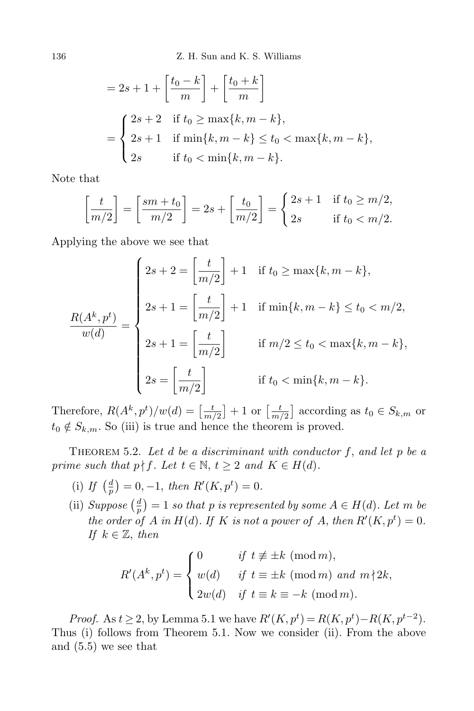136 Z. H. Sun and K. S. Williams

$$
= 2s + 1 + \left[\frac{t_0 - k}{m}\right] + \left[\frac{t_0 + k}{m}\right]
$$
  
= 
$$
\begin{cases} 2s + 2 & \text{if } t_0 \ge \max\{k, m - k\}, \\ 2s + 1 & \text{if } \min\{k, m - k\} \le t_0 < \max\{k, m - k\}, \\ 2s & \text{if } t_0 < \min\{k, m - k\}. \end{cases}
$$

Note that

$$
\left[\frac{t}{m/2}\right] = \left[\frac{sm+t_0}{m/2}\right] = 2s + \left[\frac{t_0}{m/2}\right] = \begin{cases} 2s+1 & \text{if } t_0 \ge m/2, \\ 2s & \text{if } t_0 < m/2. \end{cases}
$$

Applying the above we see that

$$
\frac{R(A^k, p^t)}{w(d)} = \begin{cases} 2s + 2 = \left[\frac{t}{m/2}\right] + 1 & \text{if } t_0 \ge \max\{k, m - k\}, \\ 2s + 1 = \left[\frac{t}{m/2}\right] + 1 & \text{if } \min\{k, m - k\} \le t_0 < m/2, \\ 2s + 1 = \left[\frac{t}{m/2}\right] & \text{if } m/2 \le t_0 < \max\{k, m - k\}, \\ 2s = \left[\frac{t}{m/2}\right] & \text{if } t_0 < \min\{k, m - k\}. \end{cases}
$$

Therefore,  $R(A^k, p^t)/w(d) = \left[\frac{t}{m}\right]$  $\frac{t}{m/2}$  + 1 or  $\left[\frac{t}{m}\right]$  $\left(\frac{t}{m/2}\right)$  according as  $t_0 \in S_{k,m}$  or  $t_0 \notin S_{k,m}$ . So (iii) is true and hence the theorem is proved.

THEOREM 5.2. Let  $d$  be a discriminant with conductor  $f$ , and let  $p$  be a *prime such that*  $p \nmid f$ *. Let*  $t \in \mathbb{N}$ ,  $t \geq 2$  *and*  $K \in H(d)$ *.* 

- $(i)$  *If*  $\left(\frac{d}{n}\right)$  $\frac{d}{p}$  = 0*,* −1*, then R'*(*K, p<sup>t</sup>*) = 0*.*
- (ii) *Suppose*  $\left(\frac{d}{n}\right)$  $\left(\frac{d}{p}\right) = 1$  *so that p is represented by some*  $A \in H(d)$ *. Let m be the order of A in H*(*d*)*. If K is not a power of A*, *then*  $R'(K, p^t) = 0$ *. If*  $k \in \mathbb{Z}$ *, then*

$$
R'(A^k, p^t) = \begin{cases} 0 & \text{if } t \not\equiv \pm k \pmod{m}, \\ w(d) & \text{if } t \equiv \pm k \pmod{m} \text{ and } m \nmid 2k, \\ 2w(d) & \text{if } t \equiv k \equiv -k \pmod{m}. \end{cases}
$$

*Proof.* As *t*  $\geq$  2, by Lemma 5.1 we have  $R'(K, p^t) = R(K, p^t) - R(K, p^{t-2})$ . Thus (i) follows from Theorem 5.1. Now we consider (ii). From the above and (5.5) we see that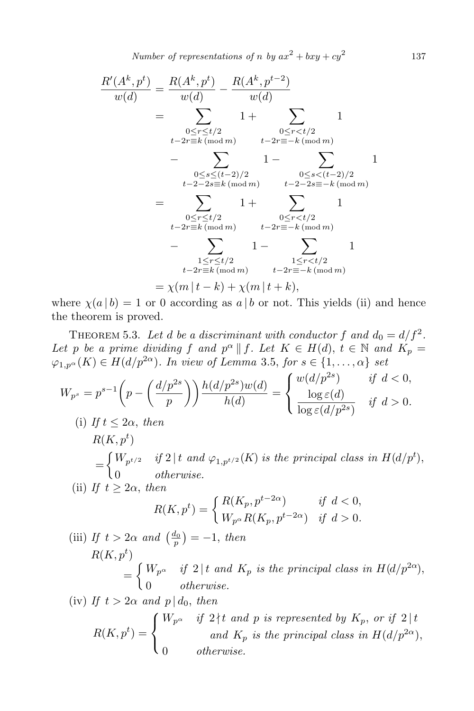*Number of representations of n by*  $ax^2 + bxy + cy^2$ 

$$
\frac{R'(A^k, p^t)}{w(d)} = \frac{R(A^k, p^t)}{w(d)} - \frac{R(A^k, p^{t-2})}{w(d)}
$$
\n
$$
= \sum_{\substack{0 \le r \le t/2 \\ t-2r \equiv k \pmod{m} \\ t-2r \equiv -k \pmod{m}}} 1 + \sum_{\substack{0 \le r < t/2 \\ t-2r \equiv -k \pmod{m} \\ t-2-2s \equiv k \pmod{m}}} 1 - \sum_{\substack{0 \le s < (t-2)/2 \\ t-2-2s \equiv -k \pmod{m} \\ t-2r \equiv k \pmod{m}}} 1 + \sum_{\substack{0 \le r < t/2 \\ t-2r \equiv -k \pmod{m} \\ t-2r \equiv -k \pmod{m}}} 1 - \sum_{\substack{1 \le r < t/2 \\ t-2r \equiv -k \pmod{m} \\ t-2r \equiv -k \pmod{m}}} 1 - \sum_{\substack{1 \le r < t/2 \\ t-2r \equiv -k \pmod{m} \\ t-2r \equiv -k \pmod{m}}} 1
$$
\n
$$
= \chi(m|t-k) + \chi(m|t+k),
$$

where  $\chi(a | b) = 1$  or 0 according as  $a | b$  or not. This yields (ii) and hence the theorem is proved.

THEOREM 5.3. Let *d* be a discriminant with conductor f and  $d_0 = d/f^2$ . *Let p be a prime dividing f and*  $p^{\alpha} \parallel f$ . Let  $K \in H(d)$ ,  $t \in \mathbb{N}$  *and*  $K_p =$  $\varphi_{1,p^{\alpha}}(K) \in H(d/p^{2\alpha})$ *. In view of Lemma* 3.5, *for*  $s \in \{1, \ldots, \alpha\}$  *set* 

$$
W_{p^s} = p^{s-1} \left( p - \left( \frac{d/p^{2s}}{p} \right) \right) \frac{h(d/p^{2s})w(d)}{h(d)} = \begin{cases} w(d/p^{2s}) & \text{if } d < 0, \\ \frac{\log \varepsilon(d)}{\log \varepsilon(d/p^{2s})} & \text{if } d > 0. \end{cases}
$$
  
\n(i) If  $t \le 2\alpha$ , then  
\n
$$
R(K, p^t)
$$
\n
$$
= \begin{cases} W_{p^{t/2}} & \text{if } 2 \mid t \text{ and } \varphi_{1, p^{t/2}}(K) \text{ is the principal class in } H(d/p^t), \\ 0 & \text{otherwise.} \end{cases}
$$
  
\n(ii) If  $t \ge 2\alpha$ , then  
\n
$$
R(K, p^t) = \begin{cases} R(K_p, p^{t-2\alpha}) & \text{if } d < 0, \\ W_{p^{\alpha}} R(K_p, p^{t-2\alpha}) & \text{if } d > 0. \end{cases}
$$
  
\n(iii) If  $t > 2\alpha$  and  $\left( \frac{d_0}{p} \right) = -1$ , then  
\n
$$
R(K, p^t)
$$
\n
$$
= \begin{cases} W_{p^{\alpha}} & \text{if } 2 \mid t \text{ and } K_p \text{ is the principal class in } H(d/p^{2\alpha}), \\ 0 & \text{otherwise.} \end{cases}
$$
  
\n(iv) If  $t > 2\alpha$  and  $p \mid d_0$ , then  
\n
$$
R(K, p^t) = \begin{cases} W_{p^{\alpha}} & \text{if } 2 \nmid t \text{ and } p \text{ is represented by } K_p, \text{ or if } 2 \mid t \\ 0 & \text{otherwise.} \end{cases}
$$
  
\n
$$
R(K, p^t) = \begin{cases} W_{p^{\alpha}} & \text{if } 2 \nmid t \text{ and } p \text{ is represented by } K_p, \text{ or if } 2 \mid t \\ 0 & \text{otherwise.} \end{cases}
$$

$$
0\qquad\text{otherwise.}
$$

137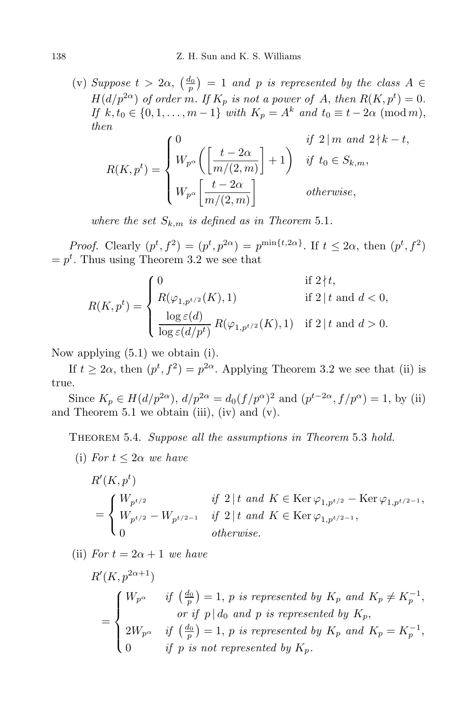(v) *Suppose*  $t > 2\alpha$ ,  $\left(\frac{d_0}{p}\right) = 1$  *and p is represented by the class*  $A \in$ *H*(*d*/ $p^{2\alpha}$ ) *of order m. If*  $K_p$  *is not a power of A*, *then*  $R(K, p^t) = 0$ *. If*  $k, t_0 \in \{0, 1, \ldots, m-1\}$  *with*  $K_p = A^k$  *and*  $t_0 \equiv t - 2\alpha \pmod{m}$ , *then*

$$
R(K, p^{t}) = \begin{cases} 0 & \text{if } 2 \mid m \text{ and } 2 \nmid k - t, \\ W_{p^{\alpha}}\left(\left[\frac{t - 2\alpha}{m/(2, m)}\right] + 1\right) & \text{if } t_{0} \in S_{k,m}, \\ W_{p^{\alpha}}\left[\frac{t - 2\alpha}{m/(2, m)}\right] & \text{otherwise,} \end{cases}
$$

*where the set*  $S_{k,m}$  *is defined as in Theorem* 5.1*.* 

*Proof.* Clearly  $(p^t, f^2) = (p^t, p^{2\alpha}) = p^{\min\{t, 2\alpha\}}$ . If  $t \leq 2\alpha$ , then  $(p^t, f^2)$  $=p<sup>t</sup>$ . Thus using Theorem 3.2 we see that

$$
R(K, p^{t}) = \begin{cases} 0 & \text{if } 2 \nmid t, \\ R(\varphi_{1, p^{t/2}}(K), 1) & \text{if } 2 \mid t \text{ and } d < 0, \\ \frac{\log \varepsilon(d)}{\log \varepsilon(d/p^{t})} R(\varphi_{1, p^{t/2}}(K), 1) & \text{if } 2 \mid t \text{ and } d > 0. \end{cases}
$$

Now applying (5.1) we obtain (i).

If  $t \geq 2\alpha$ , then  $(p^t, f^2) = p^{2\alpha}$ . Applying Theorem 3.2 we see that (ii) is true.

Since  $K_p \in H(d/p^{2\alpha})$ ,  $d/p^{2\alpha} = d_0(f/p^{\alpha})^2$  and  $(p^{t-2\alpha}, f/p^{\alpha}) = 1$ , by (ii) and Theorem 5.1 we obtain (iii), (iv) and (v).

Theorem 5.4. *Suppose all the assumptions in Theorem* 5*.*3 *hold.*

(i) *For*  $t \leq 2\alpha$  *we have* 

$$
R'(K, pt)
$$
  
= 
$$
\begin{cases} W_{p^{t/2}} & \text{if } 2 \mid t \text{ and } K \in \text{Ker } \varphi_{1, p^{t/2}} - \text{Ker } \varphi_{1, p^{t/2-1}}, \\ W_{p^{t/2}} - W_{p^{t/2-1}} & \text{if } 2 \mid t \text{ and } K \in \text{Ker } \varphi_{1, p^{t/2-1}}, \\ 0 & \text{otherwise.} \end{cases}
$$

(ii) *For*  $t = 2\alpha + 1$  *we have* 

$$
R'(K, p^{2\alpha+1})
$$
\n
$$
= \begin{cases}\nW_{p^{\alpha}} & \text{if } \left(\frac{d_0}{p}\right) = 1, \ p \text{ is represented by } K_p \text{ and } K_p \neq K_p^{-1}, \\
\text{or if } p | d_0 \text{ and } p \text{ is represented by } K_p, \\
2W_{p^{\alpha}} & \text{if } \left(\frac{d_0}{p}\right) = 1, \ p \text{ is represented by } K_p \text{ and } K_p = K_p^{-1}, \\
0 & \text{if } p \text{ is not represented by } K_p.\n\end{cases}
$$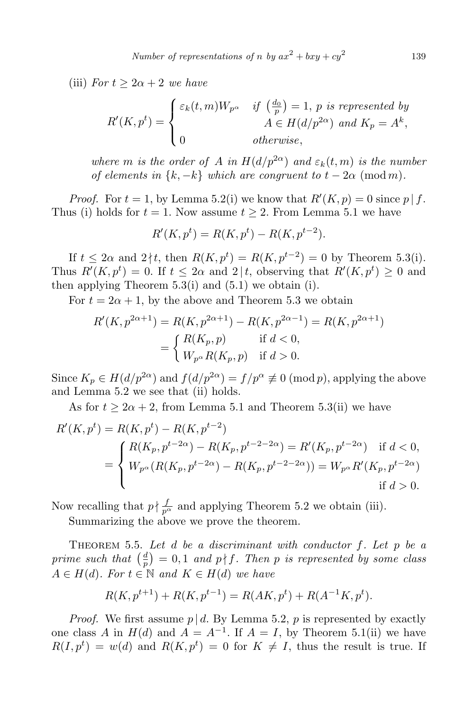(iii) *For*  $t \geq 2\alpha + 2$  *we have* 

$$
R'(K, p^t) = \begin{cases} \varepsilon_k(t, m)W_{p^{\alpha}} & \text{if } \left(\frac{d_0}{p}\right) = 1, \ p \text{ is represented by} \\ a \in H(d/p^{2\alpha}) \text{ and } K_p = A^k, \\ 0 & \text{otherwise,} \end{cases}
$$

*where m is the order of A in*  $H(d/p^{2\alpha})$  *and*  $\varepsilon_k(t,m)$  *is the number of elements in*  $\{k, -k\}$  *which are congruent to*  $t - 2\alpha$  (mod *m*).

*Proof.* For  $t = 1$ , by Lemma 5.2(i) we know that  $R'(K, p) = 0$  since  $p | f$ . Thus (i) holds for  $t = 1$ . Now assume  $t \geq 2$ . From Lemma 5.1 we have

$$
R'(K, p^t) = R(K, p^t) - R(K, p^{t-2}).
$$

If  $t \leq 2\alpha$  and  $2 \nmid t$ , then  $R(K, p^t) = R(K, p^{t-2}) = 0$  by Theorem 5.3(i). Thus  $R'(K, p^t) = 0$ . If  $t \leq 2\alpha$  and  $2 \mid t$ , observing that  $R'(K, p^t) \geq 0$  and then applying Theorem  $5.3(i)$  and  $(5.1)$  we obtain  $(i)$ .

For  $t = 2\alpha + 1$ , by the above and Theorem 5.3 we obtain

$$
R'(K, p^{2\alpha+1}) = R(K, p^{2\alpha+1}) - R(K, p^{2\alpha-1}) = R(K, p^{2\alpha+1})
$$
  
= 
$$
\begin{cases} R(K_p, p) & \text{if } d < 0, \\ W_{p^{\alpha}} R(K_p, p) & \text{if } d > 0. \end{cases}
$$

Since  $K_p \in H(d/p^{2\alpha})$  and  $f(d/p^{2\alpha}) = f/p^{\alpha} \not\equiv 0 \pmod{p}$ , applying the above and Lemma 5.2 we see that (ii) holds.

As for  $t \geq 2\alpha + 2$ , from Lemma 5.1 and Theorem 5.3(ii) we have

$$
R'(K, p^t) = R(K, p^t) - R(K, p^{t-2})
$$
  
= 
$$
\begin{cases} R(K_p, p^{t-2\alpha}) - R(K_p, p^{t-2-\alpha}) = R'(K_p, p^{t-2\alpha}) & \text{if } d < 0, \\ W_{p^{\alpha}}(R(K_p, p^{t-2\alpha}) - R(K_p, p^{t-2-\alpha})) = W_{p^{\alpha}} R'(K_p, p^{t-2\alpha}) & \text{if } d > 0. \end{cases}
$$

Now recalling that  $p \nmid \frac{f}{p^{\alpha}}$  and applying Theorem 5.2 we obtain (iii).

Summarizing the above we prove the theorem.

Theorem 5.5. *Let d be a discriminant with conductor f. Let p be a prime such that*  $\left(\frac{d}{n}\right)$  $\frac{d}{p}$  = 0,1 *and p † f. Then p is represented by some class*  $A \in H(d)$ *. For*  $t \in \mathbb{N}$  *and*  $K \in H(d)$  *we have* 

$$
R(K, p^{t+1}) + R(K, p^{t-1}) = R(AK, p^t) + R(A^{-1}K, p^t).
$$

*Proof.* We first assume  $p \mid d$ . By Lemma 5.2,  $p$  is represented by exactly one class *A* in  $H(d)$  and  $A = A^{-1}$ . If  $A = I$ , by Theorem 5.1(ii) we have  $R(I, p^t) = w(d)$  and  $R(K, p^t) = 0$  for  $K \neq I$ , thus the result is true. If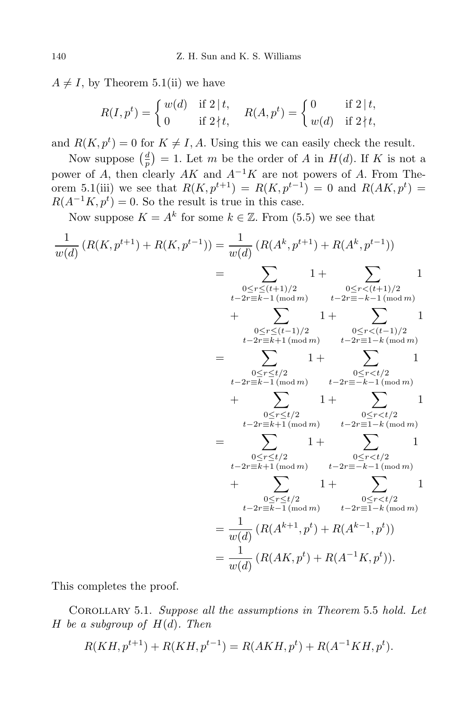$A \neq I$ , by Theorem 5.1(ii) we have

$$
R(I, p^t) = \begin{cases} w(d) & \text{if } 2 \mid t, \\ 0 & \text{if } 2 \nmid t, \end{cases} \quad R(A, p^t) = \begin{cases} 0 & \text{if } 2 \mid t, \\ w(d) & \text{if } 2 \nmid t, \end{cases}
$$

and  $R(K, p^t) = 0$  for  $K \neq I, A$ . Using this we can easily check the result.

Now suppose  $\left(\frac{d}{n}\right)$  $\frac{d}{p}$ ) = 1. Let *m* be the order of *A* in *H*(*d*). If *K* is not a power of *A*, then clearly *AK* and *A<sup>−</sup>*<sup>1</sup>*K* are not powers of *A*. From Theorem 5.1(iii) we see that  $R(K, p^{t+1}) = R(K, p^{t-1}) = 0$  and  $R(AK, p^t) = 0$  $R(A^{-1}K, p^t) = 0$ . So the result is true in this case.

Now suppose  $K = A^k$  for some  $k \in \mathbb{Z}$ . From (5.5) we see that

$$
\frac{1}{w(d)}(R(K, p^{t+1}) + R(K, p^{t-1})) = \frac{1}{w(d)}(R(A^k, p^{t+1}) + R(A^k, p^{t-1}))
$$
\n
$$
= \sum_{\substack{0 \le r \le (t+1)/2 \\ t-2r \equiv k-1 \pmod{m} \\ t-2r \equiv k-1 \pmod{m} \\ t-2r \equiv k-1 \pmod{m} \\ t-2r \equiv k+1 \pmod{m} \\ t-2r \equiv k+1 \pmod{m} \\ t-2r \equiv k-1 \pmod{m} \\ t-2r \equiv k-1 \pmod{m} \\ t-2r \equiv k-1 \pmod{m} \\ t-2r \equiv k-1 \pmod{m} \\ t-2r \equiv k-1 \pmod{m} \\ t-2r \equiv k-1 \pmod{m} \\ t-2r \equiv k-1 \pmod{m} \\ t-2r \equiv k+1 \pmod{m} \\ t-2r \equiv k-1 \pmod{m} \\ t-2r \equiv k-1 \pmod{m} \\ t-2r \equiv k-1 \pmod{m} \\ t-2r \equiv k-1 \pmod{m} \\ t-2r \equiv k-1 \pmod{m} \\ t-2r \equiv k-1 \pmod{m} \\ t-2r \equiv k-1 \pmod{m} \\ t-2r \equiv k-1 \pmod{m} \\ t-2r \equiv k-1 \pmod{m} \\ t-2r \equiv k-1 \pmod{m} \\ t-2r \equiv k-1 \pmod{m} \\ t-2r \equiv l-k \pmod{m} \\ t-2r \equiv l-k \pmod{m} \\ t-2r \equiv l-k \pmod{m} \\ t-2r \equiv l-k \pmod{m} \\ t-2r \equiv l-k \pmod{m} \\ t-2r \equiv l-k \pmod{m} \\ t-2r \equiv l-k \pmod{m} \\ t-2r \equiv l-k \pmod{m} \\ t-2r \equiv l-k \pmod{m} \\ t-2r \equiv l-k \pmod{m} \\ t-2r \equiv l-k \pmod{m} \\ t-2r \equiv l-k \pmod{m} \\ t-2r \equiv l-k \pmod{m} \\ t-2r \equiv l-k \pmod{m} \\ t-2r \equiv l-k \pmod{m} \\ t-2r \equiv l-k \pmod{m} \\ t-2r \equiv l-k \pmod{m} \\ t-2r \equiv l-k \pmod{m} \\ t-2r \equiv l-k \pmod{m}
$$

This completes the proof.

Corollary 5.1. *Suppose all the assumptions in Theorem* 5*.*5 *hold. Let H be a subgroup of*  $H(d)$ *. Then* 

$$
R(KH, p^{t+1}) + R(KH, p^{t-1}) = R(AKH, p^t) + R(A^{-1}KH, p^t).
$$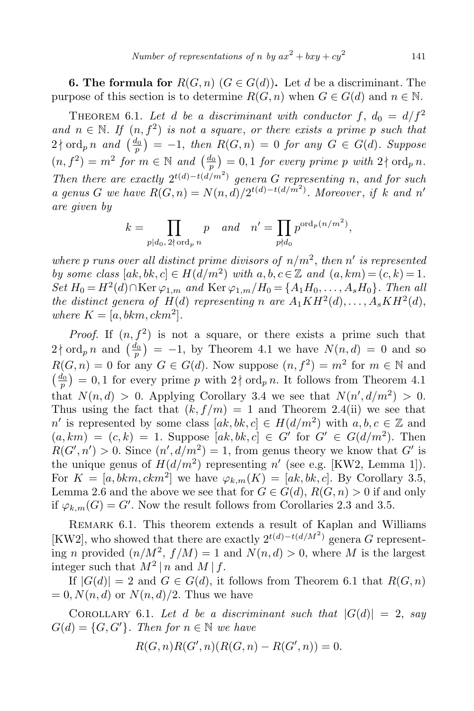**6. The formula for**  $R(G, n)$   $(G \in G(d))$ . Let *d* be a discriminant. The purpose of this section is to determine  $R(G, n)$  when  $G \in G(d)$  and  $n \in \mathbb{N}$ .

THEOREM 6.1. Let *d* be a discriminant with conductor  $f$ ,  $d_0 = d/f^2$ *and*  $n \in \mathbb{N}$ . If  $(n, f^2)$  *is not a square, or there exists a prime p such that*  $2 \nmid \text{ord}_p n$  and  $\left(\frac{d_0}{p}\right) = -1$ , then  $R(G, n) = 0$  for any  $G \in G(d)$ *. Suppose*  $(n, f^2) = m^2$  for  $m \in \mathbb{N}$  and  $\left(\frac{d_0}{p}\right) = 0, 1$  for every prime p with  $2 \nmid \text{ord}_p n$ . *Then there are exactly*  $2^{t(d)-t(d/m^2)}$  *genera G representing n, and for such a* genus *G* we have  $R(G, n) = N(n, d)/2^{t(d)-t(d/m^2)}$ . Moreover, if *k* and *n' are given by*

$$
k = \prod_{p|d_0, 2 \nmid \text{ord}_p} p \quad \text{and} \quad n' = \prod_{p\nmid d_0} p^{\text{ord}_p(n/m^2)},
$$

where p runs over all distinct prime divisors of  $n/m^2$ , then  $n'$  is represented *by some class*  $[a,k, c] \in H(d/m^2)$  *with*  $a, b, c \in \mathbb{Z}$  *and*  $(a, km) = (c, k) = 1$ .  $Set H_0 = H^2(d) \cap \text{Ker } \varphi_{1,m}$  *and*  $\text{Ker } \varphi_{1,m}/H_0 = \{A_1 H_0, \ldots, A_s H_0\}$ *. Then all the distinct genera of*  $H(d)$  *representing n are*  $A_1KH^2(d), \ldots, A_sKH^2(d)$ , *where*  $K = [a, bkm, ckm^2]$ .

*Proof.* If  $(n, f^2)$  is not a square, or there exists a prime such that  $2 \nmid \text{ord}_p n$  and  $\left(\frac{d_0}{p}\right) = -1$ , by Theorem 4.1 we have  $N(n, d) = 0$  and so  $R(G, n) = 0$  for any  $G \in G(d)$ . Now suppose  $(n, f^2) = m^2$  for  $m \in \mathbb{N}$  and  $\left(\frac{d_0}{p}\right) = 0, 1$  for every prime *p* with 2 | ord<sub>*p*</sub> *n*. It follows from Theorem 4.1 that  $N(n,d) > 0$ . Applying Corollary 3.4 we see that  $N(n',d/m^2) > 0$ . Thus using the fact that  $(k, f/m) = 1$  and Theorem 2.4(ii) we see that *n ′* is represented by some class  $[a k, bk, c] \in H(d/m^2)$  with  $a, b, c \in \mathbb{Z}$  and  $(a, km) = (c, k) = 1$ . Suppose  $[ak, bk, c] \in G'$  for  $G' \in G(d/m^2)$ . Then  $R(G', n') > 0$ . Since  $(n', d/m^2) = 1$ , from genus theory we know that *G'* is the unique genus of  $H(d/m^2)$  representing  $n'$  (see e.g. [KW2, Lemma 1]). For  $K = [a, bkm, ckm<sup>2</sup>]$  we have  $\varphi_{k,m}(K) = [ak, bk, c]$ . By Corollary 3.5, Lemma 2.6 and the above we see that for  $G \in G(d)$ ,  $R(G, n) > 0$  if and only if  $\varphi_{k,m}(G) = G'$ . Now the result follows from Corollaries 2.3 and 3.5.

Remark 6.1. This theorem extends a result of Kaplan and Williams [KW2], who showed that there are exactly  $2^{t(d)-t(d/M^2)}$  genera *G* representing *n* provided  $(n/M^2, f/M) = 1$  and  $N(n,d) > 0$ , where *M* is the largest integer such that  $M^2 | n$  and  $M | f$ .

If  $|G(d)| = 2$  and  $G \in G(d)$ , it follows from Theorem 6.1 that  $R(G, n)$  $= 0, N(n, d)$  or  $N(n, d)/2$ . Thus we have

COROLLARY 6.1. Let *d be a discriminant such that*  $|G(d)| = 2$ , *say*  $G(d) = \{G, G'\}$ *. Then for*  $n \in \mathbb{N}$  *we have* 

$$
R(G, n)R(G', n)(R(G, n) - R(G', n)) = 0.
$$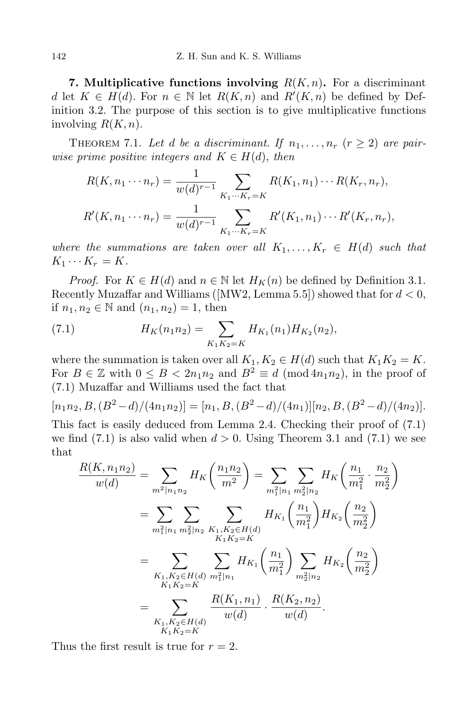**7.** Multiplicative functions involving  $R(K, n)$ . For a discriminant *d* let  $K \in H(d)$ . For  $n \in \mathbb{N}$  let  $R(K, n)$  and  $R'(K, n)$  be defined by Definition 3.2. The purpose of this section is to give multiplicative functions involving *R*(*K, n*).

THEOREM 7.1. Let *d* be a discriminant. If  $n_1, \ldots, n_r$  ( $r \geq 2$ ) are pair*wise prime positive integers and*  $K \in H(d)$ , *then* 

$$
R(K, n_1 \cdots n_r) = \frac{1}{w(d)^{r-1}} \sum_{K_1 \cdots K_r = K} R(K_1, n_1) \cdots R(K_r, n_r),
$$
  

$$
R'(K, n_1 \cdots n_r) = \frac{1}{w(d)^{r-1}} \sum_{K_1 \cdots K_r = K} R'(K_1, n_1) \cdots R'(K_r, n_r),
$$

*where the summations are taken over all*  $K_1, \ldots, K_r \in H(d)$  *such that*  $K_1 \cdots K_r = K$ .

*Proof.* For  $K \in H(d)$  and  $n \in \mathbb{N}$  let  $H_K(n)$  be defined by Definition 3.1. Recently Muzaffar and Williams ([MW2, Lemma 5.5]) showed that for *d <* 0, if *n*<sub>1</sub>, *n*<sub>2</sub> ∈  $\mathbb N$  and  $(n_1, n_2) = 1$ , then

(7.1) 
$$
H_K(n_1 n_2) = \sum_{K_1 K_2 = K} H_{K_1}(n_1) H_{K_2}(n_2),
$$

where the summation is taken over all  $K_1, K_2 \in H(d)$  such that  $K_1K_2 = K$ . For  $B \in \mathbb{Z}$  with  $0 \leq B < 2n_1n_2$  and  $B^2 \equiv d \pmod{4n_1n_2}$ , in the proof of (7*.*1) Muzaffar and Williams used the fact that

$$
[n_1n_2, B, (B^2 - d)/(4n_1n_2)] = [n_1, B, (B^2 - d)/(4n_1)][n_2, B, (B^2 - d)/(4n_2)].
$$

This fact is easily deduced from Lemma 2.4. Checking their proof of (7.1) we find  $(7.1)$  is also valid when  $d > 0$ . Using Theorem 3.1 and  $(7.1)$  we see that

$$
\frac{R(K, n_1 n_2)}{w(d)} = \sum_{m^2 | n_1 n_2} H_K \left(\frac{n_1 n_2}{m^2}\right) = \sum_{m_1^2 | n_1} \sum_{m_2^2 | n_2} H_K \left(\frac{n_1}{m_1^2} \cdot \frac{n_2}{m_2^2}\right)
$$

$$
= \sum_{m_1^2 | n_1} \sum_{m_2^2 | n_2} \sum_{\substack{K_1, K_2 \in H(d) \\ K_1 K_2 = K}} H_{K_1} \left(\frac{n_1}{m_1^2}\right) H_{K_2} \left(\frac{n_2}{m_2^2}\right)
$$

$$
= \sum_{\substack{K_1, K_2 \in H(d) \\ K_1 K_2 = K}} \sum_{m_1^2 | n_1} H_{K_1} \left(\frac{n_1}{m_1^2}\right) \sum_{m_2^2 | n_2} H_{K_2} \left(\frac{n_2}{m_2^2}\right)
$$

$$
= \sum_{\substack{K_1, K_2 \in H(d) \\ K_1 K_2 = K}} \frac{R(K_1, n_1)}{w(d)} \cdot \frac{R(K_2, n_2)}{w(d)}.
$$

Thus the first result is true for  $r = 2$ .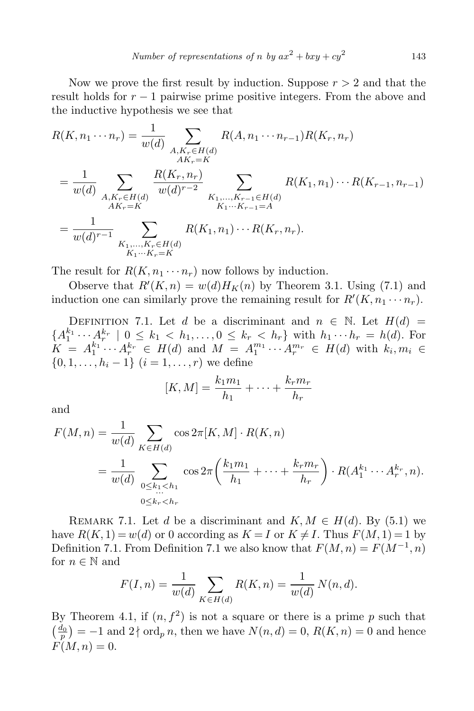Now we prove the first result by induction. Suppose *r >* 2 and that the result holds for *r −* 1 pairwise prime positive integers. From the above and the inductive hypothesis we see that

$$
R(K, n_1 \cdots n_r) = \frac{1}{w(d)} \sum_{\substack{A, K_r \in H(d) \\ AK_r = K}} R(A, n_1 \cdots n_{r-1}) R(K_r, n_r)
$$
  
= 
$$
\frac{1}{w(d)} \sum_{\substack{A, K_r \in H(d) \\ AK_r = K}} \frac{R(K_r, n_r)}{w(d)^{r-2}} \sum_{\substack{K_1, \dots, K_{r-1} \in H(d) \\ K_1 \cdots K_{r-1} = A}} R(K_1, n_1) \cdots R(K_{r-1}, n_{r-1})
$$
  
= 
$$
\frac{1}{w(d)^{r-1}} \sum_{\substack{K_1, \dots, K_r \in H(d) \\ K_1 \cdots K_r = K}} R(K_1, n_1) \cdots R(K_r, n_r).
$$

The result for  $R(K, n_1 \cdots n_r)$  now follows by induction.

Observe that  $R'(K, n) = w(d)H_K(n)$  by Theorem 3.1. Using (7.1) and induction one can similarly prove the remaining result for  $R'(K, n_1 \cdots n_r)$ .

DEFINITION 7.1. Let *d* be a discriminant and  $n \in \mathbb{N}$ . Let  $H(d)$  =  ${A_1^{k_1} \cdots A_r^{k_r} \mid 0 \leq k_1 < h_1, \ldots, 0 \leq k_r < h_r}$  with  $h_1 \cdots h_r = h(d)$ . For  $K = A_1^{k_1} \cdots A_r^{k_r} \in H(d)$  and  $M = A_1^{m_1} \cdots A_r^{m_r} \in H(d)$  with  $k_i, m_i \in$ *{*0*,* 1*, . . . , h<sup>i</sup> −* 1*}* (*i* = 1*, . . . , r*) we define

$$
[K,M] = \frac{k_1 m_1}{h_1} + \dots + \frac{k_r m_r}{h_r}
$$

and

$$
F(M, n) = \frac{1}{w(d)} \sum_{K \in H(d)} \cos 2\pi [K, M] \cdot R(K, n)
$$
  
= 
$$
\frac{1}{w(d)} \sum_{\substack{0 \le k_1 < h_1 \\ \dots \\ 0 \le k_r < h_r}} \cos 2\pi \left( \frac{k_1 m_1}{h_1} + \dots + \frac{k_r m_r}{h_r} \right) \cdot R(A_1^{k_1} \cdots A_r^{k_r}, n).
$$

REMARK 7.1. Let *d* be a discriminant and  $K, M \in H(d)$ . By (5.1) we have  $R(K, 1) = w(d)$  or 0 according as  $K = I$  or  $K \neq I$ . Thus  $F(M, 1) = 1$  by Definition 7.1. From Definition 7.1 we also know that  $F(M, n) = F(M^{-1}, n)$ for  $n \in \mathbb{N}$  and

$$
F(I, n) = \frac{1}{w(d)} \sum_{K \in H(d)} R(K, n) = \frac{1}{w(d)} N(n, d).
$$

By Theorem 4.1, if  $(n, f^2)$  is not a square or there is a prime p such that  $\left(\frac{d_0}{p}\right) = -1$  and  $2 \nmid \text{ord}_p n$ , then we have  $N(n, d) = 0$ ,  $R(K, n) = 0$  and hence  $F(M, n) = 0.$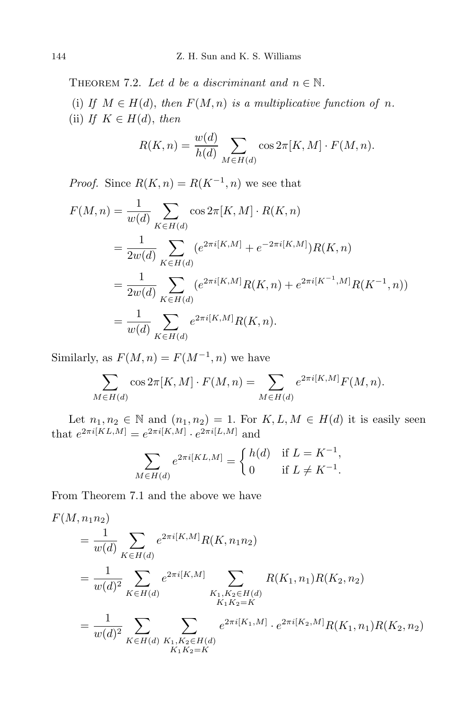THEOREM 7.2. Let *d* be a discriminant and  $n \in \mathbb{N}$ .

(i) If  $M \in H(d)$ , then  $F(M, n)$  is a multiplicative function of *n*. (ii) *If*  $K \in H(d)$ , *then* 

$$
R(K,n) = \frac{w(d)}{h(d)} \sum_{M \in H(d)} \cos 2\pi [K,M] \cdot F(M,n).
$$

*Proof.* Since  $R(K, n) = R(K^{-1}, n)$  we see that

$$
F(M, n) = \frac{1}{w(d)} \sum_{K \in H(d)} \cos 2\pi [K, M] \cdot R(K, n)
$$
  
= 
$$
\frac{1}{2w(d)} \sum_{K \in H(d)} (e^{2\pi i [K, M]} + e^{-2\pi i [K, M]}) R(K, n)
$$
  
= 
$$
\frac{1}{2w(d)} \sum_{K \in H(d)} (e^{2\pi i [K, M]} R(K, n) + e^{2\pi i [K^{-1}, M]} R(K^{-1}, n))
$$
  
= 
$$
\frac{1}{w(d)} \sum_{K \in H(d)} e^{2\pi i [K, M]} R(K, n).
$$

Similarly, as  $F(M, n) = F(M^{-1}, n)$  we have

$$
\sum_{M \in H(d)} \cos 2\pi [K, M] \cdot F(M, n) = \sum_{M \in H(d)} e^{2\pi i [K, M]} F(M, n).
$$

Let  $n_1, n_2 \in \mathbb{N}$  and  $(n_1, n_2) = 1$ . For  $K, L, M \in H(d)$  it is easily seen that  $e^{2\pi i [KL,M]} = e^{2\pi i [K,M]} \cdot e^{2\pi i [L,M]}$  and

$$
\sum_{M \in H(d)} e^{2\pi i [KL,M]} = \begin{cases} h(d) & \text{if } L = K^{-1}, \\ 0 & \text{if } L \neq K^{-1}. \end{cases}
$$

From Theorem 7.1 and the above we have

$$
F(M, n_1 n_2)
$$
  
=  $\frac{1}{w(d)} \sum_{K \in H(d)} e^{2\pi i [K, M]} R(K, n_1 n_2)$   
=  $\frac{1}{w(d)^2} \sum_{K \in H(d)} e^{2\pi i [K, M]} \sum_{\substack{K_1, K_2 \in H(d) \\ K_1 K_2 = K}} R(K_1, n_1) R(K_2, n_2)$   
=  $\frac{1}{w(d)^2} \sum_{K \in H(d)} \sum_{\substack{K_1, K_2 \in H(d) \\ K_1 K_2 = K}} e^{2\pi i [K_1, M]} \cdot e^{2\pi i [K_2, M]} R(K_1, n_1) R(K_2, n_2)$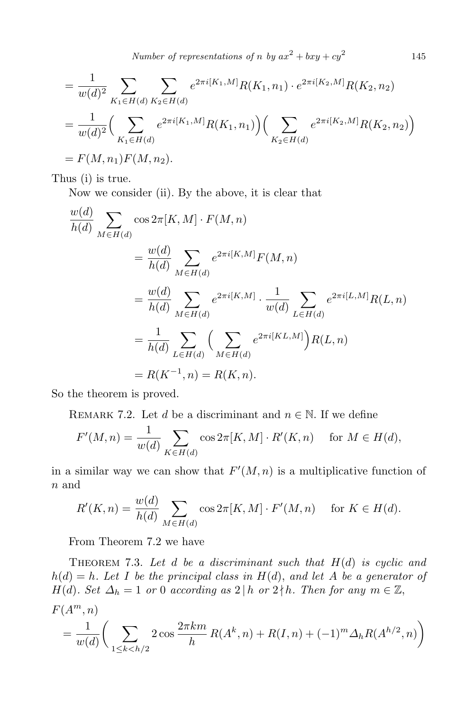*Number of representations of n by*  $ax^2 + bxy + cy^2$ 

$$
= \frac{1}{w(d)^2} \sum_{K_1 \in H(d)} \sum_{K_2 \in H(d)} e^{2\pi i [K_1, M]} R(K_1, n_1) \cdot e^{2\pi i [K_2, M]} R(K_2, n_2)
$$
  
= 
$$
\frac{1}{w(d)^2} \Big( \sum_{K_1 \in H(d)} e^{2\pi i [K_1, M]} R(K_1, n_1) \Big) \Big( \sum_{K_2 \in H(d)} e^{2\pi i [K_2, M]} R(K_2, n_2) \Big)
$$
  
= 
$$
F(M, n_1) F(M, n_2).
$$

Thus (i) is true.

Now we consider (ii). By the above, it is clear that

$$
\frac{w(d)}{h(d)} \sum_{M \in H(d)} \cos 2\pi [K, M] \cdot F(M, n)
$$
  
=  $\frac{w(d)}{h(d)} \sum_{M \in H(d)} e^{2\pi i [K, M]} F(M, n)$   
=  $\frac{w(d)}{h(d)} \sum_{M \in H(d)} e^{2\pi i [K, M]} \cdot \frac{1}{w(d)} \sum_{L \in H(d)} e^{2\pi i [L, M]} R(L, n)$   
=  $\frac{1}{h(d)} \sum_{L \in H(d)} \left( \sum_{M \in H(d)} e^{2\pi i [KL, M]} \right) R(L, n)$   
=  $R(K^{-1}, n) = R(K, n).$ 

So the theorem is proved.

REMARK 7.2. Let *d* be a discriminant and  $n \in \mathbb{N}$ . If we define

$$
F'(M, n) = \frac{1}{w(d)} \sum_{K \in H(d)} \cos 2\pi [K, M] \cdot R'(K, n) \quad \text{for } M \in H(d),
$$

in a similar way we can show that  $F'(M, n)$  is a multiplicative function of *n* and

$$
R'(K,n) = \frac{w(d)}{h(d)} \sum_{M \in H(d)} \cos 2\pi [K,M] \cdot F'(M,n) \quad \text{for } K \in H(d).
$$

From Theorem 7.2 we have

THEOREM 7.3. Let  $d$  be a discriminant such that  $H(d)$  is cyclic and  $h(d) = h$ *. Let I be the principal class in*  $H(d)$ *, and let A be a generator of H*(*d*)*. Set*  $\Delta_h = 1$  *or* 0 *according as*  $2 | h$  *or*  $2 \nmid h$ *. Then for any*  $m \in \mathbb{Z}$ ,  $F(A^m, n)$ 

$$
= \frac{1}{w(d)} \bigg( \sum_{1 \le k < h/2} 2 \cos \frac{2 \pi k m}{h} R(A^k, n) + R(I, n) + (-1)^m \Delta_h R(A^{h/2}, n) \bigg)
$$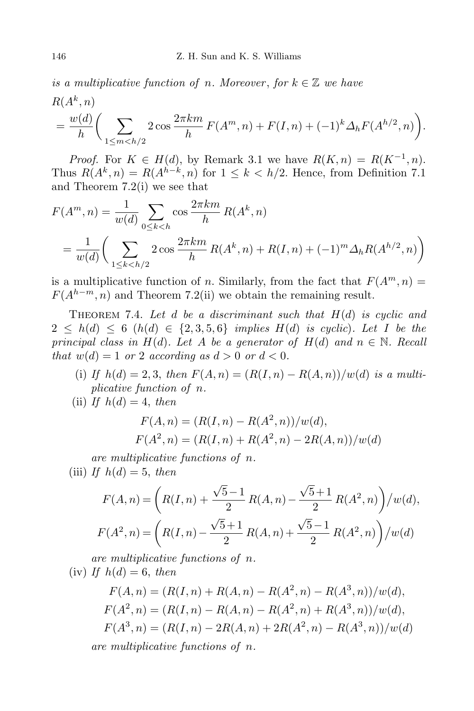*is a multiplicative function of n. Moreover, for*  $k \in \mathbb{Z}$  *we have* 

$$
R(A^k, n)
$$
  
=  $\frac{w(d)}{h} \left( \sum_{1 \le m < h/2} 2 \cos \frac{2\pi km}{h} F(A^m, n) + F(I, n) + (-1)^k \Delta_h F(A^{h/2}, n) \right).$ 

*Proof.* For  $K \in H(d)$ , by Remark 3.1 we have  $R(K,n) = R(K^{-1}, n)$ . Thus  $R(A^k, n) = R(A^{h-k}, n)$  for  $1 \leq k < h/2$ . Hence, from Definition 7.1 and Theorem 7.2(i) we see that

$$
F(A^m, n) = \frac{1}{w(d)} \sum_{0 \le k < h} \cos \frac{2\pi k m}{h} R(A^k, n)
$$
  
= 
$$
\frac{1}{w(d)} \left( \sum_{1 \le k < h/2} 2 \cos \frac{2\pi k m}{h} R(A^k, n) + R(I, n) + (-1)^m \Delta_h R(A^{h/2}, n) \right)
$$

is a multiplicative function of *n*. Similarly, from the fact that  $F(A^m, n) =$  $F(A^{h-m}, n)$  and Theorem 7.2(ii) we obtain the remaining result.

THEOREM 7.4. Let *d* be a discriminant such that  $H(d)$  is cyclic and  $2 \leq h(d) \leq 6$  (*h*(*d*)  $\in \{2, 3, 5, 6\}$  *implies*  $H(d)$  *is cyclic*)*. Let I be the principal class in*  $H(d)$ *. Let A be a generator of*  $H(d)$  *and*  $n \in \mathbb{N}$ *. Recall that*  $w(d) = 1$  *or* 2 *according as*  $d > 0$  *or*  $d < 0$ *.* 

(i) *If*  $h(d) = 2, 3$ , then  $F(A, n) = (R(I, n) - R(A, n))/w(d)$  is a multi*plicative function of n.*

(ii) If  $h(d) = 4$ , *then* 

$$
F(A, n) = (R(I, n) - R(A^2, n))/w(d),
$$
  
 
$$
F(A^2, n) = (R(I, n) + R(A^2, n) - 2R(A, n))/w(d)
$$

*are multiplicative functions of n.*

(iii) *If*  $h(d) = 5$ , *then* 

$$
F(A, n) = \left( R(I, n) + \frac{\sqrt{5}-1}{2} R(A, n) - \frac{\sqrt{5}+1}{2} R(A^2, n) \right) / w(d),
$$
  

$$
F(A^2, n) = \left( R(I, n) - \frac{\sqrt{5}+1}{2} R(A, n) + \frac{\sqrt{5}-1}{2} R(A^2, n) \right) / w(d)
$$

*are multiplicative functions of n.*

 $(iv)$  *If*  $h(d) = 6$ , *then* 

$$
F(A, n) = (R(I, n) + R(A, n) - R(A^2, n) - R(A^3, n))/w(d),
$$
  
\n
$$
F(A^2, n) = (R(I, n) - R(A, n) - R(A^2, n) + R(A^3, n))/w(d),
$$
  
\n
$$
F(A^3, n) = (R(I, n) - 2R(A, n) + 2R(A^2, n) - R(A^3, n))/w(d)
$$
  
\nare multiplicative functions of n.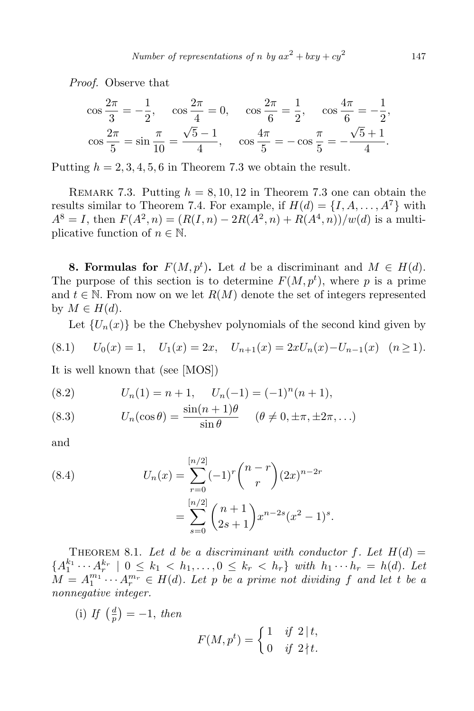*Proof.* Observe that

$$
\cos\frac{2\pi}{3} = -\frac{1}{2}, \quad \cos\frac{2\pi}{4} = 0, \quad \cos\frac{2\pi}{6} = \frac{1}{2}, \quad \cos\frac{4\pi}{6} = -\frac{1}{2},
$$

$$
\cos\frac{2\pi}{5} = \sin\frac{\pi}{10} = \frac{\sqrt{5} - 1}{4}, \quad \cos\frac{4\pi}{5} = -\cos\frac{\pi}{5} = -\frac{\sqrt{5} + 1}{4}.
$$

Putting  $h = 2, 3, 4, 5, 6$  in Theorem 7.3 we obtain the result.

REMARK 7.3. Putting  $h = 8, 10, 12$  in Theorem 7.3 one can obtain the results similar to Theorem 7.4. For example, if  $H(d) = \{I, A, \ldots, A^7\}$  with  $A^{8} = I$ , then  $F(A^{2}, n) = (R(I, n) - 2R(A^{2}, n) + R(A^{4}, n))/w(d)$  is a multiplicative function of  $n \in \mathbb{N}$ .

**8. Formulas for**  $F(M, p^t)$ . Let *d* be a discriminant and  $M \in H(d)$ . The purpose of this section is to determine  $F(M, p^t)$ , where p is a prime and  $t \in \mathbb{N}$ . From now on we let  $R(M)$  denote the set of integers represented by  $M \in H(d)$ .

Let  ${U_n(x)}$  be the Chebyshev polynomials of the second kind given by

$$
(8.1) \tU_0(x) = 1, \tU_1(x) = 2x, \tU_{n+1}(x) = 2xU_n(x) - U_{n-1}(x) \t(n \ge 1).
$$

It is well known that (see [MOS])

(8.2) 
$$
U_n(1) = n + 1, \quad U_n(-1) = (-1)^n (n + 1),
$$

(8.3) 
$$
U_n(\cos \theta) = \frac{\sin(n+1)\theta}{\sin \theta} \quad (\theta \neq 0, \pm \pi, \pm 2\pi, \ldots)
$$

and

(8.4) 
$$
U_n(x) = \sum_{r=0}^{\lfloor n/2 \rfloor} (-1)^r {n-r \choose r} (2x)^{n-2r}
$$

$$
= \sum_{s=0}^{\lfloor n/2 \rfloor} {n+1 \choose 2s+1} x^{n-2s} (x^2 - 1)^s.
$$

THEOREM 8.1. Let *d* be a discriminant with conductor  $f$ . Let  $H(d)$  =  ${A_1^{k_1} \cdots A_r^{k_r} \mid 0 \leq k_1 < h_1, \ldots, 0 \leq k_r < h_r}$  with  $h_1 \cdots h_r = h(d)$ . Let  $M = A_1^{m_1} \cdots A_r^{m_r} \in H(d)$ . Let *p be a prime not dividing f and let t be a nonnegative integer.*

 $(i)$  *If*  $\left(\frac{d}{n}\right)$  $\frac{d}{p}$ ) = -1, *then* 

$$
F(M, p^t) = \begin{cases} 1 & \text{if } 2 \mid t, \\ 0 & \text{if } 2 \nmid t. \end{cases}
$$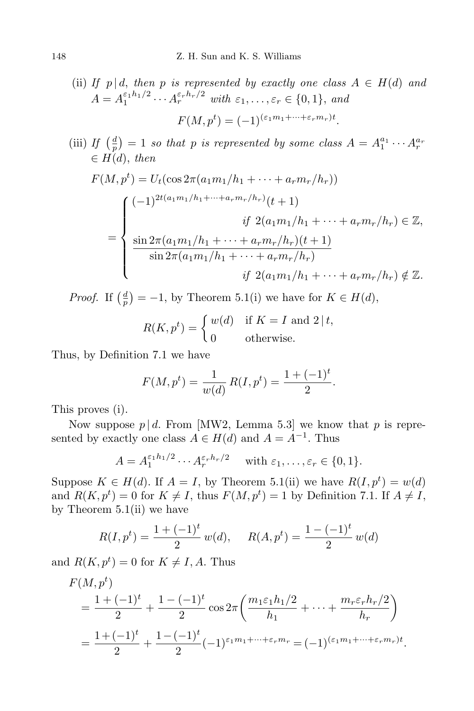(ii) If 
$$
p | d
$$
, then  $p$  is represented by exactly one class  $A \in H(d)$  and  
\n
$$
A = A_1^{\varepsilon_1 h_1/2} \cdots A_r^{\varepsilon_r h_r/2} \text{ with } \varepsilon_1, \ldots, \varepsilon_r \in \{0, 1\}, \text{ and}
$$
\n
$$
F(M, p^t) = (-1)^{(\varepsilon_1 m_1 + \cdots + \varepsilon_r m_r)t}.
$$

 $(iii)$  *If*  $\left(\frac{d}{p}\right)$  $\left(\frac{d}{p}\right) = 1$  *so that p is represented by some class*  $A = A_1^{a_1} \cdots A_r^{a_r}$ *∈ H*(*d*), *then*

$$
F(M, p^{t}) = U_{t}(\cos 2\pi (a_{1}m_{1}/h_{1} + \cdots + a_{r}m_{r}/h_{r}))
$$
  
= 
$$
\begin{cases} (-1)^{2t(a_{1}m_{1}/h_{1} + \cdots + a_{r}m_{r}/h_{r})}(t+1) \\ \sin 2\pi (a_{1}m_{1}/h_{1} + \cdots + a_{r}m_{r}/h_{r})(t+1) \\ \sin 2\pi (a_{1}m_{1}/h_{1} + \cdots + a_{r}m_{r}/h_{r}) \\ \sin 2\pi (a_{1}m_{1}/h_{1} + \cdots + a_{r}m_{r}/h_{r}) \\ \text{if } 2(a_{1}m_{1}/h_{1} + \cdots + a_{r}m_{r}/h_{r}) \notin \mathbb{Z}. \end{cases}
$$

*Proof.* If  $\left(\frac{d}{n}\right)$  $\frac{d}{p}$ ) = *−*1, by Theorem 5.1(i) we have for  $K \in H(d)$ ,

$$
R(K, pt) = \begin{cases} w(d) & \text{if } K = I \text{ and } 2 \mid t, \\ 0 & \text{otherwise.} \end{cases}
$$

Thus, by Definition 7.1 we have

$$
F(M, pt) = \frac{1}{w(d)} R(I, pt) = \frac{1 + (-1)t}{2}.
$$

This proves (i).

Now suppose  $p \mid d$ . From [MW2, Lemma 5.3] we know that  $p$  is represented by exactly one class  $A \in H(d)$  and  $A = A^{-1}$ . Thus

$$
A = A_1^{\varepsilon_1 h_1/2} \cdots A_r^{\varepsilon_r h_r/2} \quad \text{ with } \varepsilon_1, \ldots, \varepsilon_r \in \{0, 1\}.
$$

Suppose  $K \in H(d)$ . If  $A = I$ , by Theorem 5.1(ii) we have  $R(I, p^t) = w(d)$ and  $R(K, p^t) = 0$  for  $K \neq I$ , thus  $F(M, p^t) = 1$  by Definition 7.1. If  $A \neq I$ , by Theorem  $5.1(i)$  we have

$$
R(I, pt) = \frac{1 + (-1)t}{2} w(d), \qquad R(A, pt) = \frac{1 - (-1)t}{2} w(d)
$$

and  $R(K, p^t) = 0$  for  $K \neq I, A$ . Thus

$$
F(M, p^t)
$$
  
=  $\frac{1 + (-1)^t}{2} + \frac{1 - (-1)^t}{2} \cos 2\pi \left( \frac{m_1 \varepsilon_1 h_1/2}{h_1} + \dots + \frac{m_r \varepsilon_r h_r/2}{h_r} \right)$   
=  $\frac{1 + (-1)^t}{2} + \frac{1 - (-1)^t}{2} (-1)^{\varepsilon_1 m_1 + \dots + \varepsilon_r m_r} = (-1)^{(\varepsilon_1 m_1 + \dots + \varepsilon_r m_r)t}.$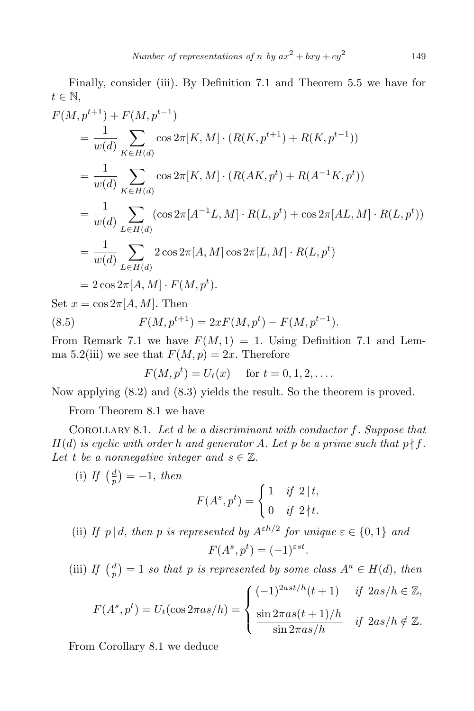Finally, consider (iii). By Definition 7.1 and Theorem 5.5 we have for *t ∈* N,

$$
F(M, p^{t+1}) + F(M, p^{t-1})
$$
  
=  $\frac{1}{w(d)} \sum_{K \in H(d)} \cos 2\pi [K, M] \cdot (R(K, p^{t+1}) + R(K, p^{t-1}))$   
=  $\frac{1}{w(d)} \sum_{K \in H(d)} \cos 2\pi [K, M] \cdot (R(AK, p^t) + R(A^{-1}K, p^t))$   
=  $\frac{1}{w(d)} \sum_{L \in H(d)} (\cos 2\pi [A^{-1}L, M] \cdot R(L, p^t) + \cos 2\pi [AL, M] \cdot R(L, p^t))$   
=  $\frac{1}{w(d)} \sum_{L \in H(d)} 2 \cos 2\pi [A, M] \cos 2\pi [L, M] \cdot R(L, p^t)$   
=  $2 \cos 2\pi [A, M] \cdot F(M, p^t).$   
Set  $x = \cos 2\pi [A, M]$ . Then  
(8.5)  $F(M, p^{t+1}) = 2xF(M, p^t) - F(M, p^{t-1}).$ 

From Remark 7.1 we have  $F(M, 1) = 1$ . Using Definition 7.1 and Lemma 5.2(iii) we see that  $F(M, p) = 2x$ . Therefore

$$
F(M, p^t) = U_t(x)
$$
 for  $t = 0, 1, 2, ...$ 

Now applying (8.2) and (8.3) yields the result. So the theorem is proved.

From Theorem 8.1 we have

Corollary 8.1. *Let d be a discriminant with conductor f. Suppose that*  $H(d)$  *is cyclic with order h and generator A. Let p be a prime such that*  $p \nmid f$ *.* Let *t* be a nonnegative integer and  $s \in \mathbb{Z}$ .

 $(i)$  *If*  $\left(\frac{d}{n}\right)$  $\frac{d}{p}$ ) = -1, *then* 

$$
F(A^s, p^t) = \begin{cases} 1 & \text{if } 2 \mid t, \\ 0 & \text{if } 2 \nmid t. \end{cases}
$$

(ii) *If*  $p | d$ , *then*  $p$  *is represented by*  $A^{\varepsilon h/2}$  *for unique*  $\varepsilon \in \{0, 1\}$  *and*  $F(A^s, p^t) = (-1)^{\varepsilon st}$ .

 $(iii)$  *If*  $\left(\frac{d}{n}\right)$  $\frac{d}{p}$  = 1 *so that p is represented by some class*  $A^a \in H(d)$ , *then*  $F(A^s, p^t) = U_t(\cos 2\pi a s/h) =$  $\sqrt{ }$  $\int$  $\overline{\mathcal{L}}$  $(-1)^{2ast/h}(t+1)$  *if*  $2as/h \in \mathbb{Z}$ ,  $\frac{\sin 2\pi as(t+1)/h}{\sin 2\pi as/h}$  *if*  $2as/h \notin \mathbb{Z}$ *.* 

From Corollary 8.1 we deduce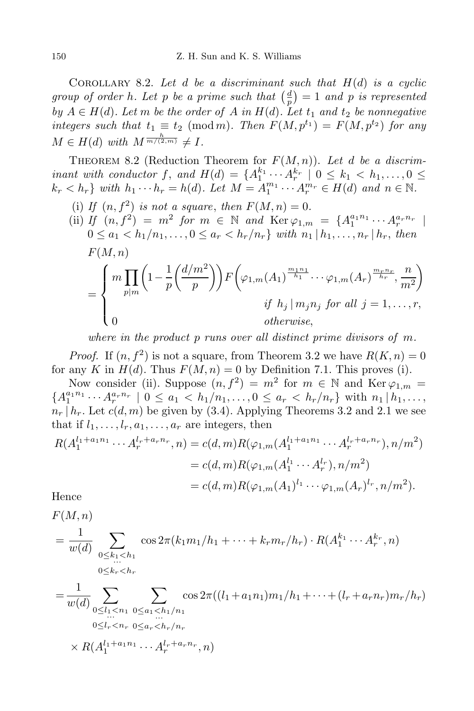COROLLARY 8.2. Let  $d$  be a discriminant such that  $H(d)$  is a cyclic *group of order h. Let p be a prime such that*  $\left(\frac{d}{n}\right)$  $\left(\frac{d}{p}\right) = 1$  *and p is represented by*  $A \in H(d)$ *. Let m be the order of*  $A$  *in*  $H(d)$ *. Let*  $t_1$  *and*  $t_2$  *be nonnegative integers such that*  $t_1 \equiv t_2 \pmod{m}$ *. Then*  $F(M, p^{t_1}) = F(M, p^{t_2})$  for any  $M \in H(d)$  *with*  $M^{\frac{h}{m/(2,m)}} \neq I$ .

THEOREM 8.2 (Reduction Theorem for  $F(M, n)$ ). Let *d* be a discrim*inant with conductor*  $f$ , and  $H(d) = \{A_1^{k_1} \cdots A_r^{k_r} \mid 0 \leq k_1 < k_1, \ldots, 0 \leq k_r \}$  $k_r < h_r$  with  $h_1 \cdots h_r = h(d)$ . Let  $M = A_1^{m_1} \cdots A_r^{m_r} \in H(d)$  and  $n \in \mathbb{N}$ .

(i) If  $(n, f^2)$  *is not a square, then*  $F(M, n) = 0$ . (ii) *If*  $(n, f^2) = m^2$  *for*  $m \in \mathbb{N}$  *and*  $\text{Ker } \varphi_{1,m} = \{A_1^{a_1 n_1} \cdots A_r^{a_r n_r} \mid$  $0 \le a_1 < h_1/n_1, \ldots, 0 \le a_r < h_r/n_r$  with  $n_1 | h_1, \ldots, n_r | h_r$ , then *F*(*M, n*) =  $\sqrt{ }$  $\int$  $\overline{\mathcal{L}}$  $m\prod$ *p|m*  $\left(1-\frac{1}{n}\right)$ *p d/m*<sup>2</sup>  $\binom{m^2}{p}$   $F\left(\varphi_{1,m}(A_1)^{\frac{m_1n_1}{h_1}} \cdots \varphi_{1,m}(A_r)^{\frac{m_rn_r}{h_r}}, \frac{m_r}{m_r} \right)$ *m*<sup>2</sup>  $\setminus$ *if*  $h_j | m_j n_j$  *for all*  $j = 1, \ldots, r$ , 0 *otherwise,*

*where in the product p runs over all distinct prime divisors of m.*

*Proof.* If  $(n, f^2)$  is not a square, from Theorem 3.2 we have  $R(K, n) = 0$ for any *K* in  $H(d)$ . Thus  $F(M, n) = 0$  by Definition 7.1. This proves (i).

Now consider (ii). Suppose  $(n, f^2) = m^2$  for  $m \in \mathbb{N}$  and Ker  $\varphi_{1,m} =$  ${A_1^{a_1n_1} \cdots A_r^{a_rn_r} \mid 0 \le a_1 < h_1/n_1, \ldots, 0 \le a_r < h_r/n_r}$  with  $n_1 | h_1, \ldots,$  $n_r | h_r$ . Let  $c(d, m)$  be given by (3.4). Applying Theorems 3.2 and 2.1 we see that if  $l_1, \ldots, l_r, a_1, \ldots, a_r$  are integers, then

$$
R(A_1^{l_1+a_1n_1}\cdots A_r^{l_r+a_rn_r}, n) = c(d, m)R(\varphi_{1,m}(A_1^{l_1+a_1n_1}\cdots A_r^{l_r+a_rn_r}), n/m^2)
$$
  
=  $c(d, m)R(\varphi_{1,m}(A_1^{l_1}\cdots A_r^{l_r}), n/m^2)$   
=  $c(d, m)R(\varphi_{1,m}(A_1)^{l_1}\cdots\varphi_{1,m}(A_r)^{l_r}, n/m^2).$ 

Hence

*F*(*M, n*)

 $\times$  *R*( $A_1^{l_1+a_1n_1}$   $\cdots$   $A_r^{l_r+a_rn_r}$ , *n*)

$$
= \frac{1}{w(d)} \sum_{\substack{0 \le k_1 < h_1 \\ 0 \le k_r < h_r}} \cos 2\pi (k_1 m_1 / h_1 + \dots + k_r m_r / h_r) \cdot R(A_1^{k_1} \cdots A_r^{k_r}, n)
$$
\n
$$
= \frac{1}{w(d)} \sum_{\substack{0 \le l_1 < n_1 \\ 0 \le l_1 < n_1}} \sum_{\substack{0 \le a_1 < h_1 / n_1 \\ \dots \\ 0 \le l_r < n_r}} \cos 2\pi ((l_1 + a_1 n_1) m_1 / h_1 + \dots + (l_r + a_r n_r) m_r / h_r)
$$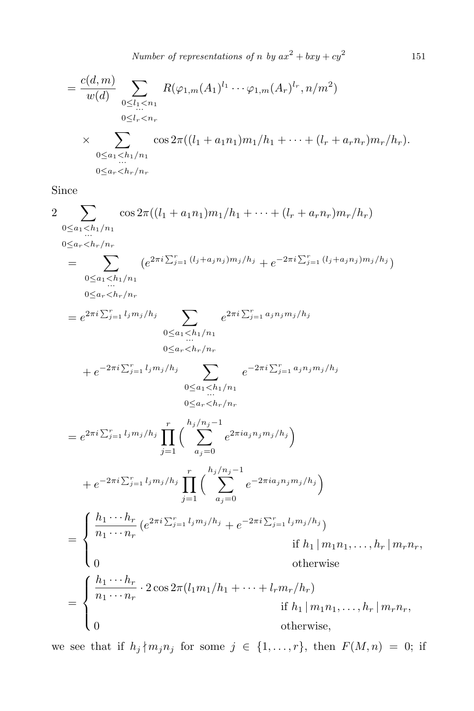*Number of representations of <i>n by*  $ax^2 + bxy + cy^2$ 

151

$$
= \frac{c(d,m)}{w(d)} \sum_{\substack{0 \le l_1 < n_1 \\ 0 \le l_r < n_r}} R(\varphi_{1,m}(A_1)^{l_1} \cdots \varphi_{1,m}(A_r)^{l_r}, n/m^2)
$$
\n
$$
\times \sum_{\substack{0 \le a_1 < h_1/n_1 \\ \dots \\ 0 \le a_r < h_r/n_r}} \cos 2\pi ((l_1 + a_1 n_1) m_1 / h_1 + \dots + (l_r + a_r n_r) m_r / h_r).
$$

Since

$$
2 \sum_{\substack{n \text{odd } n}} \cos 2\pi ((l_1 + a_1 n_1) m_1/h_1 + \cdots + (l_r + a_r n_r) m_r/h_r)
$$
  
\n
$$
0 \le a_r < h_r/n_r
$$
  
\n
$$
= \sum_{0 \le a_1 < h_1/n_1} (e^{2\pi i \sum_{j=1}^r (l_j + a_j n_j) m_j/h_j} + e^{-2\pi i \sum_{j=1}^r (l_j + a_j n_j) m_j/h_j})
$$
  
\n
$$
0 \le a_r < h_r/n_r
$$
  
\n
$$
= e^{2\pi i \sum_{j=1}^r l_j m_j/h_j} \sum_{0 \le a_1 < h_1/n_1} e^{2\pi i \sum_{j=1}^r a_j n_j m_j/h_j}
$$
  
\n
$$
+ e^{-2\pi i \sum_{j=1}^r l_j m_j/h_j} \sum_{0 \le a_r < h_r/n_r} e^{-2\pi i \sum_{j=1}^r a_j n_j m_j/h_j}
$$
  
\n
$$
+ e^{-2\pi i \sum_{j=1}^r l_j m_j/h_j} \prod_{j=1}^r {h_j/n_j - 1 \choose a_j = 0} e^{2\pi i a_j n_j m_j/h_j}
$$
  
\n
$$
+ e^{-2\pi i \sum_{j=1}^r l_j m_j/h_j} \prod_{j=1}^r {h_j/n_j - 1 \choose a_j = 0} e^{2\pi i a_j n_j m_j/h_j}
$$
  
\n
$$
+ e^{-2\pi i \sum_{j=1}^r l_j m_j/h_j} \prod_{j=1}^r {h_j/n_j - 1 \choose a_j = 0} e^{-2\pi i a_j n_j m_j/h_j}
$$
  
\nIf  $h_1 | m_1 n_1, \ldots, h_r | m_r n_r$ ,  
\n
$$
0
$$
 otherwise  
\n
$$
= \begin{cases} \frac{h_1 \cdots h_r}{n_1 \cdots n_r} \cdot 2 \cos 2\pi (l_1 m_1/h_1 + \cdots + l_r m_r/h_r) & \text{if } h_1 | m_1 n_1, \ldots, h_r | m_r n_r, \\ 0 & \text{otherwise,} \end{cases}
$$

we see that if  $h_j \nmid m_j n_j$  for some  $j \in \{1, \ldots, r\}$ , then  $F(M, n) = 0$ ; if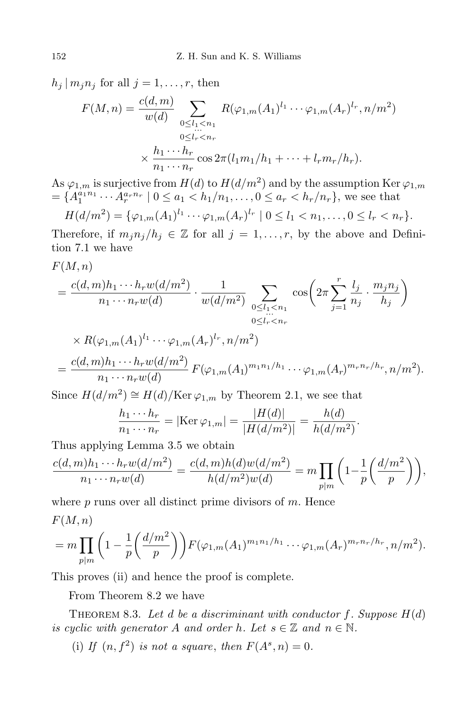$h_j | m_j n_j$  for all  $j = 1, \ldots, r$ , then

$$
F(M, n) = \frac{c(d, m)}{w(d)} \sum_{\substack{0 \le l_1 < n_1 \\ 0 \le l_r < n_r}} R(\varphi_{1,m}(A_1)^{l_1} \cdots \varphi_{1,m}(A_r)^{l_r}, n/m^2)
$$
\n
$$
\times \frac{h_1 \cdots h_r}{n_1 \cdots n_r} \cos 2\pi (l_1 m_1 / h_1 + \cdots + l_r m_r / h_r).
$$

As  $\varphi_{1,m}$  is surjective from  $H(d)$  to  $H(d/m^2)$  and by the assumption Ker  $\varphi_{1,m}$  $= \{A_1^{a_1 n_1} \cdots A_r^{a_r n_r} \mid 0 \le a_1 < h_1/n_1, \ldots, 0 \le a_r < h_r/n_r\}$ , we see that *H*(*d/m*<sup>2</sup> *l*<sub>1</sub>  $\sqrt{l_1}$ 

$$
H(d/m^{2}) = {\varphi_{1,m}(A_{1})^{l_{1}} \cdots \varphi_{1,m}(A_{r})^{l_{r}} \mid 0 \leq l_{1} < n_{1}, \ldots, 0 \leq l_{r} < n_{r}}.
$$

Therefore, if  $m_j n_j / h_j \in \mathbb{Z}$  for all  $j = 1, \ldots, r$ , by the above and Definition 7.1 we have

$$
F(M,n)
$$

$$
=\frac{c(d,m)h_1\cdots h_rw(d/m^2)}{n_1\cdots n_rw(d)}\cdot\frac{1}{w(d/m^2)}\sum_{\substack{0\le l_1
$$

$$
\times R(\varphi_{1,m}(A_1)^{l_1} \cdots \varphi_{1,m}(A_r)^{l_r}, n/m^2)
$$
  
= 
$$
\frac{c(d,m)h_1 \cdots h_rw(d/m^2)}{n_1 \cdots n_rw(d)} F(\varphi_{1,m}(A_1)^{m_1n_1/h_1} \cdots \varphi_{1,m}(A_r)^{m_rn_r/h_r}, n/m^2).
$$

Since  $H(d/m^2) \cong H(d)/\text{Ker }\varphi_{1,m}$  by Theorem 2.1, we see that

$$
\frac{h_1 \cdots h_r}{n_1 \cdots n_r} = |\text{Ker } \varphi_{1,m}| = \frac{|H(d)|}{|H(d/m^2)|} = \frac{h(d)}{h(d/m^2)}.
$$

Thus applying Lemma 3.5 we obtain

$$
\frac{c(d,m)h_1 \cdots h_rw(d/m^2)}{n_1 \cdots n_rw(d)} = \frac{c(d,m)h(d)w(d/m^2)}{h(d/m^2)w(d)} = m \prod_{p|m} \left(1 - \frac{1}{p} \left(\frac{d/m^2}{p}\right)\right),
$$

where *p* runs over all distinct prime divisors of *m*. Hence *F*(*M, n*)

$$
= m \prod_{p|m} \left(1 - \frac{1}{p} \left(\frac{d/m^2}{p}\right)\right) F(\varphi_{1,m}(A_1)^{m_1 n_1/h_1} \cdots \varphi_{1,m}(A_r)^{m_r n_r/h_r}, n/m^2).
$$

This proves (ii) and hence the proof is complete.

From Theorem 8.2 we have

THEOREM 8.3. Let  $d$  be a discriminant with conductor  $f$ . Suppose  $H(d)$ *is cyclic with generator A and order h.* Let  $s \in \mathbb{Z}$  *and*  $n \in \mathbb{N}$ *.* 

(i) If  $(n, f^2)$  *is not a square, then*  $F(A^s, n) = 0$ .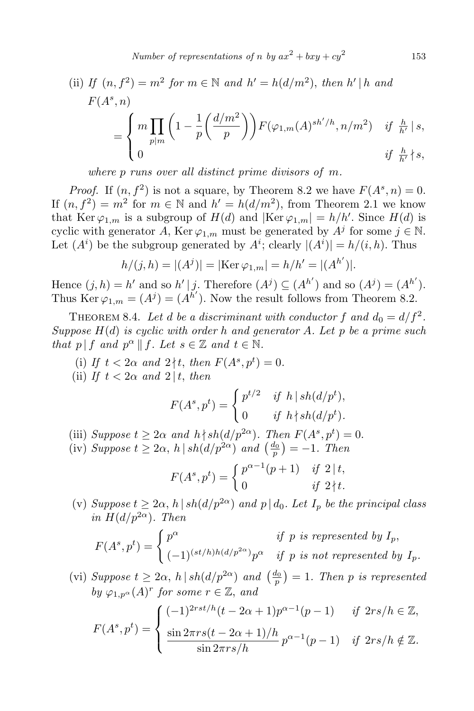(ii) If 
$$
(n, f^2) = m^2
$$
 for  $m \in \mathbb{N}$  and  $h' = h(d/m^2)$ , then  $h' | h$  and  
\n
$$
F(A^s, n)
$$
\n
$$
= \begin{cases} m \prod_{p|m} \left(1 - \frac{1}{p} \left(\frac{d/m^2}{p}\right)\right) F(\varphi_{1,m}(A)^{sh'/h}, n/m^2) & \text{if } \frac{h}{h'} | s, \\ 0 & \text{if } \frac{h}{h'} \nmid s, \end{cases}
$$

*where p runs over all distinct prime divisors of m.*

*Proof.* If  $(n, f^2)$  is not a square, by Theorem 8.2 we have  $F(A^s, n) = 0$ . If  $(n, f^2) = m^2$  for  $m \in \mathbb{N}$  and  $h' = h(d/m^2)$ , from Theorem 2.1 we know that Ker  $\varphi_{1,m}$  is a subgroup of  $H(d)$  and  $|\text{Ker }\varphi_{1,m}| = h/h'$ . Since  $H(d)$  is cyclic with generator *A*, Ker  $\varphi_{1,m}$  must be generated by  $A^j$  for some  $j \in \mathbb{N}$ . Let  $(A^i)$  be the subgroup generated by  $A^i$ ; clearly  $|(A^i)| = h/(i, h)$ . Thus

$$
h/(j,h) = |(Aj)| = |\text{Ker }\varphi_{1,m}| = h/h' = |(A^{h'})|.
$$

Hence  $(j, h) = h'$  and so  $h' \mid j$ . Therefore  $(A^j) \subseteq (A^{h'})$  and so  $(A^j) = (A^{h'})$ . Thus  $\text{Ker }\varphi_{1,m} = (A^j) = (A^{h'})$ . Now the result follows from Theorem 8.2.

THEOREM 8.4. Let *d* be a discriminant with conductor  $f$  and  $d_0 = d/f^2$ . *Suppose H*(*d*) *is cyclic with order h and generator A. Let p be a prime such that*  $p | f$  *and*  $p^{\alpha} | f$ *. Let*  $s \in \mathbb{Z}$  *and*  $t \in \mathbb{N}$ *.* 

(i) If  $t < 2\alpha$  and  $2 \nmid t$ , then  $F(A^s, p^t) = 0$ . (ii) *If*  $t < 2\alpha$  *and*  $2 | t$ , *then* 

$$
F(A^s, p^t) = \begin{cases} p^{t/2} & \text{if } h \mid sh(d/p^t), \\ 0 & \text{if } h \nmid sh(d/p^t). \end{cases}
$$

(iii) *Suppose*  $t \geq 2\alpha$  *and*  $h \nmid sh(d/p^{2\alpha})$ *. Then*  $F(A^s, p^t) = 0$ *.* 

- (iv) *Suppose*  $t \geq 2\alpha$ ,  $h | sh(d/p^{2\alpha})$  *and*  $\left(\frac{d_0}{p}\right) = -1$ *. Then*  $F(A^s, p^t) = \begin{cases} p^{\alpha - 1}(p + 1) & \text{if } 2 \mid t, \\ 0 & \text{if } 2 \mid t. \end{cases}$ 0 *if*  $2 \nmid t$ *.*
- (v) *Suppose*  $t \geq 2\alpha$ ,  $h | sh(d/p^{2\alpha})$  *and*  $p | d_0$ *. Let*  $I_p$  *be the principal class*  $in H(d/p^{2\alpha})$ *. Then*

$$
F(A^s, p^t) = \begin{cases} p^{\alpha} & \text{if } p \text{ is represented by } I_p, \\ (-1)^{(st/h)h(d/p^{2\alpha})} p^{\alpha} & \text{if } p \text{ is not represented by } I_p. \end{cases}
$$

(vi) *Suppose*  $t \geq 2\alpha$ ,  $h | sh(d/p^{2\alpha})$  and  $\left(\frac{d_0}{p}\right) = 1$ . Then *p* is represented *by*  $\varphi_{1,p} \circ (A)^r$  *for some*  $r \in \mathbb{Z}$ *, and* 

$$
F(A^s, p^t) = \begin{cases} (-1)^{2rst/h}(t - 2\alpha + 1)p^{\alpha - 1}(p - 1) & \text{if } 2rs/h \in \mathbb{Z}, \\ \frac{\sin 2\pi rs(t - 2\alpha + 1)/h}{\sin 2\pi rs/h} \, p^{\alpha - 1}(p - 1) & \text{if } 2rs/h \notin \mathbb{Z}. \end{cases}
$$

153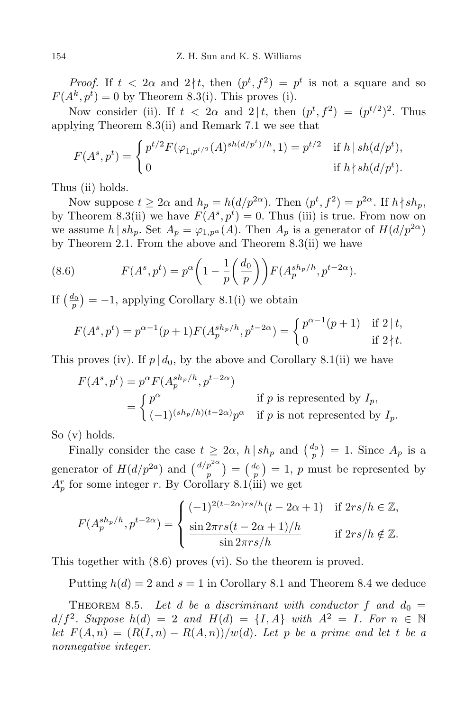*Proof.* If  $t < 2\alpha$  and  $2 \nmid t$ , then  $(p^t, f^2) = p^t$  is not a square and so  $F(A^k, p^t) = 0$  by Theorem 8.3(i). This proves (i).

Now consider (ii). If  $t < 2\alpha$  and  $2 \mid t$ , then  $(p^t, f^2) = (p^{t/2})^2$ . Thus applying Theorem 8.3(ii) and Remark 7.1 we see that

$$
F(A^s, p^t) = \begin{cases} p^{t/2} F(\varphi_{1, p^{t/2}}(A)^{sh(d/p^t)/h}, 1) = p^{t/2} & \text{if } h \mid sh(d/p^t), \\ 0 & \text{if } h \nmid sh(d/p^t). \end{cases}
$$

Thus (ii) holds.

Now suppose  $t \geq 2\alpha$  and  $h_p = h(d/p^{2\alpha})$ . Then  $(p^t, f^2) = p^{2\alpha}$ . If  $h \nmid sh_p$ , by Theorem 8.3(ii) we have  $F(A^s, p^t) = 0$ . Thus (iii) is true. From now on we assume *h* | *sh<sub>p</sub>*. Set  $A_p = \varphi_{1,p}(\mathcal{A})$ . Then  $A_p$  is a generator of  $H(d/p^{2\alpha})$ by Theorem 2.1. From the above and Theorem 8.3(ii) we have

(8.6) 
$$
F(A^s, p^t) = p^{\alpha} \left( 1 - \frac{1}{p} \left( \frac{d_0}{p} \right) \right) F(A_p^{sh_p/h}, p^{t-2\alpha}).
$$

If  $\left(\frac{d_0}{p}\right) = -1$ , applying Corollary 8.1(i) we obtain

$$
F(A^s, p^t) = p^{\alpha - 1}(p + 1)F(A_p^{sh_p/h}, p^{t - 2\alpha}) = \begin{cases} p^{\alpha - 1}(p + 1) & \text{if } 2 \mid t, \\ 0 & \text{if } 2 \nmid t. \end{cases}
$$

This proves (iv). If  $p \mid d_0$ , by the above and Corollary 8.1(ii) we have

$$
F(A^s, p^t) = p^{\alpha} F(A_p^{sh_p/h}, p^{t-2\alpha})
$$
  
= 
$$
\begin{cases} p^{\alpha} & \text{if } p \text{ is represented by } I_p, \\ (-1)^{(sh_p/h)(t-2\alpha)} p^{\alpha} & \text{if } p \text{ is not represented by } I_p. \end{cases}
$$

So (v) holds.

Finally consider the case  $t \geq 2\alpha$ ,  $h | sh_p$  and  $\left(\frac{d_0}{p}\right) = 1$ . Since  $A_p$  is a generator of  $H(d/p^{2a})$  and  $\left(\frac{d/p^{2a}}{p}\right) = \left(\frac{d_0}{p}\right) = 1$ , *p* must be represented by  $A_p^r$  for some integer *r*. By Corollary 8.1(iii) we get

$$
F(A_p^{sh_p/h}, p^{t-2\alpha}) = \begin{cases} (-1)^{2(t-2\alpha)rs/h}(t-2\alpha+1) & \text{if } 2rs/h \in \mathbb{Z},\\ \frac{\sin 2\pi rs(t-2\alpha+1)/h}{\sin 2\pi rs/h} & \text{if } 2rs/h \notin \mathbb{Z}. \end{cases}
$$

This together with (8.6) proves (vi). So the theorem is proved.

Putting  $h(d) = 2$  and  $s = 1$  in Corollary 8.1 and Theorem 8.4 we deduce

THEOREM 8.5. Let *d* be a discriminant with conductor f and  $d_0 =$  $d/f^2$ *. Suppose*  $h(d) = 2$  *and*  $H(d) = \{I, A\}$  *with*  $A^2 = I$ *. For*  $n \in \mathbb{N}$ *let*  $F(A, n) = (R(I, n) - R(A, n))/w(d)$ . Let p be a prime and let t be a *nonnegative integer.*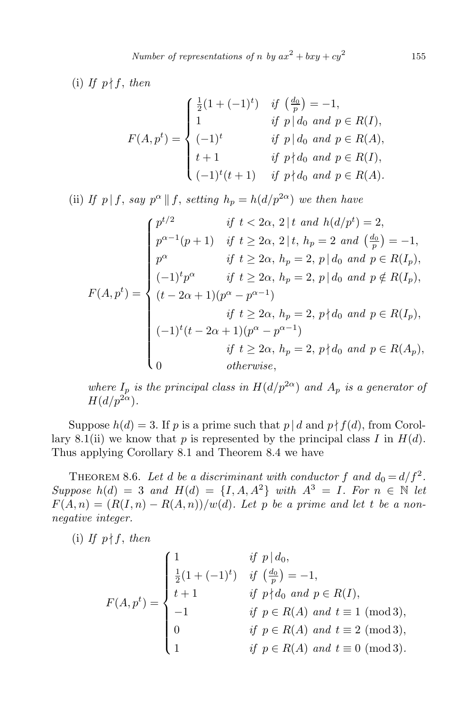(i) If  $p \nmid f$ , then

$$
F(A, p^t) = \begin{cases} \frac{1}{2}(1 + (-1)^t) & \text{if } \left(\frac{d_0}{p}\right) = -1, \\ 1 & \text{if } p \mid d_0 \text{ and } p \in R(I), \\ (-1)^t & \text{if } p \mid d_0 \text{ and } p \in R(A), \\ t + 1 & \text{if } p \nmid d_0 \text{ and } p \in R(I), \\ (-1)^t(t + 1) & \text{if } p \nmid d_0 \text{ and } p \in R(A). \end{cases}
$$

(ii) *If*  $p | f$ , *say*  $p^{\alpha} || f$ , *setting*  $h_p = h(d/p^{2\alpha})$  *we then have* 

$$
F(A, p^{t}) = \begin{cases} p^{t/2} & \text{if } t < 2\alpha, 2 \mid t \text{ and } h(d/p^{t}) = 2, \\ p^{\alpha-1}(p+1) & \text{if } t \ge 2\alpha, 2 \mid t, h_{p} = 2 \text{ and } \left(\frac{d_{0}}{p}\right) = -1, \\ p^{\alpha} & \text{if } t \ge 2\alpha, h_{p} = 2, p \mid d_{0} \text{ and } p \in R(I_{p}), \\ (-1)^{t} p^{\alpha} & \text{if } t \ge 2\alpha, h_{p} = 2, p \mid d_{0} \text{ and } p \notin R(I_{p}), \\ (t - 2\alpha + 1)(p^{\alpha} - p^{\alpha - 1}) & \text{if } t \ge 2\alpha, h_{p} = 2, p \nmid d_{0} \text{ and } p \in R(I_{p}), \\ (-1)^{t}(t - 2\alpha + 1)(p^{\alpha} - p^{\alpha - 1}) & \text{if } t \ge 2\alpha, h_{p} = 2, p \nmid d_{0} \text{ and } p \in R(A_{p}), \\ 0 & \text{otherwise,} \end{cases}
$$

*where*  $I_p$  *is the principal class in*  $H(d/p^{2\alpha})$  *and*  $A_p$  *is a generator of*  $H(d/p^{2\alpha})$ .

Suppose  $h(d) = 3$ . If *p* is a prime such that  $p | d$  and  $p \nmid f(d)$ , from Corollary 8.1(ii) we know that  $p$  is represented by the principal class  $I$  in  $H(d)$ . Thus applying Corollary 8.1 and Theorem 8.4 we have

THEOREM 8.6. Let *d* be a discriminant with conductor  $f$  and  $d_0 = d/f^2$ . *Suppose*  $h(d) = 3$  *and*  $H(d) = \{I, A, A^2\}$  *with*  $A^3 = I$ *. For*  $n \in \mathbb{N}$  *let*  $F(A, n) = (R(I, n) - R(A, n))/w(d)$ . Let p be a prime and let t be a non*negative integer.*

(i) If  $p \nmid f$ , *then* 

$$
F(A, p^{t}) = \begin{cases} 1 & \text{if } p | d_{0}, \\ \frac{1}{2}(1 + (-1)^{t}) & \text{if } \left(\frac{d_{0}}{p}\right) = -1, \\ t + 1 & \text{if } p \nmid d_{0} \text{ and } p \in R(I), \\ -1 & \text{if } p \in R(A) \text{ and } t \equiv 1 \pmod{3}, \\ 0 & \text{if } p \in R(A) \text{ and } t \equiv 2 \pmod{3}, \\ 1 & \text{if } p \in R(A) \text{ and } t \equiv 0 \pmod{3}. \end{cases}
$$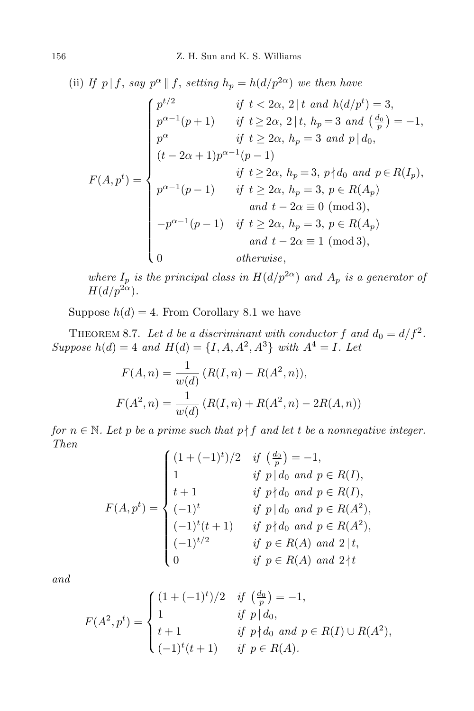(ii) If 
$$
p | f
$$
, say  $p^{\alpha} || f$ , setting  $h_p = h(d/p^{2\alpha})$  we then have  
\n
$$
\begin{cases}\n p^{t/2} & \text{if } t < 2\alpha, 2 | t \text{ and } h(d/p^t) = 3, \\
 p^{\alpha-1}(p+1) & \text{if } t \ge 2\alpha, 2 | t, h_p = 3 \text{ and } \left(\frac{d_0}{p}\right) = -1, \\
 p^{\alpha} & \text{if } t \ge 2\alpha, h_p = 3 \text{ and } p | d_0, \\
 (t - 2\alpha + 1)p^{\alpha-1}(p-1) & \text{if } t \ge 2\alpha, h_p = 3, p \nmid d_0 \text{ and } p \in R(I_p), \\
 p^{\alpha-1}(p-1) & \text{if } t \ge 2\alpha, h_p = 3, p \in R(A_p) \\
 & \text{and } t - 2\alpha \equiv 0 \pmod{3}, \\
 -p^{\alpha-1}(p-1) & \text{if } t \ge 2\alpha, h_p = 3, p \in R(A_p) \\
 & \text{and } t - 2\alpha \equiv 1 \pmod{3}, \\
 0 & \text{otherwise,}\n\end{cases}
$$

*where*  $I_p$  *is the principal class in*  $H(d/p^{2\alpha})$  *and*  $A_p$  *is a generator of*  $H(d/p^{2\alpha})$ .

Suppose  $h(d) = 4$ . From Corollary 8.1 we have

THEOREM 8.7. Let *d* be a discriminant with conductor f and  $d_0 = d/f^2$ . *Suppose*  $h(d) = 4$  *and*  $H(d) = \{I, A, A^2, A^3\}$  *with*  $A^4 = I$ *. Let* 

$$
F(A, n) = \frac{1}{w(d)} (R(I, n) - R(A^2, n)),
$$
  

$$
F(A^2, n) = \frac{1}{w(d)} (R(I, n) + R(A^2, n) - 2R(A, n))
$$

*for*  $n \in \mathbb{N}$ . Let *p be a prime such that*  $p \nmid f$  *and let t be a nonnegative integer. Then*  $\overline{1}$ *d*<sup>0</sup>

$$
F(A, p^{t}) = \begin{cases} (1 + (-1)^{t})/2 & \text{if } \left(\frac{d_{0}}{p}\right) = -1, \\ 1 & \text{if } p | d_{0} \text{ and } p \in R(I), \\ t + 1 & \text{if } p \nmid d_{0} \text{ and } p \in R(I), \\ (-1)^{t} & \text{if } p | d_{0} \text{ and } p \in R(A^{2}), \\ (-1)^{t}(t + 1) & \text{if } p \nmid d_{0} \text{ and } p \in R(A^{2}), \\ (1 + 1)^{t/2} & \text{if } p \in R(A) \text{ and } 2 | t, \\ 0 & \text{if } p \in R(A) \text{ and } 2 | t \end{cases}
$$

*and*

$$
F(A^2, p^t) = \begin{cases} (1 + (-1)^t)/2 & \text{if } \left(\frac{d_0}{p}\right) = -1, \\ 1 & \text{if } p \mid d_0, \\ t + 1 & \text{if } p \nmid d_0 \text{ and } p \in R(I) \cup R(A^2), \\ (-1)^t(t+1) & \text{if } p \in R(A). \end{cases}
$$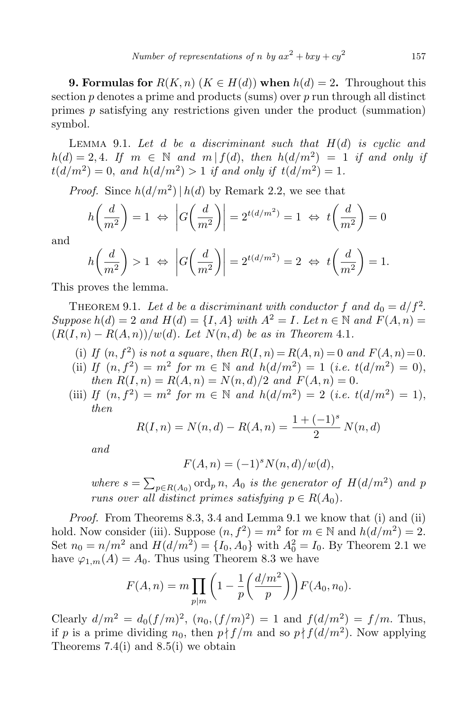**9. Formulas for**  $R(K, n)$  ( $K \in H(d)$ ) when  $h(d) = 2$ . Throughout this section *p* denotes a prime and products (sums) over *p* run through all distinct primes *p* satisfying any restrictions given under the product (summation) symbol.

Lemma 9.1. *Let d be a discriminant such that H*(*d*) *is cyclic and*  $h(d) = 2, 4$ *. If*  $m \in \mathbb{N}$  and  $m | f(d)$ , then  $h(d/m^2) = 1$  *if and only if*  $t(d/m^2) = 0$ , and  $h(d/m^2) > 1$  *if and only if*  $t(d/m^2) = 1$ .

*Proof.* Since  $h(d/m^2)$  |  $h(d)$  by Remark 2.2, we see that

$$
h\left(\frac{d}{m^2}\right) = 1 \iff \left|G\left(\frac{d}{m^2}\right)\right| = 2^{t(d/m^2)} = 1 \iff t\left(\frac{d}{m^2}\right) = 0
$$

and

$$
h\left(\frac{d}{m^2}\right) > 1 \Leftrightarrow \left|G\left(\frac{d}{m^2}\right)\right| = 2^{t(d/m^2)} = 2 \Leftrightarrow t\left(\frac{d}{m^2}\right) = 1.
$$

This proves the lemma.

THEOREM 9.1. Let *d* be a discriminant with conductor  $f$  and  $d_0 = d/f^2$ . *Suppose*  $h(d) = 2$  *and*  $H(d) = \{I, A\}$  *with*  $A^2 = I$ *. Let*  $n \in \mathbb{N}$  *and*  $F(A, n) =$  $(R(I, n) - R(A, n))/w(d)$ . Let  $N(n, d)$  be as in Theorem 4.1.

- (i) If  $(n, f^2)$  is not a square, then  $R(I, n) = R(A, n) = 0$  and  $F(A, n) = 0$ .
- (ii) *If*  $(n, f^2) = m^2$  *for*  $m \in \mathbb{N}$  *and*  $h(d/m^2) = 1$  (*i.e.*  $t(d/m^2) = 0$ ), *then*  $R(I, n) = R(A, n) = N(n, d)/2$  *and*  $F(A, n) = 0$ .
- (iii) *If*  $(n, f^2) = m^2$  *for*  $m \in \mathbb{N}$  *and*  $h(d/m^2) = 2$  (*i.e.*  $t(d/m^2) = 1$ ), *then*

$$
R(I, n) = N(n, d) - R(A, n) = \frac{1 + (-1)^s}{2} N(n, d)
$$

*and*

$$
F(A, n) = (-1)^s N(n, d)/w(d),
$$

where  $s = \sum_{p \in R(A_0)} \text{ord}_p n$ ,  $A_0$  *is the generator of*  $H(d/m^2)$  *and*  $p$ *runs over all distinct primes satisfying*  $p \in R(A_0)$ *.* 

*Proof.* From Theorems 8.3, 3.4 and Lemma 9.1 we know that (i) and (ii) hold. Now consider (iii). Suppose  $(n, f^2) = m^2$  for  $m \in \mathbb{N}$  and  $h(d/m^2) = 2$ . Set  $n_0 = n/m^2$  and  $H(d/m^2) = \{I_0, A_0\}$  with  $A_0^2 = I_0$ . By Theorem 2.1 we have  $\varphi_{1,m}(A) = A_0$ . Thus using Theorem 8.3 we have

$$
F(A,n) = m \prod_{p|m} \left( 1 - \frac{1}{p} \left( \frac{d/m^2}{p} \right) \right) F(A_0, n_0).
$$

Clearly  $d/m^2 = d_0(f/m)^2$ ,  $(n_0, (f/m)^2) = 1$  and  $f(d/m^2) = f/m$ . Thus, if *p* is a prime dividing  $n_0$ , then  $p \nmid f/m$  and so  $p \nmid f(d/m^2)$ . Now applying Theorems  $7.4(i)$  and  $8.5(i)$  we obtain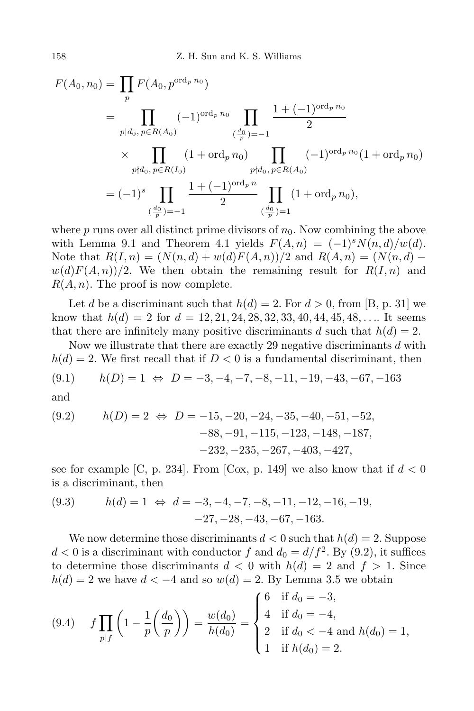$$
F(A_0, n_0) = \prod_p F(A_0, p^{\text{ord}_p n_0})
$$
  
= 
$$
\prod_{p|d_0, p \in R(A_0)} (-1)^{\text{ord}_p n_0} \prod_{\substack{(\frac{d_0}{p})= -1}} \frac{1 + (-1)^{\text{ord}_p n_0}}{2}
$$
  

$$
\times \prod_{p\nmid d_0, p \in R(I_0)} (1 + \text{ord}_p n_0) \prod_{\substack{p\nmid d_0, p \in R(A_0)}} (-1)^{\text{ord}_p n_0} (1 + \text{ord}_p n_0)
$$
  
= 
$$
(-1)^s \prod_{\substack{(\frac{d_0}{p})= -1}} \frac{1 + (-1)^{\text{ord}_p n}}{2} \prod_{\substack{(\frac{d_0}{p})= 1}} (1 + \text{ord}_p n_0),
$$

where  $p$  runs over all distinct prime divisors of  $n_0$ . Now combining the above with Lemma 9.1 and Theorem 4.1 yields  $F(A, n) = (-1)^s N(n, d)/w(d)$ . Note that  $R(I, n) = (N(n, d) + w(d)F(A, n))/2$  and  $R(A, n) = (N(n, d)$  $w(d)F(A,n)/2$ . We then obtain the remaining result for  $R(I,n)$  and *R*(*A, n*). The proof is now complete.

Let *d* be a discriminant such that  $h(d) = 2$ . For  $d > 0$ , from [B, p. 31] we know that  $h(d) = 2$  for  $d = 12, 21, 24, 28, 32, 33, 40, 44, 45, 48, \ldots$  It seems that there are infinitely many positive discriminants *d* such that  $h(d) = 2$ .

Now we illustrate that there are exactly 29 negative discriminants *d* with  $h(d) = 2$ . We first recall that if  $D < 0$  is a fundamental discriminant, then  $h(D) = 1 \Leftrightarrow D = -3, -4, -7, -8, -11, -19, -43, -67, -163$ 

and

(9.2) 
$$
h(D) = 2 \Leftrightarrow D = -15, -20, -24, -35, -40, -51, -52, -88, -91, -115, -123, -148, -187, -232, -235, -267, -403, -427,
$$

see for example [C, p. 234]. From [Cox, p. 149] we also know that if  $d < 0$ is a discriminant, then

(9.3) 
$$
h(d) = 1 \Leftrightarrow d = -3, -4, -7, -8, -11, -12, -16, -19, -27, -28, -43, -67, -163.
$$

We now determine those discriminants  $d < 0$  such that  $h(d) = 2$ . Suppose  $d < 0$  is a discriminant with conductor  $f$  and  $d_0 = d/f^2$ . By (9.2), it suffices to determine those discriminants  $d < 0$  with  $h(d) = 2$  and  $f > 1$ . Since  $h(d) = 2$  we have  $d < -4$  and so  $w(d) = 2$ . By Lemma 3.5 we obtain

(9.4) 
$$
f \prod_{p \mid f} \left( 1 - \frac{1}{p} \left( \frac{d_0}{p} \right) \right) = \frac{w(d_0)}{h(d_0)} = \begin{cases} 6 & \text{if } d_0 = -3, \\ 4 & \text{if } d_0 = -4, \\ 2 & \text{if } d_0 < -4 \text{ and } h(d_0) = 1, \\ 1 & \text{if } h(d_0) = 2. \end{cases}
$$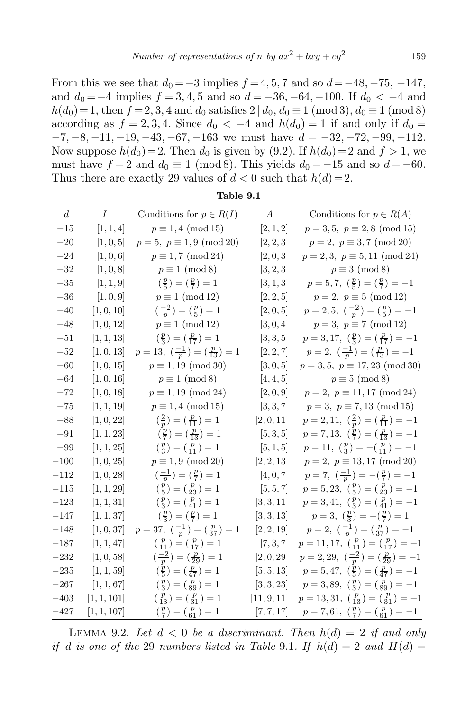From this we see that  $d_0 = -3$  implies  $f = 4, 5, 7$  and so  $d = -48, -75, -147$ , and  $d_0 = -4$  implies  $f = 3, 4, 5$  and so  $d = -36, -64, -100$ . If  $d_0 < -4$  and *h*(*d*<sub>0</sub>) = 1, then *f* = 2, 3, 4 and *d*<sub>0</sub> satisfies 2  $| d_0, d_0 \equiv 1 \pmod{3}$ ,  $d_0 \equiv 1 \pmod{8}$ according as  $f = 2, 3, 4$ . Since  $d_0 < -4$  and  $h(d_0) = 1$  if and only if  $d_0 =$ *−*7*, −*8*, −*11*, −*19*, −*43*, −*67*, −*163 we must have *d* = *−*32*, −*72*, −*99*, −*112. Now suppose  $h(d_0) = 2$ . Then  $d_0$  is given by (9.2). If  $h(d_0) = 2$  and  $f > 1$ , we must have  $f = 2$  and  $d_0 \equiv 1 \pmod{8}$ . This yields  $d_0 = -15$  and so  $d = -60$ . Thus there are exactly 29 values of  $d < 0$  such that  $h(d) = 2$ .

| d       | $\overline{I}$ | Conditions for $p \in R(I)$                                 | $\boldsymbol{A}$ | Conditions for $p \in R(A)$                                               |
|---------|----------------|-------------------------------------------------------------|------------------|---------------------------------------------------------------------------|
| $-15$   | [1, 1, 4]      | $p\equiv 1,4\mbox{ (mod }15)$                               | [2, 1, 2]        | $p = 3, 5, p \equiv 2, 8 \pmod{15}$                                       |
| $-20$   | [1, 0, 5]      | $p = 5, p \equiv 1,9 \pmod{20}$                             | [2, 2, 3]        | $p = 2, p \equiv 3, 7 \pmod{20}$                                          |
| $-24$   | [1, 0, 6]      | $p \equiv 1, 7 \pmod{24}$                                   | [2,0,3]          | $p = 2, 3, p \equiv 5, 11 \pmod{24}$                                      |
| $-32$   | [1, 0, 8]      | $p \equiv 1 \pmod{8}$                                       | [3, 2, 3]        | $p \equiv 3 \pmod{8}$                                                     |
| $-35$   | [1, 1, 9]      | $(\frac{p}{5}) = (\frac{p}{7}) = 1$                         | [3, 1, 3]        | $p = 5, 7, (\frac{p}{5}) = (\frac{p}{7}) = -1$                            |
| $-36\,$ | [1, 0, 9]      | $p \equiv 1 \pmod{12}$                                      | [2, 2, 5]        | $p = 2, p \equiv 5 \pmod{12}$                                             |
| $-40$   | [1, 0, 10]     | $\left(\frac{-2}{p}\right) = \left(\frac{p}{5}\right) = 1$  | [2, 0, 5]        | $p=2,5, \ \left(\frac{-2}{p}\right)=\left(\frac{p}{5}\right)=-1$          |
| $-48$   | [1, 0, 12]     | $p \equiv 1 \pmod{12}$                                      | [3, 0, 4]        | $p = 3, p \equiv 7 \pmod{12}$                                             |
| $-51\,$ | [1, 1, 13]     | $(\frac{p}{3})=(\frac{p}{17})=1$                            | [3, 3, 5]        | $p = 3, 17, \left(\frac{p}{3}\right) = \left(\frac{p}{17}\right) = -1$    |
| $-52$   | [1, 0, 13]     | $p=13, \; \left(\frac{-1}{p}\right)=(\frac{p}{13})=1$       | [2, 2, 7]        | $p=2, \ \left(\frac{-1}{p}\right)=\left(\frac{p}{13}\right)=-1$           |
| $-60$   | [1, 0, 15]     | $p \equiv 1, 19 \pmod{30}$                                  | [3, 0, 5]        | $p = 3, 5, p \equiv 17, 23 \pmod{30}$                                     |
| $-64$   | [1, 0, 16]     | $p \equiv 1 \pmod{8}$                                       | [4, 4, 5]        | $p \equiv 5 \pmod{8}$                                                     |
| $-72$   | [1, 0, 18]     | $p \equiv 1, 19 \pmod{24}$                                  | [2, 0, 9]        | $p = 2, p \equiv 11, 17 \pmod{24}$                                        |
| $-75$   | [1, 1, 19]     | $p \equiv 1,4 \pmod{15}$                                    | [3, 3, 7]        | $p = 3, p \equiv 7, 13 \pmod{15}$                                         |
| $-88$   | [1, 0, 22]     | $\left(\frac{2}{p}\right) = \left(\frac{p}{11}\right) = 1$  | [2, 0, 11]       | $p = 2, 11, \left(\frac{2}{p}\right) = \left(\frac{p}{11}\right) = -1$    |
| $-91$   | [1, 1, 23]     | $(\frac{p}{7})=(\frac{p}{13})=1$                            | [5, 3, 5]        | $p = 7,13, \left(\frac{p}{7}\right) = \left(\frac{p}{13}\right) = -1$     |
| $-99\,$ | [1, 1, 25]     | $\left(\frac{p}{3}\right) = \left(\frac{p}{11}\right) = 1$  | [5, 1, 5]        | $p = 11, \left(\frac{p}{3}\right) = -\left(\frac{p}{11}\right) = -1$      |
| $-100$  | [1, 0, 25]     | $p \equiv 1,9 \pmod{20}$                                    | [2, 2, 13]       | $p = 2, p \equiv 13, 17 \pmod{20}$                                        |
| $-112$  | [1, 0, 28]     | $\left(\frac{-1}{p}\right) = \left(\frac{p}{7}\right) = 1$  | [4, 0, 7]        | $p=7, \; \left(\frac{-1}{p}\right)=-(\frac{p}{7})=-1$                     |
| $-115$  | [1, 1, 29]     | $(\frac{p}{5}) = (\frac{p}{23}) = 1$                        | [5, 5, 7]        | $p = 5,23, \left(\frac{p}{5}\right) = \left(\frac{p}{23}\right) = -1$     |
| $-123$  | [1, 1, 31]     | $(\frac{p}{3})=(\frac{p}{41})=1$                            | [3, 3, 11]       | $p=3,41, \left(\frac{p}{3}\right)=(\frac{p}{41})=-1$                      |
| $-147$  | [1, 1, 37]     | $(\frac{p}{3})=(\frac{p}{7})=1$                             | [3, 3, 13]       | $p=3, \left(\frac{p}{3}\right) = -\left(\frac{p}{7}\right) = 1$           |
| $-148$  | [1, 0, 37]     | $p=37, \; \left(\frac{-1}{p}\right)=(\frac{p}{37})=1$       | [2, 2, 19]       | $p=2, \ \left(\frac{-1}{p}\right)=\left(\frac{p}{37}\right)=-1$           |
| $-187$  | [1, 1, 47]     | $\left(\frac{p}{11}\right) = \left(\frac{p}{17}\right) = 1$ | [7, 3, 7]        | $p = 11, 17, \left(\frac{p}{11}\right) = \left(\frac{p}{17}\right) = -1$  |
| $-232$  | [1, 0, 58]     | $\left(\frac{-2}{p}\right) = \left(\frac{p}{29}\right) = 1$ | [2, 0, 29]       | $p = 2, 29, \ \left(\frac{-2}{p}\right) = \left(\frac{p}{29}\right) = -1$ |
| $-235$  | [1, 1, 59]     | $\left(\frac{p}{5}\right) = \left(\frac{p}{47}\right) = 1$  | [5, 5, 13]       | $p=5,47, \left(\frac{p}{5}\right)=(\frac{p}{47})=-1$                      |
| $-267$  | [1, 1, 67]     | $(\frac{p}{3})=(\frac{p}{89})=1$                            | [3, 3, 23]       | $p = 3,89, \left(\frac{p}{3}\right) = \left(\frac{p}{89}\right) = -1$     |
| $-403$  | [1, 1, 101]    | $\left(\frac{p}{13}\right) = \left(\frac{p}{31}\right) = 1$ | [11, 9, 11]      | $p = 13,31, \left(\frac{p}{13}\right) = \left(\frac{p}{31}\right) = -1$   |
| $-427$  | [1, 1, 107]    | $\left(\frac{p}{7}\right) = \left(\frac{p}{61}\right) = 1$  | [7, 7, 17]       | $p = 7,61, \left(\frac{p}{7}\right) = \left(\frac{p}{61}\right) = -1$     |

**Table 9.1**

LEMMA 9.2. Let  $d < 0$  be a discriminant. Then  $h(d) = 2$  if and only *if d is one of the* 29 *numbers listed in Table* 9.1*. If*  $h(d) = 2$  *and*  $H(d) =$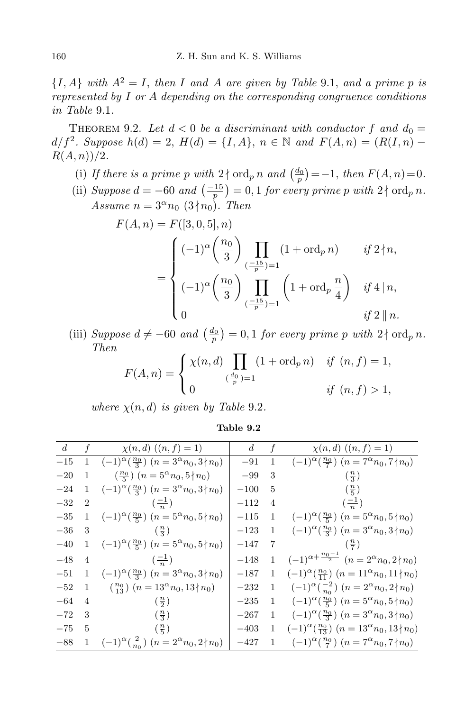${I, A}$  *with*  $A^2 = I$ *, then I and A are given by Table* 9*.*1*, and a prime p is represented by I or A depending on the corresponding congruence conditions in Table* 9*.*1*.*

THEOREM 9.2. Let  $d < 0$  be a discriminant with conductor f and  $d_0 =$  $d/f^2$ *. Suppose*  $h(d) = 2$ ,  $H(d) = \{I, A\}$ ,  $n \in \mathbb{N}$  and  $F(A, n) = (R(I, n) - R(I))$ *R*(*A, n*))*/*2*.*

- (i) If there is a prime p with  $2 \nmid \text{ord}_p n$  and  $\left(\frac{d_0}{p}\right) = -1$ , then  $F(A, n) = 0$ .
- (ii) *Suppose*  $d = -60$  *and*  $\left(\frac{-15}{p}\right) = 0, 1$  *for every prime p with*  $2 \nmid \text{ord}_p n$ *. Assume*  $n = 3^{\alpha} n_0 (3 \nmid n_0)$ *. Then*

$$
F(A, n) = F([3, 0, 5], n)
$$
  
= 
$$
\begin{cases} (-1)^{\alpha} \left(\frac{n_0}{3}\right) \prod_{\left(-\frac{15}{p}\right)=1} (1 + \text{ord}_p n) & \text{if } 2 \nmid n, \\ (-1)^{\alpha} \left(\frac{n_0}{3}\right) \prod_{\left(-\frac{15}{p}\right)=1} \left(1 + \text{ord}_p \frac{n}{4}\right) & \text{if } 4 \mid n, \\ 0 & \text{if } 2 \mid n. \end{cases}
$$

(iii) Suppose  $d \neq -60$  and  $\left(\frac{d_0}{p}\right) = 0, 1$  for every prime p with  $2 \nmid \text{ord}_p n$ . *Then*

$$
F(A, n) = \begin{cases} \chi(n, d) \prod_{(\frac{d_0}{p})=1} (1 + \text{ord}_p n) & \text{if } (n, f) = 1, \\ 0 & \text{if } (n, f) > 1, \end{cases}
$$

*where*  $\chi(n, d)$  *is given by Table* 9.2*.* 

| Table 9.2 |  |
|-----------|--|
|           |  |

| d     |                | f $\chi(n,d)$ $((n,f)=1)$                                           | d      | f            | $\chi(n,d)$ $((n,f)=1)$                                              |
|-------|----------------|---------------------------------------------------------------------|--------|--------------|----------------------------------------------------------------------|
| $-15$ |                | 1 $(-1)^{\alpha}(\frac{n_0}{3})$ $(n = 3^{\alpha}n_0, 3 \nmid n_0)$ | $-91$  | 1            | $(-1)^{\alpha}(\frac{n_0}{7})$ $(n = 7^{\alpha}n_0, 7 \nmid n_0)$    |
| $-20$ | 1              | $\left(\frac{n_0}{5}\right)$ $(n = 5^{\alpha}n_0, 5 \nmid n_0)$     | $-99$  | 3            | $\left(\frac{n}{3}\right)$                                           |
| $-24$ | 1              | $(-1)^{\alpha}(\frac{n_0}{3})$ $(n = 3^{\alpha}n_0, 3 \nmid n_0)$   | $-100$ | 5            | $\left(\frac{n}{5}\right)$                                           |
| $-32$ | $\overline{2}$ | $\left(\frac{-1}{n}\right)$                                         | $-112$ | 4            | $\left(\frac{-1}{n}\right)$                                          |
| $-35$ |                | 1 $(-1)^{\alpha}(\frac{n_0}{5})$ $(n = 5^{\alpha}n_0, 5 \nmid n_0)$ | $-115$ | -1           | $(-1)^{\alpha}(\frac{n_0}{5})$ $(n = 5^{\alpha}n_0, 5 \nmid n_0)$    |
| $-36$ | 3              | $\left(\frac{n}{3}\right)$                                          | $-123$ | 1            | $(-1)^{\alpha}(\frac{n_0}{3})$ $(n = 3^{\alpha}n_0, 3 \nmid n_0)$    |
| $-40$ | $\mathbf{1}$   | $(-1)^{\alpha}(\frac{n_0}{5})$ $(n = 5^{\alpha}n_0, 5 \nmid n_0)$   | $-147$ | -7           | $\left(\frac{n}{7}\right)$                                           |
| $-48$ | $\overline{4}$ | $\left(\frac{-1}{n}\right)$                                         | $-148$ | $\mathbf{1}$ | $(-1)^{\alpha + \frac{n_0-1}{2}}$ $(n = 2^{\alpha}n_0, 2 \nmid n_0)$ |
| $-51$ | 1              | $(-1)^{\alpha}(\frac{n_0}{3})$ $(n=3^{\alpha}n_0,3 \nmid n_0)$      | $-187$ | 1            | $(-1)^{\alpha}(\frac{n_0}{11})$ $(n = 11^{\alpha}n_0, 11 \nmid n_0)$ |
| $-52$ | 1              | $\left(\frac{n_0}{13}\right)$ $(n = 13^{\alpha}n_0, 13 \nmid n_0)$  | $-232$ | 1            | $(-1)^{\alpha}(\frac{-2}{n_0})$ $(n=2^{\alpha}n_0,2 \nmid n_0)$      |
| $-64$ | 4              | $\left(\frac{n}{2}\right)$                                          | $-235$ | <sup>1</sup> | $(-1)^{\alpha}(\frac{n_0}{5})$ $(n = 5^{\alpha}n_0, 5 \nmid n_0)$    |
| $-72$ | 3              | $\left(\frac{n}{3}\right)$                                          | $-267$ |              | 1 $(-1)^{\alpha}(\frac{n_0}{3})$ $(n = 3^{\alpha}n_0, 3 \nmid n_0)$  |
| $-75$ | 5              | $\left(\frac{n}{5}\right)$                                          | $-403$ | 1            | $(-1)^{\alpha}(\frac{n_0}{13})$ $(n = 13^{\alpha}n_0, 13 \nmid n_0)$ |
| $-88$ | 1              | $(-1)^{\alpha}(\frac{2}{n_0})$ $(n = 2^{\alpha}n_0, 2 \nmid n_0)$   | $-427$ | 1            | $(-1)^{\alpha}(\frac{n_0}{7})$ $(n = 7^{\alpha}n_0, 7 \nmid n_0)$    |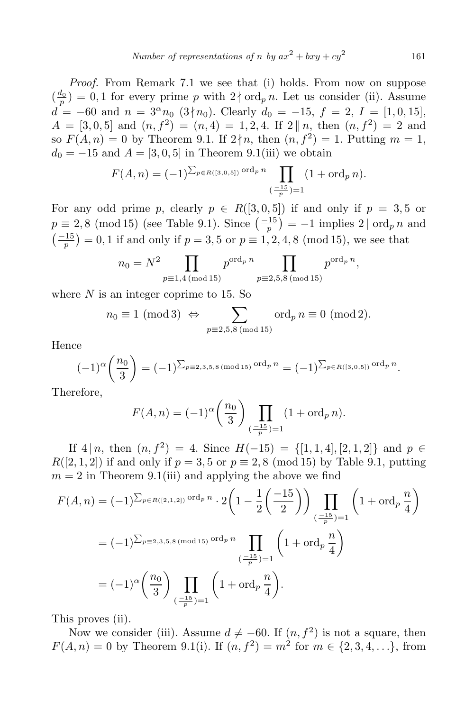Number of representations of n by 
$$
ax^2 + bxy + cy^2
$$
 161

*Proof.* From Remark 7.1 we see that (i) holds. From now on suppose  $(\frac{d_0}{p}) = 0, 1$  for every prime *p* with  $2 \nmid \text{ord}_p n$ . Let us consider (ii). Assume  $d = -60$  and  $n = 3^{\alpha}n_0$  (3 ∤ *n*<sub>0</sub>). Clearly  $d_0 = -15$ ,  $f = 2$ ,  $I = [1, 0, 15]$ ,  $A = \begin{bmatrix} 3, 0, 5 \end{bmatrix}$  and  $(n, f^2) = (n, 4) = 1, 2, 4$ . If  $2 \parallel n$ , then  $(n, f^2) = 2$  and so  $F(A, n) = 0$  by Theorem 9.1. If  $2 \nmid n$ , then  $(n, f^2) = 1$ . Putting  $m = 1$ ,  $d_0 = -15$  and  $A = \begin{bmatrix} 3, 0, 5 \end{bmatrix}$  in Theorem 9.1(iii) we obtain

$$
F(A, n) = (-1)^{\sum_{p \in R([3,0,5])} \text{ord}_p n} \prod_{\substack{(-1.5) \\ (-\frac{1}{p}) = 1}} (1 + \text{ord}_p n).
$$

For any odd prime *p*, clearly  $p \in R([3, 0, 5])$  if and only if  $p = 3, 5$  or  $p \equiv 2,8 \pmod{15}$  (see Table 9.1). Since  $\left(\frac{-15}{p}\right) = -1$  implies 2 | ord<sub>*p*</sub> *n* and  $\left(\frac{-15}{p}\right) = 0, 1$  if and only if  $p = 3, 5$  or  $p \equiv 1, 2, 4, 8 \pmod{15}$ , we see that

$$
n_0 = N^2 \prod_{p \equiv 1,4 \pmod{15}} p^{\text{ord}_p n} \prod_{p \equiv 2,5,8 \pmod{15}} p^{\text{ord}_p n},
$$

where *N* is an integer coprime to 15. So

$$
n_0 \equiv 1 \pmod{3} \Leftrightarrow \sum_{p \equiv 2,5,8 \pmod{15}} \text{ord}_p \, n \equiv 0 \pmod{2}.
$$

Hence

$$
(-1)^{\alpha} \left(\frac{n_0}{3}\right) = (-1)^{\sum_{p \equiv 2,3,5,8 \pmod{15}} \text{ord}_p n} = (-1)^{\sum_{p \in R([3,0,5])} \text{ord}_p n}.
$$

Therefore,

$$
F(A, n) = (-1)^{\alpha} \left(\frac{n_0}{3}\right) \prod_{\left(\frac{-15}{p}\right) = 1} (1 + \operatorname{ord}_p n).
$$

If  $4 | n$ , then  $(n, f^2) = 4$ . Since  $H(-15) = \{ [1, 1, 4], [2, 1, 2] \}$  and  $p ∈$ *R*([2, 1, 2]) if and only if  $p = 3, 5$  or  $p \equiv 2, 8 \pmod{15}$  by Table 9.1, putting  $m = 2$  in Theorem 9.1(iii) and applying the above we find

$$
F(A, n) = (-1)^{\sum_{p \in R([2,1,2])} \text{ord}_p n} \cdot 2\left(1 - \frac{1}{2}\left(\frac{-15}{2}\right)\right) \prod_{\substack{(-\frac{15}{p})=1}} \left(1 + \text{ord}_p \frac{n}{4}\right)
$$
  
=  $(-1)^{\sum_{p \equiv 2,3,5,8 \pmod{15}} \text{ord}_p n} \prod_{\substack{(-\frac{15}{p})=1}} \left(1 + \text{ord}_p \frac{n}{4}\right)$   
=  $(-1)^{\alpha} \left(\frac{n_0}{3}\right) \prod_{\substack{(-\frac{15}{p})=1}} \left(1 + \text{ord}_p \frac{n}{4}\right).$ 

This proves (ii).

Now we consider (iii). Assume  $d \neq -60$ . If  $(n, f^2)$  is not a square, then  $F(A, n) = 0$  by Theorem 9.1(i). If  $(n, f^2) = m^2$  for  $m \in \{2, 3, 4, ...\}$ , from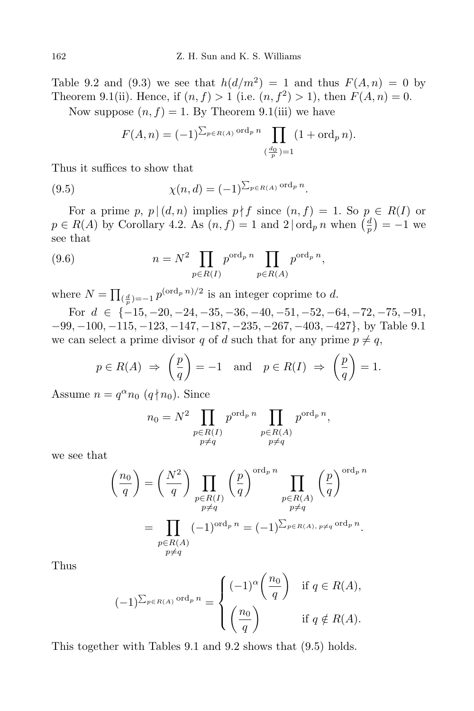Table 9.2 and (9.3) we see that  $h(d/m^2) = 1$  and thus  $F(A, n) = 0$  by Theorem 9.1(ii). Hence, if  $(n, f) > 1$  (i.e.  $(n, f^2) > 1$ ), then  $F(A, n) = 0$ . Now suppose  $(n, f) = 1$ . By Theorem 9.1(iii) we have

$$
F(A, n) = (-1)^{\sum_{p \in R(A)} \text{ord}_p n} \prod_{\left(\frac{d_0}{p}\right) = 1} (1 + \text{ord}_p n).
$$

Thus it suffices to show that

(9.5) 
$$
\chi(n, d) = (-1)^{\sum_{p \in R(A)} \text{ord}_p n}.
$$

For a prime *p*,  $p | (d, n)$  implies  $p \nmid f$  since  $(n, f) = 1$ . So  $p \in R(I)$  or  $p \in R(A)$  by Corollary 4.2. As  $(n, f) = 1$  and  $2 | \text{ord}_p n$  when  $\left(\frac{d}{p}\right)$  $\left(\frac{a}{p}\right) = -1$  we see that

(9.6) 
$$
n = N^2 \prod_{p \in R(I)} p^{\text{ord}_p n} \prod_{p \in R(A)} p^{\text{ord}_p n},
$$

where  $N = \prod_{(\frac{d}{p})=-1} p^{(\text{ord}_p n)/2}$  is an integer coprime to *d*.

For  $d \in \{-15, -20, -24, -35, -36, -40, -51, -52, -64, -72, -75, -91,$ *−*99*, −*100*, −*115*, −*123*, −*147*, −*187*, −*235*, −*267*, −*403*, −*427*}*, by Table 9.1 we can select a prime divisor *q* of *d* such that for any prime  $p \neq q$ ,

$$
p \in R(A) \Rightarrow \left(\frac{p}{q}\right) = -1
$$
 and  $p \in R(I) \Rightarrow \left(\frac{p}{q}\right) = 1.$ 

Assume  $n = q^{\alpha} n_0 (q \nmid n_0)$ . Since

$$
n_0 = N^2 \prod_{\substack{p \in R(I) \\ p \neq q}} p^{\text{ord}_p n} \prod_{\substack{p \in R(A) \\ p \neq q}} p^{\text{ord}_p n},
$$

we see that

$$
\left(\frac{n_0}{q}\right) = \left(\frac{N^2}{q}\right) \prod_{\substack{p \in R(I) \\ p \neq q}} \left(\frac{p}{q}\right)^{\text{ord}_p n} \prod_{\substack{p \in R(A) \\ p \neq q}} \left(\frac{p}{q}\right)^{\text{ord}_p n}
$$

$$
= \prod_{\substack{p \in R(A) \\ p \neq q}} (-1)^{\text{ord}_p n} = (-1)^{\sum_{p \in R(A), p \neq q} \text{ord}_p n}.
$$

Thus

$$
(-1)^{\sum_{p \in R(A)} \text{ord}_p n} = \begin{cases} (-1)^{\alpha} \left(\frac{n_0}{q}\right) & \text{if } q \in R(A), \\ \left(\frac{n_0}{q}\right) & \text{if } q \notin R(A). \end{cases}
$$

This together with Tables 9.1 and 9.2 shows that (9.5) holds.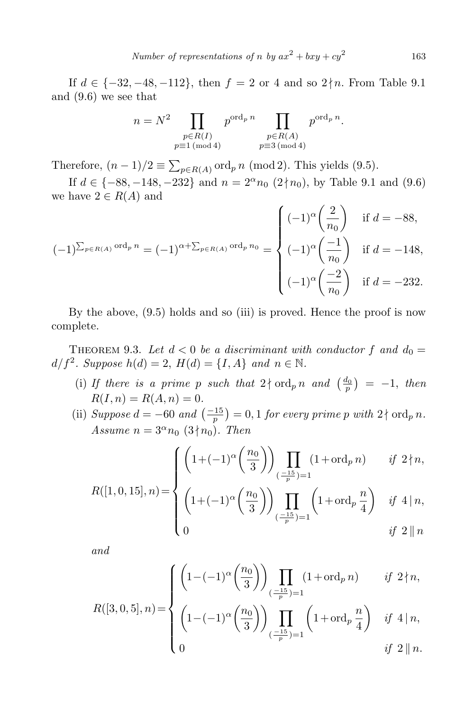If *d* ∈ { $-32, -48, -112$ }, then *f* = 2 or 4 and so 2∤*n*. From Table 9.1 and (9.6) we see that

$$
n = N2 \prod_{\substack{p \in R(I) \\ p \equiv 1 \pmod{4}}} p^{\text{ord}_p n} \prod_{\substack{p \in R(A) \\ p \equiv 3 \pmod{4}}} p^{\text{ord}_p n}.
$$

Therefore,  $(n-1)/2 \equiv \sum_{p \in R(A)} \text{ord}_p n \pmod{2}$ . This yields (9.5).

If *d* ∈ {−88*,* −148*,* −232} and *n* =  $2^{\alpha}n_0$  (2∤*n*<sub>0</sub>), by Table 9.1 and (9.6) we have  $2 \in R(A)$  and

$$
(-1)^{\sum_{p \in R(A)} \text{ord}_p n} = (-1)^{\alpha + \sum_{p \in R(A)} \text{ord}_p n_0} = \begin{cases} (-1)^{\alpha} \left(\frac{2}{n_0}\right) & \text{if } d = -88, \\ (-1)^{\alpha} \left(\frac{-1}{n_0}\right) & \text{if } d = -148, \\ (-1)^{\alpha} \left(\frac{-2}{n_0}\right) & \text{if } d = -232. \end{cases}
$$

By the above, (9.5) holds and so (iii) is proved. Hence the proof is now complete.

THEOREM 9.3. Let  $d < 0$  be a discriminant with conductor f and  $d_0 =$ *d*/*f*<sup>2</sup>*. Suppose h*(*d*) = 2, *H*(*d*) = {*I, A*} *and*  $n \in \mathbb{N}$ *.* 

- (i) If there is a prime p such that  $2 \nmid \text{ord}_p n$  and  $\left(\frac{d_0}{p}\right) = -1$ , then  $R(I, n) = R(A, n) = 0.$
- (ii) *Suppose*  $d = -60$  *and*  $\left(\frac{-15}{p}\right) = 0, 1$  *for every prime p with*  $2 \nmid \text{ord}_p n$ *. Assume*  $n = 3^{\alpha}n_0$  (3  $\nmid n_0$ )*. Then*

$$
\int \left(1+(-1)^{\alpha}\left(\frac{n_0}{3}\right)\right) \prod_{\left(\frac{-15}{p}\right)=1} (1+\text{ord}_p n) \quad \text{if } 2 \nmid n,
$$

$$
R([1, 0, 15], n) = \begin{cases} \left(1 + (-1)^{\alpha} \left(\frac{n_0}{3}\right)\right) \prod_{\left(\frac{-15}{p}\right) = 1} \left(1 + \text{ord}_p \frac{n}{4}\right) & \text{if } 4 \mid n, \\ 0 & \text{if } 2 \parallel n \end{cases}
$$

*and*

$$
\left\{\left(1-(-1)^{\alpha}\left(\frac{n_0}{3}\right)\right)\prod_{\left(\frac{-15}{p}\right)=1}(1+\text{ord}_p\,n)\right\}\quad\text{if }2\nmid n,
$$

$$
R([3,0,5],n) = \left\{ \left(1 - (-1)^{\alpha} \left(\frac{n_0}{3}\right)\right) \prod_{\left(\frac{-15}{p}\right)=1} \left(1 + \text{ord}_p \frac{n}{4}\right) \text{ if } 4 \mid n, \right\}
$$
  
0  
if  $2 \parallel n$ .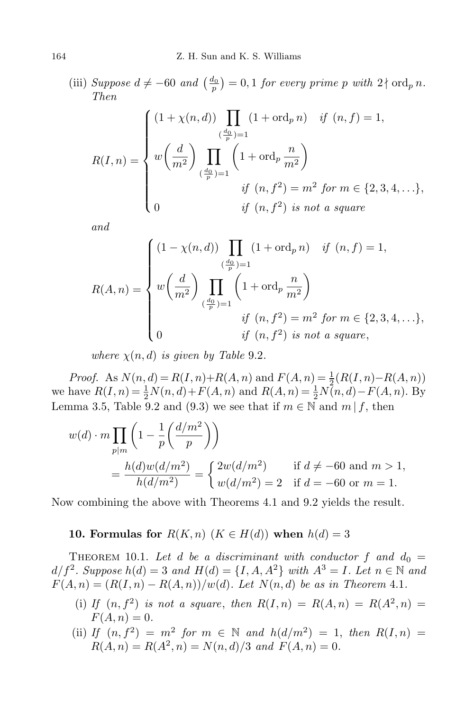(iii) Suppose  $d \neq -60$  and  $\left(\frac{d_0}{p}\right) = 0, 1$  for every prime p with  $2 \nmid \text{ord}_p n$ . *Then*

$$
R(I,n) = \begin{cases} (1 + \chi(n,d)) \prod_{(\frac{d_0}{p})=1} (1 + \text{ord}_p n) & \text{if } (n, f) = 1, \\ w \left(\frac{d}{m^2}\right) \prod_{(\frac{d_0}{p})=1} \left(1 + \text{ord}_p \frac{n}{m^2}\right) & \text{if } (n, f^2) = m^2 \text{ for } m \in \{2, 3, 4, \ldots\}, \\ 0 & \text{if } (n, f^2) \text{ is not a square} \end{cases}
$$

*and*

$$
R(A, n) = \begin{cases} (1 - \chi(n, d)) \prod_{\substack{(\frac{d_0}{p}) = 1}} (1 + \text{ord}_p n) & \text{if } (n, f) = 1, \\ w \left(\frac{d}{m^2}\right) \prod_{\substack{(\frac{d_0}{p}) = 1}} \left(1 + \text{ord}_p \frac{n}{m^2}\right) & \text{if } (n, f^2) = m^2 \text{ for } m \in \{2, 3, 4, \ldots\}, \\ 0 & \text{if } (n, f^2) \text{ is not a square,} \end{cases}
$$

*where*  $\chi(n, d)$  *is given by Table* 9.2*.* 

*Proof.* As  $N(n, d) = R(I, n) + R(A, n)$  and  $F(A, n) = \frac{1}{2}(R(I, n) - R(A, n))$ we have  $R(I, n) = \frac{1}{2}N(n, d) + F(A, n)$  and  $R(A, n) = \frac{1}{2}N(n, d) - F(A, n)$ . By Lemma 3.5, Table 9.2 and (9.3) we see that if  $m \in \mathbb{N}$  and  $m \mid f$ , then

$$
w(d) \cdot m \prod_{p|m} \left( 1 - \frac{1}{p} \left( \frac{d/m^2}{p} \right) \right)
$$
  
=  $\frac{h(d)w(d/m^2)}{h(d/m^2)} = \begin{cases} 2w(d/m^2) & \text{if } d \neq -60 \text{ and } m > 1, \\ w(d/m^2) = 2 & \text{if } d = -60 \text{ or } m = 1. \end{cases}$ 

Now combining the above with Theorems 4.1 and 9.2 yields the result.

## **10. Formulas for**  $R(K, n)$  ( $K \in H(d)$ ) when  $h(d) = 3$

THEOREM 10.1. Let *d* be a discriminant with conductor f and  $d_0 =$  $d/f^2$ *. Suppose*  $h(d) = 3$  *and*  $H(d) = \{I, A, A^2\}$  *with*  $A^3 = I$ *. Let*  $n \in \mathbb{N}$  *and*  $F(A, n) = (R(I, n) - R(A, n))/w(d)$ *. Let*  $N(n, d)$  *be as in Theorem* 4.1*.* 

- (i) If  $(n, f^2)$  is not a square, then  $R(I, n) = R(A, n) = R(A^2, n) =$  $F(A, n) = 0.$
- (ii) *If*  $(n, f^2) = m^2$  *for*  $m \in \mathbb{N}$  *and*  $h(d/m^2) = 1$ *, then*  $R(I, n) =$  $R(A, n) = R(A^2, n) = N(n, d)/3$  *and*  $F(A, n) = 0$ .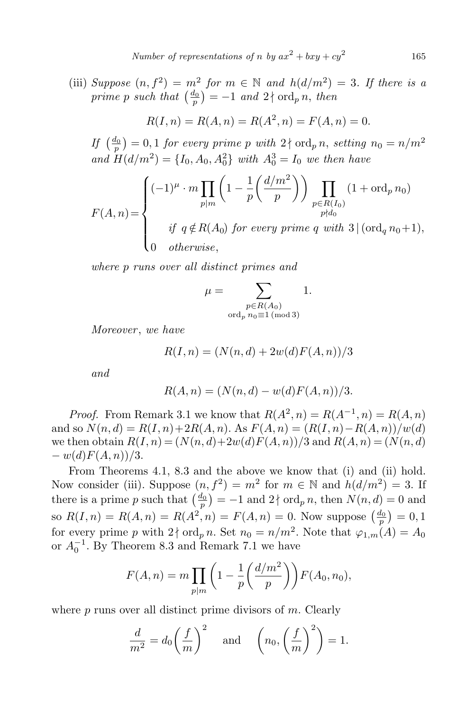(iii) *Suppose*  $(n, f^2) = m^2$  *for*  $m \in \mathbb{N}$  *and*  $h(d/m^2) = 3$ *. If there is a*  $\text{prime } p \text{ such that } \left( \frac{d_0}{p} \right) = -1 \text{ and } 2 \nmid \text{ord}_p n, \text{ then }$ 

$$
R(I, n) = R(A, n) = R(A^2, n) = F(A, n) = 0.
$$

 $df\left(\frac{d_0}{p}\right) = 0, 1$  *for every prime p with*  $2 \nmid \text{ord}_p n$ *, setting*  $n_0 = n/m^2$ *and*  $H(d/m^2) = \{I_0, A_0, A_0^2\}$  *with*  $A_0^3 = I_0$  *we then have* 

$$
F(A,n) = \begin{cases} (-1)^{\mu} \cdot m \prod_{p|m} \left( 1 - \frac{1}{p} \left( \frac{d/m^2}{p} \right) \right) \prod_{\substack{p \in R(I_0) \\ p \nmid d_0}} (1 + \text{ord}_p n_0) \\ \text{if } q \notin R(A_0) \text{ for every prime } q \text{ with } 3 \mid (\text{ord}_q n_0 + 1), \\ 0 \quad \text{otherwise}, \end{cases}
$$

*where p runs over all distinct primes and*

$$
\mu = \sum_{\substack{p \in R(A_0) \\ \text{ord}_p \ n_0 \equiv 1 \ (\text{mod } 3)}} 1.
$$

*Moreover* , *we have*

 $R(I, n) = (N(n, d) + 2w(d)F(A, n))/3$ 

*and*

$$
R(A, n) = (N(n, d) - w(d)F(A, n))/3.
$$

*Proof.* From Remark 3.1 we know that  $R(A^2, n) = R(A^{-1}, n) = R(A, n)$ and so  $N(n, d) = R(I, n) + 2R(A, n)$ . As  $F(A, n) = (R(I, n) - R(A, n))/w(d)$ we then obtain  $R(I, n) = (N(n, d) + 2w(d)F(A, n))/3$  and  $R(A, n) = (N(n, d))$ *− w*(*d*)*F*(*A, n*))*/*3*.*

From Theorems 4.1, 8.3 and the above we know that (i) and (ii) hold. Now consider (iii). Suppose  $(n, f^2) = m^2$  for  $m \in \mathbb{N}$  and  $h(d/m^2) = 3$ . If there is a prime *p* such that  $\left(\frac{d_0}{p}\right) = -1$  and  $2 \nmid \text{ord}_p n$ , then  $N(n, d) = 0$  and so  $R(I, n) = R(A, n) = R(A^2, n) = F(A, n) = 0$ . Now suppose  $\left(\frac{d_0}{p}\right) = 0, 1$ for every prime *p* with  $2 \nmid \text{ord}_p n$ . Set  $n_0 = n/m^2$ . Note that  $\varphi_{1,m}(A) = A_0$ or  $A_0^{-1}$ . By Theorem 8.3 and Remark 7.1 we have

$$
F(A,n) = m \prod_{p|m} \left( 1 - \frac{1}{p} \left( \frac{d/m^2}{p} \right) \right) F(A_0, n_0),
$$

where *p* runs over all distinct prime divisors of *m*. Clearly

$$
\frac{d}{m^2} = d_0 \left(\frac{f}{m}\right)^2 \quad \text{and} \quad \left(n_0, \left(\frac{f}{m}\right)^2\right) = 1.
$$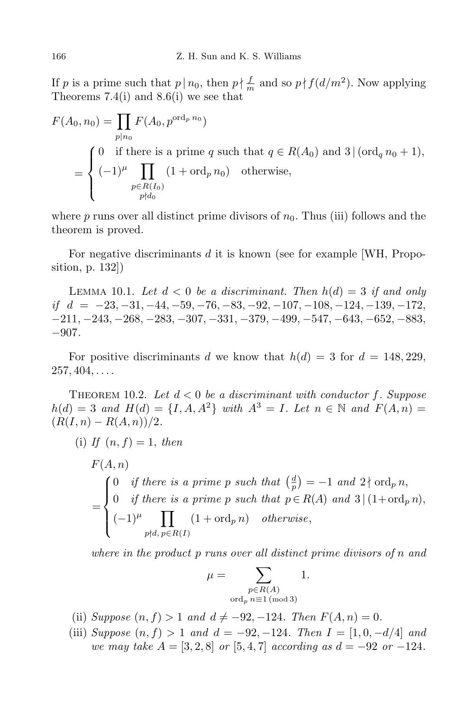If *p* is a prime such that  $p \mid n_0$ , then  $p \nmid \frac{f}{m}$  and so  $p \nmid f(d/m^2)$ . Now applying Theorems 7.4(i) and 8.6(i) we see that

$$
F(A_0, n_0) = \prod_{p|n_0} F(A_0, p^{\text{ord}_p n_0})
$$
  
= 
$$
\begin{cases} 0 & \text{if there is a prime } q \text{ such that } q \in R(A_0) \text{ and } 3 | (\text{ord}_q n_0 + 1), \\ (-1)^{\mu} \prod_{\substack{p \in R(I_0) \\ p \nmid d_0}} (1 + \text{ord}_p n_0) & \text{otherwise,} \end{cases}
$$

where  $p$  runs over all distinct prime divisors of  $n_0$ . Thus (iii) follows and the theorem is proved.

For negative discriminants *d* it is known (see for example [WH, Proposition, p. 132])

LEMMA 10.1. Let  $d < 0$  be a discriminant. Then  $h(d) = 3$  if and only if  $d = -23, -31, -44, -59, -76, -83, -92, -107, -108, -124, -139, -172,$  $-211, -243, -268, -283, -307, -331, -379, -499, -547, -643, -652, -883,$ *−*907*.*

For positive discriminants *d* we know that  $h(d) = 3$  for  $d = 148,229$ , 257*,* 404*, . . . .*

THEOREM 10.2. Let  $d < 0$  be a discriminant with conductor f. Suppose  $h(d) = 3$  *and*  $H(d) = \{I, A, A^2\}$  *with*  $A^3 = I$ *. Let*  $n \in \mathbb{N}$  *and*  $F(A, n) =$  $(R(I, n) - R(A, n))/2$ .

(i) If 
$$
(n, f) = 1
$$
, then

$$
F(A, n)
$$
  
= 
$$
\begin{cases} 0 & \text{if there is a prime } p \text{ such that } \left(\frac{d}{p}\right) = -1 \text{ and } 2 \nmid \text{ord}_p n, \\ 0 & \text{if there is a prime } p \text{ such that } p \in R(A) \text{ and } 3 \mid (1 + \text{ord}_p n), \\ (-1)^{\mu} \prod_{p \nmid d, p \in R(I)} (1 + \text{ord}_p n) & \text{otherwise,} \end{cases}
$$

*where in the product p runs over all distinct prime divisors of n and*

$$
\mu = \sum_{\substack{p \in R(A) \\ \text{ord}_p \ n \equiv 1 \text{ (mod 3)}}} 1.
$$

- (ii) *Suppose*  $(n, f) > 1$  *and*  $d \neq -92, -124$ *. Then*  $F(A, n) = 0$ *.*
- (iii) *Suppose*  $(n, f) > 1$  *and*  $d = -92, -124$ *. Then*  $I = [1, 0, -d/4]$  *and we may take*  $A = [3, 2, 8]$  *or*  $[5, 4, 7]$  *according as*  $d = -92$  *or*  $-124$ *.*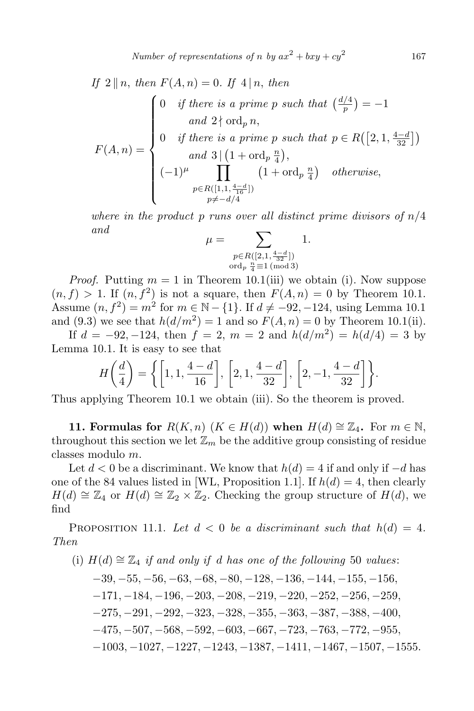*Number of representations of <i>n by*  $ax^2 + bxy + cy^2$ 

If 
$$
2 \parallel n
$$
, then  $F(A, n) = 0$ . If  $4 \mid n$ , then  
\n
$$
F(A, n) = \begin{cases}\n0 & \text{if there is a prime } p \text{ such that } \left(\frac{d/4}{p}\right) = -1 \\
& \text{and } 2 \nmid \text{ord}_p n, \\
0 & \text{if there is a prime } p \text{ such that } p \in R\left(\left[2, 1, \frac{4-d}{32}\right]\right) \\
& \text{and } 3 \mid \left(1 + \text{ord}_p \frac{n}{4}\right), \\
(-1)^{\mu} \prod_{\substack{p \in R\left(\left[1, 1, \frac{4-d}{16}\right]\right) \\ p \neq -d/4}} \left(1 + \text{ord}_p \frac{n}{4}\right) & \text{otherwise,} \n\end{cases}
$$

*where in the product p runs over all distinct prime divisors of n/*4 *and*

$$
\mu = \sum_{\substack{p \in R([2,1,\frac{4-d}{32}])\\ \text{ord}_p \frac{n}{4} \equiv 1 \text{ (mod 3)}}} 1.
$$

*Proof.* Putting  $m = 1$  in Theorem 10.1(iii) we obtain (i). Now suppose  $(n, f) > 1$ . If  $(n, f^2)$  is not a square, then  $F(A, n) = 0$  by Theorem 10.1. Assume  $(n, f^2) = m^2$  for  $m \in \mathbb{N} - \{1\}$ . If  $d \neq -92, -124$ , using Lemma 10.1 and (9.3) we see that  $h(d/m^2) = 1$  and so  $F(A, n) = 0$  by Theorem 10.1(ii).

If  $d = -92, -124$ , then  $f = 2$ ,  $m = 2$  and  $h(d/m^2) = h(d/4) = 3$  by Lemma 10.1. It is easy to see that

$$
H\left(\frac{d}{4}\right) = \left\{ \left[1, 1, \frac{4-d}{16}\right], \left[2, 1, \frac{4-d}{32}\right], \left[2, -1, \frac{4-d}{32}\right] \right\}.
$$

Thus applying Theorem 10.1 we obtain (iii). So the theorem is proved.

**11. Formulas for**  $R(K, n)$  ( $K \in H(d)$ ) when  $H(d) \cong \mathbb{Z}_4$ . For  $m \in \mathbb{N}$ , throughout this section we let  $\mathbb{Z}_m$  be the additive group consisting of residue classes modulo *m*.

Let  $d < 0$  be a discriminant. We know that  $h(d) = 4$  if and only if  $-d$  has one of the 84 values listed in [WL, Proposition 1.1]. If  $h(d) = 4$ , then clearly *H*(*d*)  $\cong$  Z<sub>4</sub> or *H*(*d*)  $\cong$  Z<sub>2</sub> × Z<sub>2</sub>. Checking the group structure of *H*(*d*), we find

PROPOSITION 11.1. Let  $d < 0$  be a discriminant such that  $h(d) = 4$ . *Then*

(i) 
$$
H(d) \cong \mathbb{Z}_4
$$
 if and only if d has one of the following 50 values:  
\n-39, -55, -56, -63, -68, -80, -128, -136, -144, -155, -156,  
\n-171, -184, -196, -203, -208, -219, -220, -252, -256, -259,  
\n-275, -291, -292, -323, -328, -355, -363, -387, -388, -400,

- *−*475*, −*507*, −*568*, −*592*, −*603*, −*667*, −*723*, −*763*, −*772*, −*955*,*
- *−*1003*, −*1027*, −*1227*, −*1243*, −*1387*, −*1411*, −*1467*, −*1507*, −*1555*.*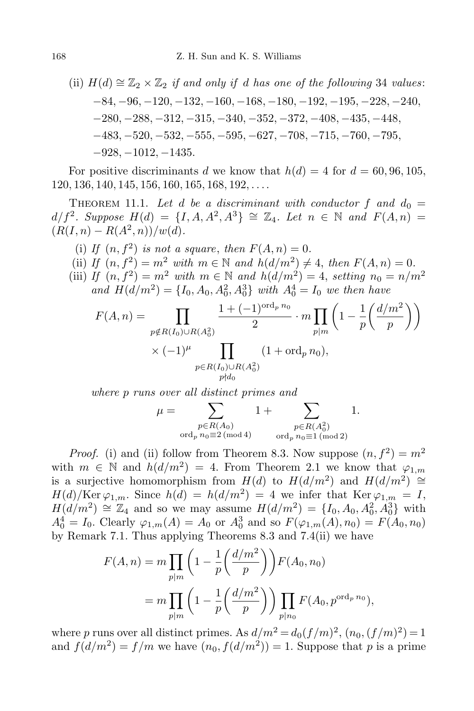(ii) 
$$
H(d) \cong \mathbb{Z}_2 \times \mathbb{Z}_2
$$
 if and only if d has one of the following 34 values:  
\n-84, -96, -120, -132, -160, -168, -180, -192, -195, -228, -240,  
\n-280, -288, -312, -315, -340, -352, -372, -408, -435, -448,  
\n-483, -520, -532, -555, -595, -627, -708, -715, -760, -795,  
\n-928, -1012, -1435.

For positive discriminants *d* we know that  $h(d) = 4$  for  $d = 60, 96, 105$ , 120*,* 136*,* 140*,* 145*,* 156*,* 160*,* 165*,* 168*,* 192*, . . . .*

THEOREM 11.1. Let *d* be a discriminant with conductor f and  $d_0 =$  $d/f^2$ *. Suppose*  $H(d) = \{I, A, A^2, A^3\} \cong \mathbb{Z}_4$ *. Let*  $n \in \mathbb{N}$  and  $F(A, n) =$  $(R(I, n) - R(A^2, n))/w(d)$ .

(i) If  $(n, f^2)$  *is not a square, then*  $F(A, n) = 0$ . (ii) *If*  $(n, f^2) = m^2$  *with*  $m \in \mathbb{N}$  *and*  $h(d/m^2) \neq 4$ , *then*  $F(A, n) = 0$ . (iii) *If*  $(n, f^2) = m^2$  *with*  $m \in \mathbb{N}$  *and*  $h(d/m^2) = 4$ , *setting*  $n_0 = n/m^2$ *and*  $H(d/m^2) = \{I_0, A_0, A_0^2, A_0^3\}$  *with*  $A_0^4 = I_0$  *we then have* 

$$
F(A, n) = \prod_{\substack{p \notin R(I_0) \cup R(A_0^2) \\ \times (-1)^{\mu} \\ p \in R(I_0) \cup R(A_0^2)}} \frac{1 + (-1)^{\text{ord}_p n_0}}{2} \cdot m \prod_{p \mid m} \left( 1 - \frac{1}{p} \left( \frac{d/m^2}{p} \right) \right)
$$

*where p runs over all distinct primes and*

$$
\mu = \sum_{\substack{p \in R(A_0) \\ \text{ord}_p \ n_0 \equiv 2 \pmod{4}}} 1 + \sum_{\substack{p \in R(A_0^2) \\ \text{ord}_p \ n_0 \equiv 1 \pmod{2}}} 1.
$$

*Proof.* (i) and (ii) follow from Theorem 8.3. Now suppose  $(n, f^2) = m^2$ with  $m \in \mathbb{N}$  and  $h(d/m^2) = 4$ . From Theorem 2.1 we know that  $\varphi_{1,m}$ is a surjective homomorphism from  $H(d)$  to  $H(d/m^2)$  and  $H(d/m^2) \cong$  $H(d)/\text{Ker }\varphi_{1,m}$ . Since  $h(d) = h(d/m^2) = 4$  we infer that  $\text{Ker }\varphi_{1,m} = I$ , *H*(*d/m*<sup>2</sup>) ≅  $\mathbb{Z}_4$  and so we may assume *H*(*d/m*<sup>2</sup>) = {*I*<sub>0</sub>*, A*<sub>0</sub>*, A*<sub>0</sub><sup>2</sup>, *A*<sub>0</sub><sup>3</sup>} with  $A_0^4 = I_0$ . Clearly  $\varphi_{1,m}(A) = A_0$  or  $A_0^3$  and so  $F(\varphi_{1,m}(A), n_0) = F(A_0, n_0)$ by Remark 7.1. Thus applying Theorems 8.3 and 7.4(ii) we have

$$
F(A, n) = m \prod_{p|m} \left( 1 - \frac{1}{p} \left( \frac{d/m^2}{p} \right) \right) F(A_0, n_0)
$$
  
= 
$$
m \prod_{p|m} \left( 1 - \frac{1}{p} \left( \frac{d/m^2}{p} \right) \right) \prod_{p|n_0} F(A_0, p^{\text{ord}_p n_0}),
$$

where *p* runs over all distinct primes. As  $d/m^2 = d_0(f/m)^2$ ,  $(n_0, (f/m)^2) = 1$ and  $f(d/m^2) = f/m$  we have  $(n_0, f(d/m^2)) = 1$ . Suppose that *p* is a prime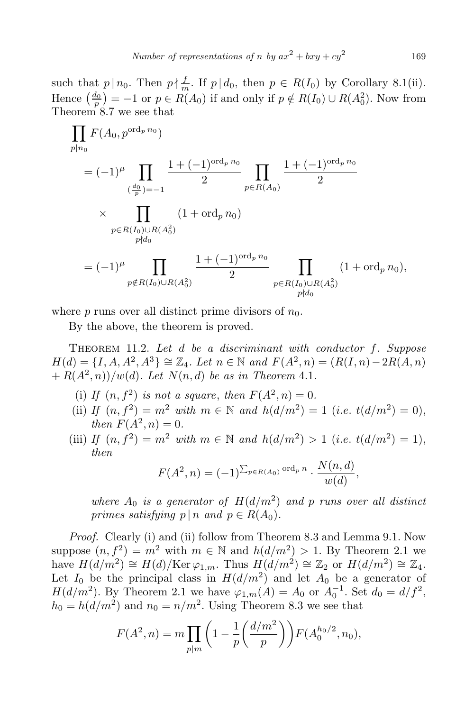such that  $p \mid n_0$ . Then  $p \nmid \frac{f}{m}$ . If  $p \mid d_0$ , then  $p \in R(I_0)$  by Corollary 8.1(ii). Hence  $\left(\frac{d_0}{p}\right) = -1$  or  $p \in R(A_0)$  if and only if  $p \notin R(I_0) \cup R(A_0^2)$ . Now from Theorem 8.7 we see that

$$
\prod_{p|n_0} F(A_0, p^{\text{ord}_p n_0})
$$
\n
$$
= (-1)^{\mu} \prod_{\left(\frac{d_0}{p}\right)=-1} \frac{1+(-1)^{\text{ord}_p n_0}}{2} \prod_{p \in R(A_0)} \frac{1+(-1)^{\text{ord}_p n_0}}{2}
$$
\n
$$
\times \prod_{\substack{p \in R(I_0) \cup R(A_0^2) \\ p \nmid d_0}} (1+\text{ord}_p n_0)
$$
\n
$$
= (-1)^{\mu} \prod_{\substack{p \notin R(I_0) \cup R(A_0^2) \\ p \nmid d_0}} \frac{1+(-1)^{\text{ord}_p n_0}}{2} \prod_{\substack{p \in R(I_0) \cup R(A_0^2) \\ p \nmid d_0}} (1+\text{ord}_p n_0),
$$

where  $p$  runs over all distinct prime divisors of  $n_0$ .

By the above, the theorem is proved.

Theorem 11.2. *Let d be a discriminant with conductor f. Suppose*  $H(d) = \{I, A, A^2, A^3\} \cong \mathbb{Z}_4$ *. Let*  $n \in \mathbb{N}$  and  $F(A^2, n) = (R(I, n) - 2R(A, n))$  $+ R(A^2, n))/w(d)$ *. Let*  $N(n, d)$  *be as in Theorem* 4.1*.* 

- (i) If  $(n, f^2)$  is not a square, then  $F(A^2, n) = 0$ .
- (ii) *If*  $(n, f^2) = m^2$  *with*  $m \in \mathbb{N}$  *and*  $h(d/m^2) = 1$  (*i.e. t*(*d/m*<sup>2</sup>) = 0), *then*  $F(A^2, n) = 0$ .
- (iii) *If*  $(n, f^2) = m^2$  *with*  $m \in \mathbb{N}$  *and*  $h(d/m^2) > 1$  (*i.e. t*(*d/m*<sup>2</sup>) = 1), *then*

$$
F(A^2, n) = (-1)^{\sum_{p \in R(A_0)} \text{ord}_p n} \cdot \frac{N(n, d)}{w(d)},
$$

*where*  $A_0$  *is a generator of*  $H(d/m^2)$  *and p runs over all distinct primes satisfying*  $p \mid n$  *and*  $p \in R(A_0)$ *.* 

*Proof.* Clearly (i) and (ii) follow from Theorem 8.3 and Lemma 9.1. Now suppose  $(n, f^2) = m^2$  with  $m \in \mathbb{N}$  and  $h(d/m^2) > 1$ . By Theorem 2.1 we have  $H(d/m^2) \cong H(d)/\text{Ker }\varphi_{1,m}$ . Thus  $H(d/m^2) \cong \mathbb{Z}_2$  or  $H(d/m^2) \cong \mathbb{Z}_4$ . Let  $I_0$  be the principal class in  $H(d/m^2)$  and let  $A_0$  be a generator of *H*(*d/m*<sup>2</sup>). By Theorem 2.1 we have  $\varphi_{1,m}(A) = A_0$  or  $A_0^{-1}$ . Set  $d_0 = d/f^2$ ,  $h_0 = h(d/m^2)$  and  $n_0 = n/m^2$ . Using Theorem 8.3 we see that

$$
F(A^2, n) = m \prod_{p|m} \left( 1 - \frac{1}{p} \left( \frac{d/m^2}{p} \right) \right) F(A_0^{h_0/2}, n_0),
$$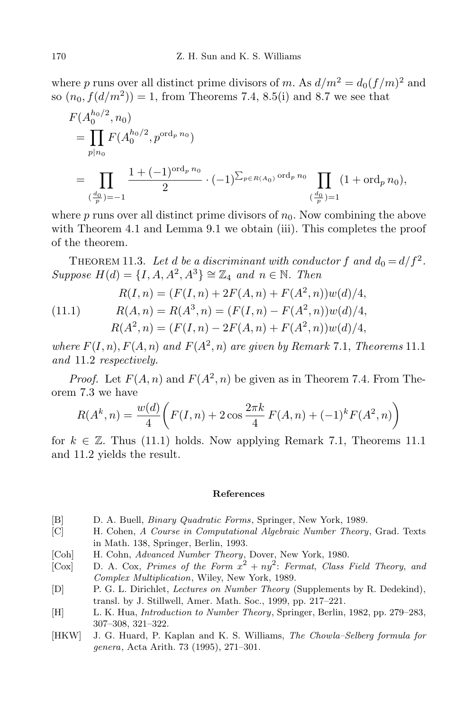where *p* runs over all distinct prime divisors of *m*. As  $d/m^2 = d_0(f/m)^2$  and so  $(n_0, f(d/m^2)) = 1$ , from Theorems 7.4, 8.5(i) and 8.7 we see that

$$
F(A_0^{h_0/2}, n_0)
$$
  
= 
$$
\prod_{p|n_0} F(A_0^{h_0/2}, p^{\text{ord}_p n_0})
$$
  
= 
$$
\prod_{(\frac{d_0}{p})=-1} \frac{1+(-1)^{\text{ord}_p n_0}}{2} \cdot (-1)^{\sum_{p \in R(A_0)} \text{ord}_p n_0} \prod_{(\frac{d_0}{p})=1} (1+\text{ord}_p n_0),
$$

where  $p$  runs over all distinct prime divisors of  $n_0$ . Now combining the above with Theorem 4.1 and Lemma 9.1 we obtain (iii). This completes the proof of the theorem.

THEOREM 11.3. Let *d* be a discriminant with conductor  $f$  and  $d_0 = d/f^2$ .  $Suppose H(d) = \{I, A, A^2, A^3\} \cong \mathbb{Z}_4$  *and*  $n \in \mathbb{N}$ *. Then* 

(11.1) 
$$
R(I, n) = (F(I, n) + 2F(A, n) + F(A^2, n))w(d)/4,
$$

$$
R(A, n) = R(A^3, n) = (F(I, n) - F(A^2, n))w(d)/4,
$$

$$
R(A^2, n) = (F(I, n) - 2F(A, n) + F(A^2, n))w(d)/4,
$$

*where*  $F(I, n)$ ,  $F(A, n)$  *and*  $F(A^2, n)$  *are given by Remark* 7.1, *Theorems* 11.1 *and* 11*.*2 *respectively.*

*Proof.* Let  $F(A, n)$  and  $F(A^2, n)$  be given as in Theorem 7.4. From Theorem 7.3 we have

$$
R(Ak, n) = \frac{w(d)}{4} \left( F(I, n) + 2 \cos \frac{2\pi k}{4} F(A, n) + (-1)^k F(A^2, n) \right)
$$

for  $k \in \mathbb{Z}$ . Thus (11.1) holds. Now applying Remark 7.1, Theorems 11.1 and 11.2 yields the result.

## **References**

- [B] D. A. Buell, *Binary Quadratic Forms*, Springer, New York, 1989.
- [C] H. Cohen, *A Course in Computational Algebraic Number Theory*, Grad. Texts in Math. 138, Springer, Berlin, 1993.
- [Coh] H. Cohn, *Advanced Number Theory*, Dover, New York, 1980.
- $[Cox]$  D. A.  $Cox$ , *Primes of the Form*  $x^2 + ny^2$ : *Fermat, Class Field Theory, and Complex Multiplication*, Wiley, New York, 1989.
- [D] P. G. L. Dirichlet, *Lectures on Number Theory* (Supplements by R. Dedekind), transl. by J. Stillwell, Amer. Math. Soc., 1999, pp. 217–221.
- [H] L. K. Hua, *Introduction to Number Theory*, Springer, Berlin, 1982, pp. 279–283, 307–308, 321–322.
- [HKW] J. G. Huard, P. Kaplan and K. S. Williams, *The Chowla–Selberg formula for genera*, Acta Arith. 73 (1995), 271–301.